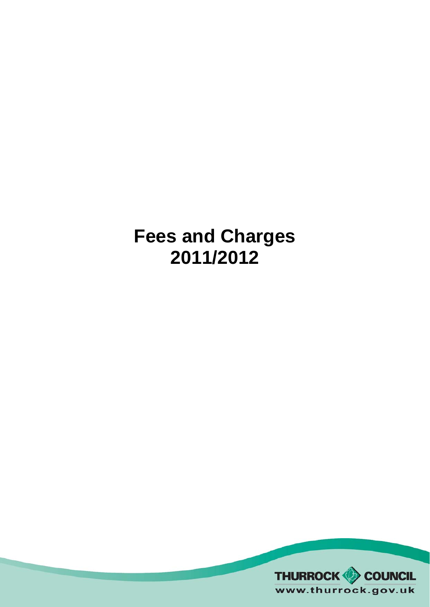# **Fees and Charges 2011/2012**

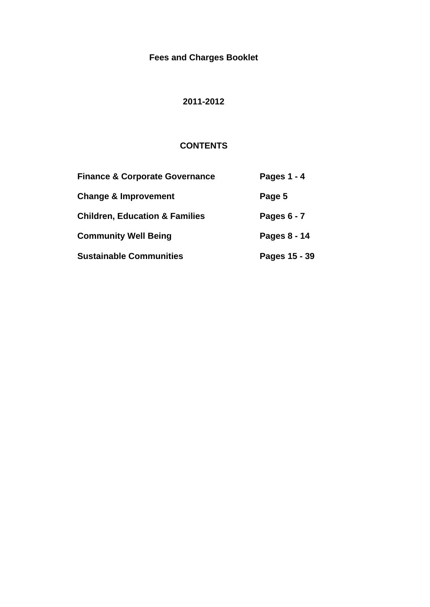## **Fees and Charges Booklet**

## **2011-2012**

### **CONTENTS**

| <b>Finance &amp; Corporate Governance</b> | Pages 1 - 4   |
|-------------------------------------------|---------------|
| <b>Change &amp; Improvement</b>           | Page 5        |
| <b>Children, Education &amp; Families</b> | Pages 6 - 7   |
| <b>Community Well Being</b>               | Pages 8 - 14  |
| <b>Sustainable Communities</b>            | Pages 15 - 39 |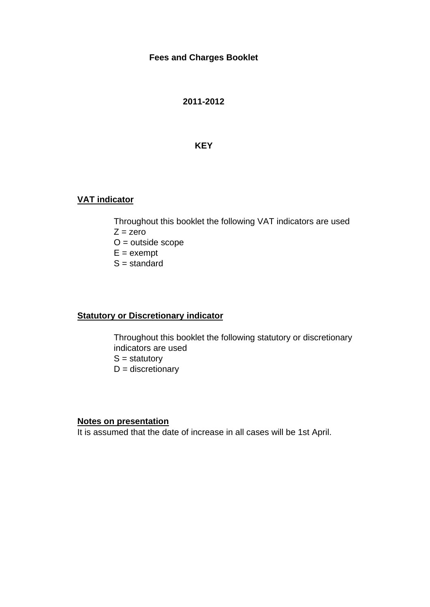#### **Fees and Charges Booklet**

**2011-2012**

#### **KEY**

#### **VAT indicator**

Throughout this booklet the following VAT indicators are used  $Z = zero$  $O =$  outside scope  $E =$  exempt

 $S =$  standard

#### **Statutory or Discretionary indicator**

Throughout this booklet the following statutory or discretionary indicators are used  $S =$  statutory  $D =$  discretionary

#### **Notes on presentation**

It is assumed that the date of increase in all cases will be 1st April.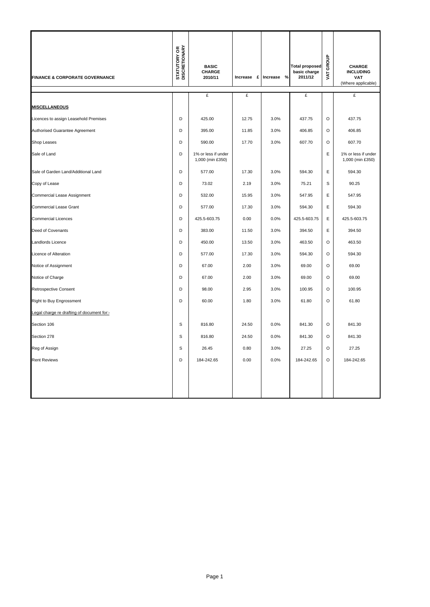| FINANCE & CORPORATE GOVERNANCE             | <b>STATUTORY OR</b><br>DISCRETIONARY | <b>BASIC</b><br>CHARGE<br>2010/11       |       | Increase £ Increase % | <b>Total proposed</b><br>basic charge<br>2011/12 | GROUP<br>ŽΣ | CHARGE<br><b>INCLUDING</b><br><b>VAT</b><br>(Where applicable) |
|--------------------------------------------|--------------------------------------|-----------------------------------------|-------|-----------------------|--------------------------------------------------|-------------|----------------------------------------------------------------|
|                                            |                                      | £                                       | £     |                       | £                                                |             | £                                                              |
| <b>MISCELLANEOUS</b>                       |                                      |                                         |       |                       |                                                  |             |                                                                |
| Licences to assign Leasehold Premises      | D                                    | 425.00                                  | 12.75 | 3.0%                  | 437.75                                           | $\circ$     | 437.75                                                         |
| Authorised Guarantee Agreement             | D                                    | 395.00                                  | 11.85 | 3.0%                  | 406.85                                           | O           | 406.85                                                         |
| Shop Leases                                | D                                    | 590.00                                  | 17.70 | 3.0%                  | 607.70                                           | O           | 607.70                                                         |
| Sale of Land                               | D                                    | 1% or less if under<br>1,000 (min £350) |       |                       |                                                  | E           | 1% or less if under<br>1,000 (min £350)                        |
| Sale of Garden Land/Additional Land        | D                                    | 577.00                                  | 17.30 | 3.0%                  | 594.30                                           | E           | 594.30                                                         |
| Copy of Lease                              | D                                    | 73.02                                   | 2.19  | 3.0%                  | 75.21                                            | $\mathsf s$ | 90.25                                                          |
| Commercial Lease Assignment                | D                                    | 532.00                                  | 15.95 | 3.0%                  | 547.95                                           | Ε           | 547.95                                                         |
| Commercial Lease Grant                     | D                                    | 577.00                                  | 17.30 | 3.0%                  | 594.30                                           | $\mathsf E$ | 594.30                                                         |
| <b>Commercial Licences</b>                 | D                                    | 425.5-603.75                            | 0.00  | 0.0%                  | 425.5-603.75                                     | Ε           | 425.5-603.75                                                   |
| Deed of Covenants                          | D                                    | 383.00                                  | 11.50 | 3.0%                  | 394.50                                           | E           | 394.50                                                         |
| Landlords Licence                          | D                                    | 450.00                                  | 13.50 | 3.0%                  | 463.50                                           | $\circ$     | 463.50                                                         |
| Licence of Alteration                      | D                                    | 577.00                                  | 17.30 | 3.0%                  | 594.30                                           | $\Omega$    | 594.30                                                         |
| Notice of Assignment                       | D                                    | 67.00                                   | 2.00  | 3.0%                  | 69.00                                            | $\circ$     | 69.00                                                          |
| Notice of Charge                           | D                                    | 67.00                                   | 2.00  | 3.0%                  | 69.00                                            | $\circ$     | 69.00                                                          |
| <b>Retrospective Consent</b>               | D                                    | 98.00                                   | 2.95  | 3.0%                  | 100.95                                           | $\circ$     | 100.95                                                         |
| Right to Buy Engrossment                   | D                                    | 60.00                                   | 1.80  | 3.0%                  | 61.80                                            | $\Omega$    | 61.80                                                          |
| Legal charge re drafting of document for:- |                                      |                                         |       |                       |                                                  |             |                                                                |
| Section 106                                | S                                    | 816.80                                  | 24.50 | 0.0%                  | 841.30                                           | $\circ$     | 841.30                                                         |
| Section 278                                | S                                    | 816.80                                  | 24.50 | 0.0%                  | 841.30                                           | $\circ$     | 841.30                                                         |
| Reg of Assign                              | S                                    | 26.45                                   | 0.80  | 3.0%                  | 27.25                                            | O           | 27.25                                                          |
| <b>Rent Reviews</b>                        | D                                    | 184-242.65                              | 0.00  | 0.0%                  | 184-242.65                                       | $\circ$     | 184-242.65                                                     |
|                                            |                                      |                                         |       |                       |                                                  |             |                                                                |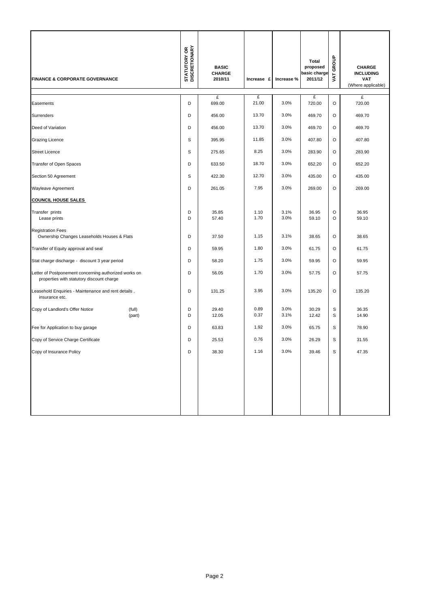| <b>FINANCE &amp; CORPORATE GOVERNANCE</b>                                                          |                  | <b>STATUTORY OR<br/>DISCRETIONARY</b> | <b>BASIC</b><br><b>CHARGE</b><br>2010/11 | Increase £   | Increase %   | Total<br>proposed<br>basic charge<br>2011/12 | GROUP<br><b>TAV</b> | <b>CHARGE</b><br><b>INCLUDING</b><br><b>VAT</b><br>(Where applicable) |
|----------------------------------------------------------------------------------------------------|------------------|---------------------------------------|------------------------------------------|--------------|--------------|----------------------------------------------|---------------------|-----------------------------------------------------------------------|
| Easements                                                                                          |                  | D                                     | £<br>699.00                              | £<br>21.00   | 3.0%         | £<br>720.00                                  | O                   | £<br>720.00                                                           |
| Surrenders                                                                                         |                  | D                                     | 456.00                                   | 13.70        | 3.0%         | 469.70                                       | O                   | 469.70                                                                |
| Deed of Variation                                                                                  |                  | D                                     | 456.00                                   | 13.70        | 3.0%         | 469.70                                       | O                   | 469.70                                                                |
| <b>Grazing Licence</b>                                                                             |                  | S                                     | 395.95                                   | 11.85        | 3.0%         | 407.80                                       | O                   | 407.80                                                                |
| <b>Street Licence</b>                                                                              |                  | S                                     | 275.65                                   | 8.25         | 3.0%         | 283.90                                       | O                   | 283.90                                                                |
| Transfer of Open Spaces                                                                            |                  | D                                     | 633.50                                   | 18.70        | 3.0%         | 652.20                                       | O                   | 652.20                                                                |
| Section 50 Agreement                                                                               |                  | S                                     | 422.30                                   | 12.70        | 3.0%         | 435.00                                       | O                   | 435.00                                                                |
| Wayleave Agreement                                                                                 |                  | D                                     | 261.05                                   | 7.95         | 3.0%         | 269.00                                       | O                   | 269.00                                                                |
| <b>COUNCIL HOUSE SALES</b>                                                                         |                  |                                       |                                          |              |              |                                              |                     |                                                                       |
| Transfer prints<br>Lease prints                                                                    |                  | D<br>D                                | 35.85<br>57.40                           | 1.10<br>1.70 | 3.1%<br>3.0% | 36.95<br>59.10                               | O<br>O              | 36.95<br>59.10                                                        |
| <b>Registration Fees</b><br>Ownership Changes Leaseholds Houses & Flats                            |                  | D                                     | 37.50                                    | 1.15         | 3.1%         | 38.65                                        | O                   | 38.65                                                                 |
| Transfer of Equity approval and seal                                                               |                  | D                                     | 59.95                                    | 1.80         | 3.0%         | 61.75                                        | O                   | 61.75                                                                 |
| Stat charge discharge - discount 3 year period                                                     |                  | D                                     | 58.20                                    | 1.75         | 3.0%         | 59.95                                        | O                   | 59.95                                                                 |
| Letter of Postponement concerning authorized works on<br>properties with statutory discount charge |                  | D                                     | 56.05                                    | 1.70         | 3.0%         | 57.75                                        | O                   | 57.75                                                                 |
| Leasehold Enquiries - Maintenance and rent details,<br>insurance etc.                              |                  | D                                     | 131.25                                   | 3.95         | 3.0%         | 135.20                                       | O                   | 135.20                                                                |
| Copy of Landlord's Offer Notice                                                                    | (full)<br>(part) | D<br>D                                | 29.40<br>12.05                           | 0.89<br>0.37 | 3.0%<br>3.1% | 30.29<br>12.42                               | S<br>S              | 36.35<br>14.90                                                        |
| Fee for Application to buy garage                                                                  |                  | D                                     | 63.83                                    | 1.92         | 3.0%         | 65.75                                        | S                   | 78.90                                                                 |
| Copy of Service Charge Certificate                                                                 |                  | D                                     | 25.53                                    | 0.76         | 3.0%         | 26.29                                        | S                   | 31.55                                                                 |
| Copy of Insurance Policy                                                                           |                  | D                                     | 38.30                                    | 1.16         | 3.0%         | 39.46                                        | S                   | 47.35                                                                 |
|                                                                                                    |                  |                                       |                                          |              |              |                                              |                     |                                                                       |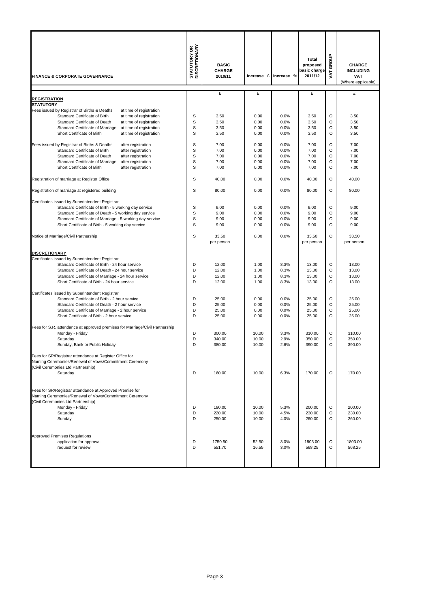| <b>FINANCE &amp; CORPORATE GOVERNANCE</b>                                                                                                                                                                                                                                           | <b>STATUTORY OR<br/>DISCRETIONARY</b> | <b>BASIC</b><br><b>CHARGE</b><br>2010/11 | Increase £                   | Increase %                   | Total<br>proposed<br>basic charge<br>2011/12 | GROUP<br>VAT.          | <b>CHARGE</b><br><b>INCLUDING</b><br>VAT<br>(Where applicable) |
|-------------------------------------------------------------------------------------------------------------------------------------------------------------------------------------------------------------------------------------------------------------------------------------|---------------------------------------|------------------------------------------|------------------------------|------------------------------|----------------------------------------------|------------------------|----------------------------------------------------------------|
| <b>REGISTRATION</b>                                                                                                                                                                                                                                                                 |                                       | £                                        | £                            |                              | £                                            |                        | £                                                              |
| <b>STATUTORY</b>                                                                                                                                                                                                                                                                    |                                       |                                          |                              |                              |                                              |                        |                                                                |
| Fees issued by Registrar of Births & Deaths<br>at time of registration<br>Standard Certificate of Birth                                                                                                                                                                             | S                                     | 3.50                                     | 0.00                         | 0.0%                         | 3.50                                         | O                      | 3.50                                                           |
| at time of registration<br><b>Standard Certificate of Death</b><br>at time of registration                                                                                                                                                                                          | S                                     | 3.50                                     | 0.00                         | 0.0%                         | 3.50                                         | O                      | 3.50                                                           |
| Standard Certificate of Marriage<br>at time of registration                                                                                                                                                                                                                         | S                                     | 3.50                                     | 0.00                         | 0.0%                         | 3.50                                         | O                      | 3.50                                                           |
| Short Certificate of Birth<br>at time of registration                                                                                                                                                                                                                               | S                                     | 3.50                                     | 0.00                         | 0.0%                         | 3.50                                         | O                      | 3.50                                                           |
| Fees issued by Registrar of Births & Deaths<br>after registration                                                                                                                                                                                                                   | S                                     | 7.00                                     | 0.00                         | 0.0%                         | 7.00                                         | $\circ$                | 7.00                                                           |
| Standard Certificate of Birth<br>after registration                                                                                                                                                                                                                                 | S                                     | 7.00                                     | 0.00                         | 0.0%                         | 7.00                                         | O                      | 7.00                                                           |
| Standard Certificate of Death<br>after registration<br>Standard Certificate of Marriage<br>after registration                                                                                                                                                                       | S<br>S                                | 7.00<br>7.00                             | 0.00<br>0.00                 | 0.0%<br>0.0%                 | 7.00<br>7.00                                 | O<br>O                 | 7.00<br>7.00                                                   |
| Short Certificate of Birth<br>after registration                                                                                                                                                                                                                                    | S                                     | 7.00                                     | 0.00                         | 0.0%                         | 7.00                                         | O                      | 7.00                                                           |
| Registration of marriage at Register Office                                                                                                                                                                                                                                         | S                                     | 40.00                                    | 0.00                         | 0.0%                         | 40.00                                        | O                      | 40.00                                                          |
|                                                                                                                                                                                                                                                                                     |                                       |                                          |                              |                              |                                              |                        |                                                                |
| Registration of marriage at registered building                                                                                                                                                                                                                                     | S                                     | 80.00                                    | 0.00                         | 0.0%                         | 80.00                                        | $\circ$                | 80.00                                                          |
| Certificates issued by Superintendent Registrar<br>Standard Certificate of Birth - 5 working day service                                                                                                                                                                            | S                                     | 9.00                                     | 0.00                         | 0.0%                         | 9.00                                         | O                      | 9.00                                                           |
| Standard Certificate of Death - 5 working day service                                                                                                                                                                                                                               | S                                     | 9.00                                     | 0.00                         | 0.0%                         | 9.00                                         | O                      | 9.00                                                           |
| Standard Certificate of Marriage - 5 working day service                                                                                                                                                                                                                            | S                                     | 9.00                                     | 0.00                         | 0.0%                         | 9.00                                         | O                      | 9.00                                                           |
| Short Certificate of Birth - 5 working day service                                                                                                                                                                                                                                  | S                                     | 9.00                                     | 0.00                         | 0.0%                         | 9.00                                         | O                      | 9.00                                                           |
| Notice of Marriage/Civil Partnership                                                                                                                                                                                                                                                | S                                     | 33.50<br>per person                      | 0.00                         | 0.0%                         | 33.50<br>per person                          | $\circ$                | 33.50<br>per person                                            |
| <b>DISCRETIONARY</b><br>Certificates issued by Superintendent Registrar<br>Standard Certificate of Birth - 24 hour service<br>Standard Certificate of Death - 24 hour service<br>Standard Certificate of Marriage - 24 hour service<br>Short Certificate of Birth - 24 hour service | D<br>D<br>D<br>D                      | 12.00<br>12.00<br>12.00<br>12.00         | 1.00<br>1.00<br>1.00<br>1.00 | 8.3%<br>8.3%<br>8.3%<br>8.3% | 13.00<br>13.00<br>13.00<br>13.00             | O<br>O<br>$\circ$<br>O | 13.00<br>13.00<br>13.00<br>13.00                               |
| Certificates issued by Superintendent Registrar                                                                                                                                                                                                                                     |                                       |                                          |                              |                              |                                              |                        |                                                                |
| Standard Certificate of Birth - 2 hour service                                                                                                                                                                                                                                      | D                                     | 25.00                                    | 0.00                         | 0.0%                         | 25.00                                        | O                      | 25.00                                                          |
| Standard Certificate of Death - 2 hour service                                                                                                                                                                                                                                      | D<br>D                                | 25.00<br>25.00                           | 0.00<br>0.00                 | 0.0%<br>0.0%                 | 25.00<br>25.00                               | O<br>O                 | 25.00<br>25.00                                                 |
| Standard Certificate of Marriage - 2 hour service<br>Short Certificate of Birth - 2 hour service                                                                                                                                                                                    | D                                     | 25.00                                    | 0.00                         | 0.0%                         | 25.00                                        | O                      | 25.00                                                          |
| Fees for S.R. attendance at approved premises for Marriage/Civil Partnership                                                                                                                                                                                                        |                                       |                                          |                              |                              |                                              |                        |                                                                |
| Monday - Friday                                                                                                                                                                                                                                                                     | D                                     | 300.00                                   | 10.00                        | 3.3%                         | 310.00                                       | O                      | 310.00                                                         |
| Saturday<br>Sunday, Bank or Public Holiday                                                                                                                                                                                                                                          | D<br>D                                | 340.00<br>380.00                         | 10.00<br>10.00               | 2.9%<br>2.6%                 | 350.00<br>390.00                             | O<br>O                 | 350.00<br>390.00                                               |
| Fees for SR/Registrar attendance at Register Office for                                                                                                                                                                                                                             |                                       |                                          |                              |                              |                                              |                        |                                                                |
| Naming Ceremonies/Renewal of Vows/Commitment Ceremony<br>(Civil Ceremonies Ltd Partnership)                                                                                                                                                                                         |                                       |                                          |                              |                              |                                              |                        |                                                                |
| Saturday                                                                                                                                                                                                                                                                            | D                                     | 160.00                                   | 10.00                        | 6.3%                         | 170.00                                       | O                      | 170.00                                                         |
| Fees for SR/Registrar attendance at Approved Premise for<br>Naming Ceremonies/Renewal of Vows/Commitment Ceremony<br>(Civil Ceremonies Ltd Partnership)                                                                                                                             |                                       |                                          |                              |                              |                                              |                        |                                                                |
| Monday - Friday                                                                                                                                                                                                                                                                     | D                                     | 190.00                                   | 10.00                        | 5.3%                         | 200.00                                       | O                      | 200.00                                                         |
| Saturday<br>Sunday                                                                                                                                                                                                                                                                  | D<br>D                                | 220.00<br>250.00                         | 10.00<br>10.00               | 4.5%<br>4.0%                 | 230.00<br>260.00                             | O<br>O                 | 230.00<br>260.00                                               |
| <b>Approved Premises Regulations</b>                                                                                                                                                                                                                                                |                                       |                                          |                              |                              |                                              |                        |                                                                |
| application for approval<br>request for review                                                                                                                                                                                                                                      | D<br>D                                | 1750.50<br>551.70                        | 52.50<br>16.55               | 3.0%<br>3.0%                 | 1803.00<br>568.25                            | O<br>O                 | 1803.00<br>568.25                                              |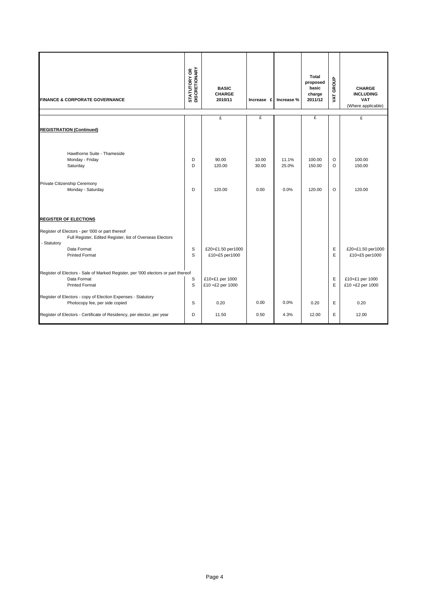|             | <b>FINANCE &amp; CORPORATE GOVERNANCE</b>                                                                                 | <b>STATUTORY OR<br/>DISCRETIONARY</b> | <b>BASIC</b><br><b>CHARGE</b><br>2010/11 | Increase £     | Increase %     | Total<br>proposed<br>basic<br>charge<br>2011/12 | GROUP<br><b>TAV</b> | <b>CHARGE</b><br><b>INCLUDING</b><br><b>VAT</b><br>(Where applicable) |
|-------------|---------------------------------------------------------------------------------------------------------------------------|---------------------------------------|------------------------------------------|----------------|----------------|-------------------------------------------------|---------------------|-----------------------------------------------------------------------|
|             |                                                                                                                           |                                       | £                                        | £              |                | £                                               |                     | £                                                                     |
|             | <b>REGISTRATION (Continued)</b>                                                                                           |                                       |                                          |                |                |                                                 |                     |                                                                       |
|             | Hawthorne Suite - Thameside<br>Monday - Friday<br>Saturday                                                                | D<br>D                                | 90.00<br>120.00                          | 10.00<br>30.00 | 11.1%<br>25.0% | 100.00<br>150.00                                | $\circ$<br>$\circ$  | 100.00<br>150.00                                                      |
|             | Private Citizenship Ceremony<br>Monday - Saturday                                                                         | D                                     | 120.00                                   | 0.00           | 0.0%           | 120.00                                          | $\circ$             | 120.00                                                                |
|             | <b>REGISTER OF ELECTIONS</b>                                                                                              |                                       |                                          |                |                |                                                 |                     |                                                                       |
|             | Register of Electors - per '000 or part thereof                                                                           |                                       |                                          |                |                |                                                 |                     |                                                                       |
| - Statutory | Full Register, Edited Register, list of Overseas Electors<br>Data Format<br><b>Printed Format</b>                         | S<br>S                                | £20+£1.50 per1000<br>£10+£5 per1000      |                |                |                                                 | Ε<br>E              | £20+£1.50 per1000<br>£10+£5 per1000                                   |
|             | Register of Electors - Sale of Marked Register, per '000 electors or part thereof<br>Data Format<br><b>Printed Format</b> | S<br>S                                | £10+£1 per 1000<br>£10 +£2 per 1000      |                |                |                                                 | E<br>E              | £10+£1 per 1000<br>£10 +£2 per 1000                                   |
|             | Register of Electors - copy of Election Expenses - Statutory<br>Photocopy fee, per side copied                            | S                                     | 0.20                                     | 0.00           | 0.0%           | 0.20                                            | E                   | 0.20                                                                  |
|             | Register of Electors - Certificate of Residency, per elector, per year                                                    | D                                     | 11.50                                    | 0.50           | 4.3%           | 12.00                                           | E                   | 12.00                                                                 |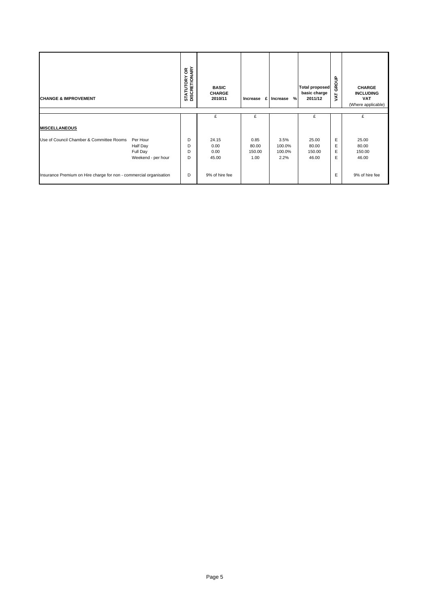| <b>CHANGE &amp; IMPROVEMENT</b>                                    |                                                        | <b>STATUTORY OR</b><br>DISCRETIONARY | <b>BASIC</b><br><b>CHARGE</b><br>2010/11 | £<br>Increase                   | %<br>Increase                    | <b>Total proposed</b><br>basic charge<br>2011/12 | GROUP<br>VAT     | <b>CHARGE</b><br><b>INCLUDING</b><br><b>VAT</b><br>(Where applicable) |
|--------------------------------------------------------------------|--------------------------------------------------------|--------------------------------------|------------------------------------------|---------------------------------|----------------------------------|--------------------------------------------------|------------------|-----------------------------------------------------------------------|
|                                                                    |                                                        |                                      | £                                        | £                               |                                  | £                                                |                  | £                                                                     |
| <b>MISCELLANEOUS</b>                                               |                                                        |                                      |                                          |                                 |                                  |                                                  |                  |                                                                       |
| Use of Council Chamber & Committee Rooms                           | Per Hour<br>Half Day<br>Full Day<br>Weekend - per hour | D<br>D<br>D<br>D                     | 24.15<br>0.00<br>0.00<br>45.00           | 0.85<br>80.00<br>150.00<br>1.00 | 3.5%<br>100.0%<br>100.0%<br>2.2% | 25.00<br>80.00<br>150.00<br>46.00                | Ε<br>E<br>E<br>E | 25.00<br>80.00<br>150.00<br>46.00                                     |
| Insurance Premium on Hire charge for non - commercial organisation |                                                        | D                                    | 9% of hire fee                           |                                 |                                  |                                                  | Ε                | 9% of hire fee                                                        |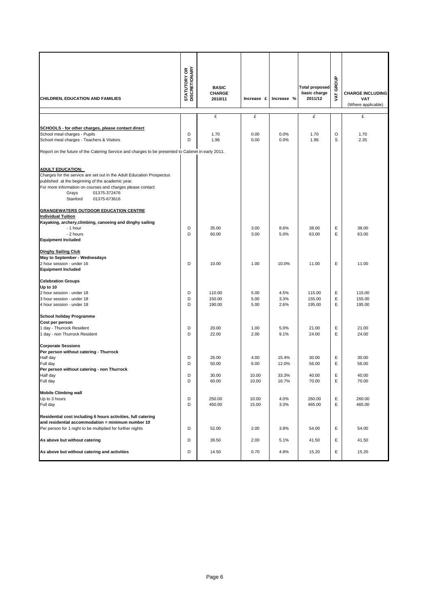| CHILDREN, EDUCATION AND FAMILIES                                                                                          | <b>STATUTORY OR</b><br>DISCRETIONARY | <b>BASIC</b><br><b>CHARGE</b><br>2010/11 | Increase £ | Increase % | <b>Total proposed</b><br>basic charge<br>2011/12 | GROUP<br>Š | <b>CHARGE INCLUDING</b><br><b>VAT</b> |
|---------------------------------------------------------------------------------------------------------------------------|--------------------------------------|------------------------------------------|------------|------------|--------------------------------------------------|------------|---------------------------------------|
|                                                                                                                           |                                      |                                          |            |            |                                                  |            | (Where applicable)                    |
|                                                                                                                           |                                      | £                                        | £          |            | £                                                |            | £                                     |
|                                                                                                                           |                                      |                                          |            |            |                                                  |            |                                       |
| SCHOOLS - for other charges, please contact direct<br>School meal charges - Pupils                                        | D                                    | 1.70                                     | 0.00       | 0.0%       | 1.70                                             | O          | 1.70                                  |
| School meal charges - Teachers & Visitors                                                                                 | D                                    | 1.96                                     | 0.00       | 0.0%       | 1.96                                             | S          | 2.35                                  |
|                                                                                                                           |                                      |                                          |            |            |                                                  |            |                                       |
| Report on the future of the Catering Service and charges to be presented to Cabinet in early 2011.                        |                                      |                                          |            |            |                                                  |            |                                       |
|                                                                                                                           |                                      |                                          |            |            |                                                  |            |                                       |
| <b>ADULT EDUCATION:</b>                                                                                                   |                                      |                                          |            |            |                                                  |            |                                       |
| Charges for the service are set out in the Adult Education Prospectus<br>published at the beginning of the academic year. |                                      |                                          |            |            |                                                  |            |                                       |
| For more information on courses and charges please contact:                                                               |                                      |                                          |            |            |                                                  |            |                                       |
| 01375-372476<br>Grays                                                                                                     |                                      |                                          |            |            |                                                  |            |                                       |
| Stanford<br>01375-673616                                                                                                  |                                      |                                          |            |            |                                                  |            |                                       |
| <b>GRANGEWATERS OUTDOOR EDUCATION CENTRE</b>                                                                              |                                      |                                          |            |            |                                                  |            |                                       |
| <b>Individual Tuition</b>                                                                                                 |                                      |                                          |            |            |                                                  |            |                                       |
| Kayaking, archery, climbing, canoeing and dinghy sailing                                                                  |                                      |                                          |            |            |                                                  |            |                                       |
| - 1 hour                                                                                                                  | D                                    | 35.00                                    | 3.00       | 8.6%       | 38.00                                            | Ε          | 38.00                                 |
| - 2 hours                                                                                                                 | D                                    | 60.00                                    | 3.00       | 5.0%       | 63.00                                            | Ε          | 63.00                                 |
| <b>Equipment Included</b>                                                                                                 |                                      |                                          |            |            |                                                  |            |                                       |
| <b>Dinghy Sailing Club</b>                                                                                                |                                      |                                          |            |            |                                                  |            |                                       |
| May to September - Wednesdays                                                                                             |                                      |                                          |            |            |                                                  |            |                                       |
| 2 hour session - under 16                                                                                                 | D                                    | 10.00                                    | 1.00       | 10.0%      | 11.00                                            | E          | 11.00                                 |
| <b>Equipment Included</b>                                                                                                 |                                      |                                          |            |            |                                                  |            |                                       |
|                                                                                                                           |                                      |                                          |            |            |                                                  |            |                                       |
| <b>Celebration Groups</b><br>Up to 10                                                                                     |                                      |                                          |            |            |                                                  |            |                                       |
| 2 hour session - under 18                                                                                                 | D                                    | 110.00                                   | 5.00       | 4.5%       | 115.00                                           | E          | 115.00                                |
| 3 hour session - under 18                                                                                                 | D                                    | 150.00                                   | 5.00       | 3.3%       | 155.00                                           | E          | 155.00                                |
| 4 hour session - under 18                                                                                                 | D                                    | 190.00                                   | 5.00       | 2.6%       | 195.00                                           | E          | 195.00                                |
|                                                                                                                           |                                      |                                          |            |            |                                                  |            |                                       |
| <b>School holiday Programme</b><br>Cost per person                                                                        |                                      |                                          |            |            |                                                  |            |                                       |
| 1 day - Thurrock Resident                                                                                                 | D                                    | 20.00                                    | 1.00       | 5.0%       | 21.00                                            | Ε          | 21.00                                 |
| 1 day - non Thurrock Resident                                                                                             | D                                    | 22.00                                    | 2.00       | 9.1%       | 24.00                                            | E          | 24.00                                 |
|                                                                                                                           |                                      |                                          |            |            |                                                  |            |                                       |
| <b>Corporate Sessions</b><br>Per person without catering - Thurrock                                                       |                                      |                                          |            |            |                                                  |            |                                       |
| Half day                                                                                                                  | D                                    | 26.00                                    | 4.00       | 15.4%      | 30.00                                            | Ε          | 30.00                                 |
| Full day                                                                                                                  | D                                    | 50.00                                    | 6.00       | 12.0%      | 56.00                                            | Ε          | 56.00                                 |
| Per person without catering - non Thurrock                                                                                |                                      |                                          |            |            |                                                  |            |                                       |
| Half day                                                                                                                  | D                                    | 30.00                                    | 10.00      | 33.3%      | 40.00                                            | E          | 40.00                                 |
| Full day                                                                                                                  | D                                    | 60.00                                    | 10.00      | 16.7%      | 70.00                                            | Е          | 70.00                                 |
| <b>Mobile Climbing wall</b>                                                                                               |                                      |                                          |            |            |                                                  |            |                                       |
| Up to 3 hours                                                                                                             | D                                    | 250.00                                   | 10.00      | 4.0%       | 260.00                                           | Ε          | 260.00                                |
| Full day                                                                                                                  | D                                    | 450.00                                   | 15.00      | 3.3%       | 465.00                                           | Ε          | 465.00                                |
| Residential cost including 6 hours activities, full catering                                                              |                                      |                                          |            |            |                                                  |            |                                       |
| and residential accommodation = minimum number 10                                                                         |                                      |                                          |            |            |                                                  |            |                                       |
| Per person for 1 night to be multiplied for further nights                                                                | D                                    | 52.00                                    | 2.00       | 3.8%       | 54.00                                            | Ε          | 54.00                                 |
|                                                                                                                           |                                      |                                          |            |            |                                                  |            |                                       |
| As above but without catering                                                                                             | D                                    | 39.50                                    | 2.00       | 5.1%       | 41.50                                            | Ε          | 41.50                                 |
| As above but without catering and activities                                                                              | D                                    | 14.50                                    | 0.70       | 4.8%       | 15.20                                            | Е          | 15.20                                 |
|                                                                                                                           |                                      |                                          |            |            |                                                  |            |                                       |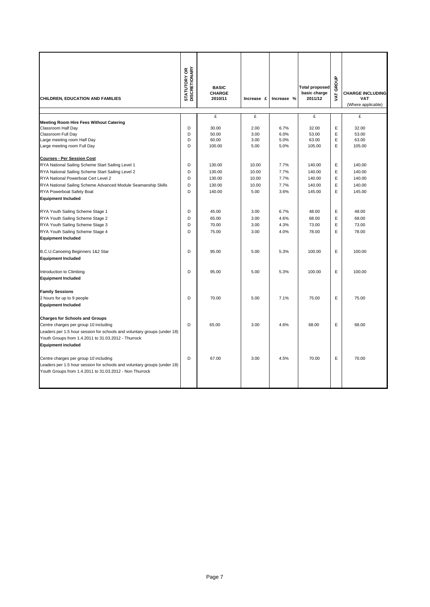| CHILDREN, EDUCATION AND FAMILIES                                                                                                                                                                                                               | <b>STATUTORY OR</b><br>DISCRETIONARY | <b>BASIC</b><br><b>CHARGE</b><br>2010/11 | Increase £ | Increase % | <b>Total proposed</b><br>basic charge<br>2011/12 | GROUP<br>VAT. | <b>CHARGE INCLUDING</b><br><b>VAT</b><br>(Where applicable) |
|------------------------------------------------------------------------------------------------------------------------------------------------------------------------------------------------------------------------------------------------|--------------------------------------|------------------------------------------|------------|------------|--------------------------------------------------|---------------|-------------------------------------------------------------|
|                                                                                                                                                                                                                                                |                                      | £                                        | £          |            | £                                                |               | £                                                           |
| <b>Meeting Room Hire Fees Without Catering</b>                                                                                                                                                                                                 |                                      |                                          |            |            |                                                  |               |                                                             |
| Classroom Half Day                                                                                                                                                                                                                             | D                                    | 30.00                                    | 2.00       | 6.7%       | 32.00                                            | E             | 32.00                                                       |
| Classroom Full Day                                                                                                                                                                                                                             | D                                    | 50.00                                    | 3.00       | 6.0%       | 53.00                                            | E             | 53.00                                                       |
| Large meeting room Half Day                                                                                                                                                                                                                    | D                                    | 60.00                                    | 3.00       | 5.0%       | 63.00                                            | E             | 63.00                                                       |
| Large meeting room Full Day                                                                                                                                                                                                                    | D                                    | 100.00                                   | 5.00       | 5.0%       | 105.00                                           | E             | 105.00                                                      |
| <b>Courses - Per Session Cost</b>                                                                                                                                                                                                              |                                      |                                          |            |            |                                                  |               |                                                             |
| RYA National Sailing Scheme Start Sailing Level 1                                                                                                                                                                                              | D                                    | 130.00                                   | 10.00      | 7.7%       | 140.00                                           | E             | 140.00                                                      |
| RYA National Sailing Scheme Start Sailing Level 2                                                                                                                                                                                              | D                                    | 130.00                                   | 10.00      | 7.7%       | 140.00                                           | E             | 140.00                                                      |
| RYA National Powerboat Cert Level 2                                                                                                                                                                                                            | D                                    | 130.00                                   | 10.00      | 7.7%       | 140.00                                           | E             | 140.00                                                      |
| RYA National Sailing Scheme Advanced Module Seamanship Skills                                                                                                                                                                                  | D                                    | 130.00                                   | 10.00      | 7.7%       | 140.00                                           | E             | 140.00                                                      |
| RYA Powerboat Safety Boat                                                                                                                                                                                                                      | D                                    | 140.00                                   | 5.00       | 3.6%       | 145.00                                           | E             | 145.00                                                      |
| <b>Equipment Included</b>                                                                                                                                                                                                                      |                                      |                                          |            |            |                                                  |               |                                                             |
|                                                                                                                                                                                                                                                |                                      |                                          |            |            |                                                  |               |                                                             |
| RYA Youth Sailing Scheme Stage 1                                                                                                                                                                                                               | D                                    | 45.00                                    | 3.00       | 6.7%       | 48.00                                            | E             | 48.00                                                       |
| RYA Youth Sailing Scheme Stage 2                                                                                                                                                                                                               | D                                    | 65.00                                    | 3.00       | 4.6%       | 68.00                                            | E             | 68.00                                                       |
| RYA Youth Sailing Scheme Stage 3                                                                                                                                                                                                               | D                                    | 70.00                                    | 3.00       | 4.3%       | 73.00                                            | E             | 73.00                                                       |
| RYA Youth Sailing Scheme Stage 4                                                                                                                                                                                                               | D                                    | 75.00                                    | 3.00       | 4.0%       | 78.00                                            | E             | 78.00                                                       |
| <b>Equipment Included</b>                                                                                                                                                                                                                      |                                      |                                          |            |            |                                                  |               |                                                             |
| B.C.U.Canoeing Beginners 1&2 Star<br><b>Equipment Included</b>                                                                                                                                                                                 | D                                    | 95.00                                    | 5.00       | 5.3%       | 100.00                                           | E             | 100.00                                                      |
| Introduction to Climbing<br><b>Equipment Included</b>                                                                                                                                                                                          | D                                    | 95.00                                    | 5.00       | 5.3%       | 100.00                                           | E             | 100.00                                                      |
| <b>Family Sessions</b><br>2 hours for up to 9 people<br><b>Equipment Included</b>                                                                                                                                                              | D                                    | 70.00                                    | 5.00       | 7.1%       | 75.00                                            | E             | 75.00                                                       |
| <b>Charges for Schools and Groups</b><br>Centre charges per group 10 including<br>Leaders per 1.5 hour session for schools and voluntary groups (under 18)<br>Youth Groups from 1.4.2011 to 31.03.2012 - Thurrock<br><b>Equipment included</b> | D                                    | 65.00                                    | 3.00       | 4.6%       | 68.00                                            | E             | 68.00                                                       |
| Centre charges per group 10 including<br>Leaders per 1.5 hour session for schools and voluntary groups (under 18)<br>Youth Groups from 1.4.2011 to 31.03.2012 - Non Thurrock                                                                   | D                                    | 67.00                                    | 3.00       | 4.5%       | 70.00                                            | E             | 70.00                                                       |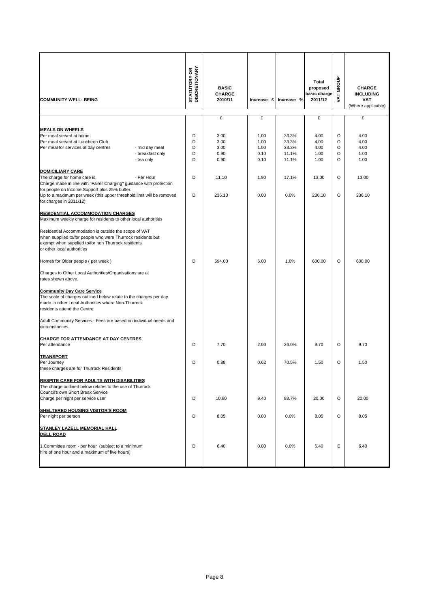| <b>COMMUNITY WELL- BEING</b>                                                                                                                                                                                                                                                                                                                                                                                                                                                                                                                                                                                                                | <b>STATUTORY OR<br/>DISCRETIONARY</b> | <b>BASIC</b><br><b>CHARGE</b><br>2010/11 |                                      | Increase £ Increase %                     | Total<br>proposed<br>basic charge<br>2011/12 | GROUP<br><b>AT</b>                      | <b>CHARGE</b><br><b>INCLUDING</b><br>VAT<br>(Where applicable) |
|---------------------------------------------------------------------------------------------------------------------------------------------------------------------------------------------------------------------------------------------------------------------------------------------------------------------------------------------------------------------------------------------------------------------------------------------------------------------------------------------------------------------------------------------------------------------------------------------------------------------------------------------|---------------------------------------|------------------------------------------|--------------------------------------|-------------------------------------------|----------------------------------------------|-----------------------------------------|----------------------------------------------------------------|
|                                                                                                                                                                                                                                                                                                                                                                                                                                                                                                                                                                                                                                             |                                       | £                                        | £                                    |                                           | £                                            |                                         | £                                                              |
| <b>MEALS ON WHEELS</b><br>Per meal served at home<br>Per meal served at Luncheon Club<br>Per meal for services at day centres<br>- mid day meal<br>- breakfast only<br>- tea only                                                                                                                                                                                                                                                                                                                                                                                                                                                           | D<br>D<br>D<br>D<br>D                 | 3.00<br>3.00<br>3.00<br>0.90<br>0.90     | 1.00<br>1.00<br>1.00<br>0.10<br>0.10 | 33.3%<br>33.3%<br>33.3%<br>11.1%<br>11.1% | 4.00<br>4.00<br>4.00<br>1.00<br>1.00         | $\circ$<br>O<br>$\circ$<br>$\circ$<br>O | 4.00<br>4.00<br>4.00<br>1.00<br>1.00                           |
| <b>DOMICILIARY CARE</b>                                                                                                                                                                                                                                                                                                                                                                                                                                                                                                                                                                                                                     |                                       |                                          |                                      |                                           |                                              |                                         |                                                                |
| The charge for home care is<br>- Per Hour<br>Charge made in line with "Fairer Charging" guidance with protection<br>for people on Income Support plus 25% buffer.<br>Up to a maximum per week (this upper threshold limit will be removed                                                                                                                                                                                                                                                                                                                                                                                                   | D<br>D                                | 11.10<br>236.10                          | 1.90<br>0.00                         | 17.1%<br>0.0%                             | 13.00<br>236.10                              | $\circ$<br>$\circ$                      | 13.00<br>236.10                                                |
| for charges in 2011/12)                                                                                                                                                                                                                                                                                                                                                                                                                                                                                                                                                                                                                     |                                       |                                          |                                      |                                           |                                              |                                         |                                                                |
| <b>RESIDENTIAL ACCOMMODATION CHARGES</b><br>Maximum weekly charge for residents to other local authorities<br>Residential Accommodation is outside the scope of VAT<br>when supplied to/for people who were Thurrock residents but<br>exempt when supplied to/for non Thurrock residents<br>or other local authorities<br>Homes for Older people (per week)<br>Charges to Other Local Authorities/Organisations are at<br>rates shown above.<br><b>Community Day Care Service</b><br>The scale of charges outlined below relate to the charges per day<br>made to other Local Authorities where Non-Thurrock<br>residents attend the Centre |                                       | 594.00                                   | 6.00                                 | 1.0%                                      | 600.00                                       | O                                       | 600.00                                                         |
| circumstances.                                                                                                                                                                                                                                                                                                                                                                                                                                                                                                                                                                                                                              |                                       |                                          |                                      |                                           |                                              |                                         |                                                                |
| <b>CHARGE FOR ATTENDANCE AT DAY CENTRES</b><br>Per attendance                                                                                                                                                                                                                                                                                                                                                                                                                                                                                                                                                                               | D                                     | 7.70                                     | 2.00                                 | 26.0%                                     | 9.70                                         | O                                       | 9.70                                                           |
| <b>TRANSPORT</b><br>Per Journey<br>these charges are for Thurrock Residents                                                                                                                                                                                                                                                                                                                                                                                                                                                                                                                                                                 | D                                     | 0.88                                     | 0.62                                 | 70.5%                                     | 1.50                                         | O                                       | 1.50                                                           |
| <b>RESPITE CARE FOR ADULTS WITH DISABILITIES</b><br>The charge outlined below relates to the use of Thurrock<br>Council's own Short Break Service<br>Charge per night per service user                                                                                                                                                                                                                                                                                                                                                                                                                                                      | D                                     | 10.60                                    | 9.40                                 | 88.7%                                     | 20.00                                        | O                                       | 20.00                                                          |
| <b>SHELTERED HOUSING VISITOR'S ROOM</b><br>Per night per person                                                                                                                                                                                                                                                                                                                                                                                                                                                                                                                                                                             | D                                     | 8.05                                     | 0.00                                 | 0.0%                                      | 8.05                                         | O                                       | 8.05                                                           |
| STANLEY LAZELL MEMORIAL HALL<br><b>DELL ROAD</b>                                                                                                                                                                                                                                                                                                                                                                                                                                                                                                                                                                                            |                                       |                                          |                                      |                                           |                                              |                                         |                                                                |
| 1. Committee room - per hour (subject to a minimum<br>hire of one hour and a maximum of five hours)                                                                                                                                                                                                                                                                                                                                                                                                                                                                                                                                         | D                                     | 6.40                                     | 0.00                                 | 0.0%                                      | 6.40                                         | Ε                                       | 6.40                                                           |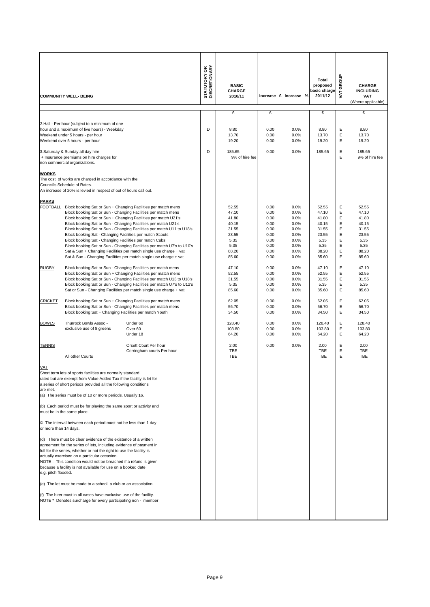|                       | <b>COMMUNITY WELL- BEING</b><br>2.Hall - Per hour (subject to a minimum of one<br>hour and a maximum of five hours) - Weekday<br>Weekend under 5 hours - per hour<br>Weekend over 5 hours - per hour<br>3. Saturday & Sunday all day hire<br>+ Insurance premiums on hire charges for                                                                                                                                                                                                                                                                                                                      |                                                                                                                                                                                                                                                                                                                                                                                                                                                                                                                                                                          | <b>STATUTORY OR<br/>DISCRETIONARY</b><br>D<br>D | <b>BASIC</b><br><b>CHARGE</b><br>2010/11<br>£<br>8.80<br>13.70<br>19.20<br>185.65<br>9% of hire fee | £<br>0.00<br>0.00<br>0.00<br>0.00                                            | Increase £ Increase %<br>0.0%<br>0.0%<br>0.0%<br>0.0%                        | <b>Total</b><br>proposed<br>basic charge<br>2011/12<br>£<br>8.80<br>13.70<br>19.20<br>185.65 | GROUP<br>VAT.<br>E<br>Ε<br>Ε<br>Ε<br>E         | <b>CHARGE</b><br><b>INCLUDING</b><br><b>VAT</b><br>(Where applicable)<br>£<br>8.80<br>13.70<br>19.20<br>185.65<br>9% of hire fee |
|-----------------------|------------------------------------------------------------------------------------------------------------------------------------------------------------------------------------------------------------------------------------------------------------------------------------------------------------------------------------------------------------------------------------------------------------------------------------------------------------------------------------------------------------------------------------------------------------------------------------------------------------|--------------------------------------------------------------------------------------------------------------------------------------------------------------------------------------------------------------------------------------------------------------------------------------------------------------------------------------------------------------------------------------------------------------------------------------------------------------------------------------------------------------------------------------------------------------------------|-------------------------------------------------|-----------------------------------------------------------------------------------------------------|------------------------------------------------------------------------------|------------------------------------------------------------------------------|----------------------------------------------------------------------------------------------|------------------------------------------------|----------------------------------------------------------------------------------------------------------------------------------|
| <b>WORKS</b>          | non commercial organizations.<br>The cost of works are charged in accordance with the<br>Council's Schedule of Rates.<br>An increase of 20% is levied in respect of out of hours call out.                                                                                                                                                                                                                                                                                                                                                                                                                 |                                                                                                                                                                                                                                                                                                                                                                                                                                                                                                                                                                          |                                                 |                                                                                                     |                                                                              |                                                                              |                                                                                              |                                                |                                                                                                                                  |
| <b>PARKS</b>          | Block booking Sat - Changing Facilities per match Scouts<br>Block booking Sat - Changing Facilities per match Cubs                                                                                                                                                                                                                                                                                                                                                                                                                                                                                         | FOOTBALL Block booking Sat or Sun + Changing Facilities per match mens<br>Block booking Sat or Sun - Changing Facilities per match mens<br>Block booking Sat or Sun + Changing Facilities per match U21's<br>Block booking Sat or Sun - Changing Facilities per match U21's<br>Block booking Sat or Sun - Changing Facilities per match U11 to U18's<br>Block booking Sat or Sun - Changing Facilities per match U7's to U10's<br>Sat & Sun + Changing Facilities per match single use charge + vat<br>Sat & Sun - Changing Facilities per match single use charge + vat |                                                 | 52.55<br>47.10<br>41.80<br>40.15<br>31.55<br>23.55<br>5.35<br>5.35<br>88.20<br>85.60                | 0.00<br>0.00<br>0.00<br>0.00<br>0.00<br>0.00<br>0.00<br>0.00<br>0.00<br>0.00 | 0.0%<br>0.0%<br>0.0%<br>0.0%<br>0.0%<br>0.0%<br>0.0%<br>0.0%<br>0.0%<br>0.0% | 52.55<br>47.10<br>41.80<br>40.15<br>31.55<br>23.55<br>5.35<br>5.35<br>88.20<br>85.60         | Ε<br>E<br>Ε<br>Ε<br>Ε<br>Ε<br>Ε<br>Ε<br>Ε<br>E | 52.55<br>47.10<br>41.80<br>40.15<br>31.55<br>23.55<br>5.35<br>5.35<br>88.20<br>85.60                                             |
| <b>RUGBY</b>          |                                                                                                                                                                                                                                                                                                                                                                                                                                                                                                                                                                                                            | Block booking Sat or Sun - Changing Facilities per match mens<br>Block booking Sat or Sun + Changing Facilities per match mens<br>Block booking Sat or Sun - Changing Facilities per match U13 to U18's<br>Block booking Sat or Sun - Changing Facilities per match U7's to U12's<br>Sat or Sun - Changing Facilities per match single use charge + vat                                                                                                                                                                                                                  |                                                 | 47.10<br>52.55<br>31.55<br>5.35<br>85.60                                                            | 0.00<br>0.00<br>0.00<br>0.00<br>0.00                                         | 0.0%<br>0.0%<br>0.0%<br>0.0%<br>0.0%                                         | 47.10<br>52.55<br>31.55<br>5.35<br>85.60                                                     | E<br>Ε<br>Ε<br>Е<br>Ε                          | 47.10<br>52.55<br>31.55<br>5.35<br>85.60                                                                                         |
| <b>CRICKET</b>        | Block booking Sat + Changing Facilities per match Youth                                                                                                                                                                                                                                                                                                                                                                                                                                                                                                                                                    | Block booking Sat or Sun + Changing Facilities per match mens<br>Block booking Sat or Sun - Changing Facilities per match mens                                                                                                                                                                                                                                                                                                                                                                                                                                           |                                                 | 62.05<br>56.70<br>34.50                                                                             | 0.00<br>0.00<br>0.00                                                         | 0.0%<br>0.0%<br>0.0%                                                         | 62.05<br>56.70<br>34.50                                                                      | Ε<br>Ε<br>E                                    | 62.05<br>56.70<br>34.50                                                                                                          |
| <b>BOWLS</b>          | Thurrock Bowls Assoc -<br>exclusive use of 8 greens                                                                                                                                                                                                                                                                                                                                                                                                                                                                                                                                                        | Under 60<br>Over <sub>60</sub><br>Under 18                                                                                                                                                                                                                                                                                                                                                                                                                                                                                                                               |                                                 | 128.40<br>103.80<br>64.20                                                                           | 0.00<br>0.00<br>0.00                                                         | 0.0%<br>0.0%<br>0.0%                                                         | 128.40<br>103.80<br>64.20                                                                    | Ε<br>Ε<br>Ε                                    | 128.40<br>103.80<br>64.20                                                                                                        |
| <b>TENNIS</b>         | All other Courts                                                                                                                                                                                                                                                                                                                                                                                                                                                                                                                                                                                           | Orsett Court Per hour<br>Corringham courts Per hour                                                                                                                                                                                                                                                                                                                                                                                                                                                                                                                      |                                                 | 2.00<br>TBE<br><b>TBE</b>                                                                           | 0.00                                                                         | 0.0%                                                                         | 2.00<br>TBE<br><b>TBE</b>                                                                    | Ε<br>Ε<br>Ε                                    | 2.00<br>TBE<br><b>TBE</b>                                                                                                        |
| VAT<br>are met.       | Short term lets of sports facilities are normally standard<br>rated but are exempt from Value Added Tax if the facility is let for<br>a series of short periods provided all the following conditions<br>(a) The series must be of 10 or more periods. Usually 16.<br>(b) Each period must be for playing the same sport or activity and                                                                                                                                                                                                                                                                   |                                                                                                                                                                                                                                                                                                                                                                                                                                                                                                                                                                          |                                                 |                                                                                                     |                                                                              |                                                                              |                                                                                              |                                                |                                                                                                                                  |
| or more than 14 days. | must be in the same place.<br>© The interval between each period must not be less than 1 day                                                                                                                                                                                                                                                                                                                                                                                                                                                                                                               |                                                                                                                                                                                                                                                                                                                                                                                                                                                                                                                                                                          |                                                 |                                                                                                     |                                                                              |                                                                              |                                                                                              |                                                |                                                                                                                                  |
| e.g. pitch flooded.   | (d) There must be clear evidence of the existence of a written<br>agreement for the series of lets, including evidence of payment in<br>full for the series, whether or not the right to use the facility is<br>actually exercised on a particular occasion.<br>NOTE: This condition would not be breached if a refund is given<br>because a facility is not available for use on a booked date<br>(e) The let must be made to a school, a club or an association.<br>(f) The hirer must in all cases have exclusive use of the facility.<br>NOTE * Denotes surcharge for every participating non - member |                                                                                                                                                                                                                                                                                                                                                                                                                                                                                                                                                                          |                                                 |                                                                                                     |                                                                              |                                                                              |                                                                                              |                                                |                                                                                                                                  |
|                       |                                                                                                                                                                                                                                                                                                                                                                                                                                                                                                                                                                                                            |                                                                                                                                                                                                                                                                                                                                                                                                                                                                                                                                                                          |                                                 |                                                                                                     |                                                                              |                                                                              |                                                                                              |                                                |                                                                                                                                  |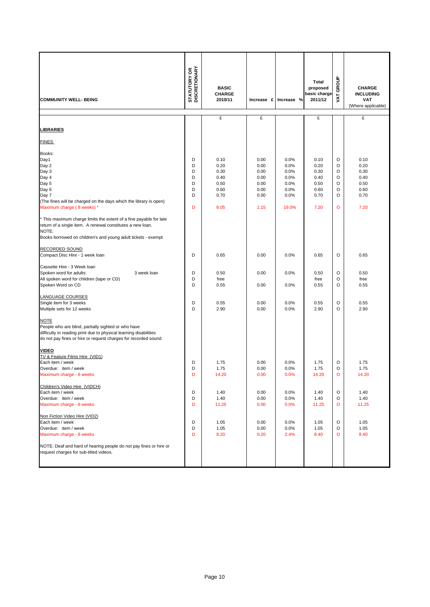| <b>COMMUNITY WELL- BEING</b>                                                                                                                                                                                                                                                                                                                                                                                                                                                                                                                                          | <b>STATUTORY OR<br/>DISCRETIONARY</b>               | <b>BASIC</b><br><b>CHARGE</b><br>2010/11                                             | Increase £                                                                   | Increase %                                                                    | Total<br>proposed<br>basic charge<br>2011/12                                         | GROUP<br><b>TAV</b>                                             | <b>CHARGE</b><br><b>INCLUDING</b><br>VAT<br>(Where applicable)                       |
|-----------------------------------------------------------------------------------------------------------------------------------------------------------------------------------------------------------------------------------------------------------------------------------------------------------------------------------------------------------------------------------------------------------------------------------------------------------------------------------------------------------------------------------------------------------------------|-----------------------------------------------------|--------------------------------------------------------------------------------------|------------------------------------------------------------------------------|-------------------------------------------------------------------------------|--------------------------------------------------------------------------------------|-----------------------------------------------------------------|--------------------------------------------------------------------------------------|
|                                                                                                                                                                                                                                                                                                                                                                                                                                                                                                                                                                       |                                                     | £                                                                                    | £                                                                            |                                                                               | £                                                                                    |                                                                 | £                                                                                    |
| <u>LIBRARIES</u>                                                                                                                                                                                                                                                                                                                                                                                                                                                                                                                                                      |                                                     |                                                                                      |                                                                              |                                                                               |                                                                                      |                                                                 |                                                                                      |
| <b>FINES</b>                                                                                                                                                                                                                                                                                                                                                                                                                                                                                                                                                          |                                                     |                                                                                      |                                                                              |                                                                               |                                                                                      |                                                                 |                                                                                      |
| Books:<br>Day1<br>Day 2<br>Day 3<br>Day 4<br>Day 5<br>Day 6<br>Day 7<br>(The fines will be charged on the days which the library is open)<br>Maximum charge (8 weeks) *<br>This maximum charge limits the extent of a fine payable for late<br>return of a single item. A renewal constitutes a new loan.<br>NOTE:<br>Books borrowed on children's and young adult tickets - exempt<br><b>RECORDED SOUND</b><br>Compact Disc Hire - 1 week loan<br>Cassette Hire - 3 Week loan<br>Spoken word for adults:<br>3 week loan<br>All spoken word for children (tape or CD) | D<br>D<br>D<br>D<br>D<br>D<br>D<br>D<br>D<br>D<br>D | 0.10<br>0.20<br>0.30<br>0.40<br>0.50<br>0.60<br>0.70<br>6.05<br>0.65<br>0.50<br>free | 0.00<br>0.00<br>0.00<br>0.00<br>0.00<br>0.00<br>0.00<br>1.15<br>0.00<br>0.00 | 0.0%<br>0.0%<br>0.0%<br>0.0%<br>0.0%<br>0.0%<br>0.0%<br>19.0%<br>0.0%<br>0.0% | 0.10<br>0.20<br>0.30<br>0.40<br>0.50<br>0.60<br>0.70<br>7.20<br>0.65<br>0.50<br>free | O<br>O<br>O<br>O<br>O<br>O<br>O<br>$\circ$<br>O<br>$\circ$<br>O | 0.10<br>0.20<br>0.30<br>0.40<br>0.50<br>0.60<br>0.70<br>7.20<br>0.65<br>0.50<br>free |
| Spoken Word on CD<br><b>LANGUAGE COURSES</b><br>Single item for 3 weeks<br>Multiple sets for 12 weeks<br><b>NOTE</b><br>People who are blind, partially sighted or who have<br>difficulty in reading print due to physical learning disabilities<br>do not pay fines or hire or request charges for recorded sound                                                                                                                                                                                                                                                    | D<br>D<br>D                                         | 0.55<br>0.55<br>2.90                                                                 | 0.00<br>0.00<br>0.00                                                         | 0.0%<br>0.0%<br>0.0%                                                          | 0.55<br>0.55<br>2.90                                                                 | O<br>O<br>O                                                     | 0.55<br>0.55<br>2.90                                                                 |
| <b>VIDEO</b><br>TV & Feature Films Hire (VID1)<br>Each item / week<br>Overdue: item / week<br>Maximum charge - 8 weeks<br>Children's Video Hire (VIDCH)<br>Each item / week<br>Overdue: item / week<br>Maximum charge - 8 weeks<br>Non Fiction Video Hire (VID2)<br>Each item / week<br>Overdue: item / week<br>Maximum charge - 8 weeks<br>NOTE: Deaf and hard of hearing people do not pay fines or hire or<br>request charges for sub-titled videos.                                                                                                               | D<br>D<br>D<br>D<br>D<br>D<br>D<br>D<br>D           | 1.75<br>1.75<br>14.20<br>1.40<br>1.40<br>11.25<br>1.05<br>1.05<br>8.20               | 0.00<br>0.00<br>0.00<br>0.00<br>0.00<br>0.00<br>0.00<br>0.00<br>0.20         | 0.0%<br>0.0%<br>0.0%<br>0.0%<br>0.0%<br>0.0%<br>0.0%<br>0.0%<br>2.4%          | 1.75<br>1.75<br>14.20<br>1.40<br>1.40<br>11.25<br>1.05<br>1.05<br>8.40               | O<br>O<br>o<br>$\circ$<br>O<br>O<br>$\circ$<br>O<br>O           | 1.75<br>1.75<br>14.20<br>1.40<br>1.40<br>11.25<br>1.05<br>1.05<br>8.40               |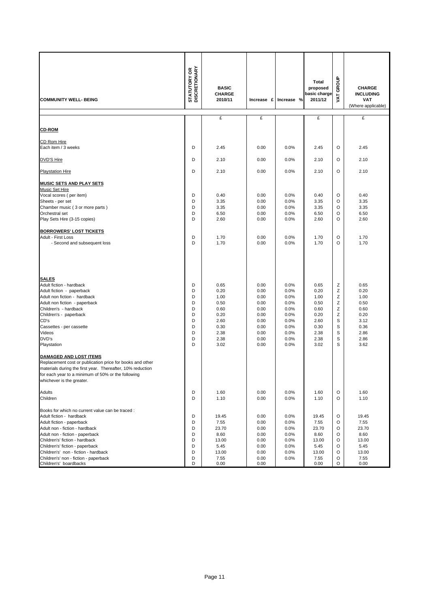| <b>COMMUNITY WELL- BEING</b>                                                                                                                                                                                                                                                                                                                                   | <b>STATUTORY OR<br/>DISCRETIONARY</b>               | <b>BASIC</b><br><b>CHARGE</b><br>2010/11                                             | Increase £                                                                           | Increase %                                                                           | Total<br>proposed<br>basic charge<br>2011/12                                         | GROUP<br>VAT                                          | <b>CHARGE</b><br><b>INCLUDING</b><br>VAT<br>(Where applicable)                       |
|----------------------------------------------------------------------------------------------------------------------------------------------------------------------------------------------------------------------------------------------------------------------------------------------------------------------------------------------------------------|-----------------------------------------------------|--------------------------------------------------------------------------------------|--------------------------------------------------------------------------------------|--------------------------------------------------------------------------------------|--------------------------------------------------------------------------------------|-------------------------------------------------------|--------------------------------------------------------------------------------------|
|                                                                                                                                                                                                                                                                                                                                                                |                                                     | £                                                                                    | £                                                                                    |                                                                                      | £                                                                                    |                                                       | £                                                                                    |
| <b>CD-ROM</b>                                                                                                                                                                                                                                                                                                                                                  |                                                     |                                                                                      |                                                                                      |                                                                                      |                                                                                      |                                                       |                                                                                      |
| CD Rom Hire<br>Each item / 3 weeks                                                                                                                                                                                                                                                                                                                             | D                                                   | 2.45                                                                                 | 0.00                                                                                 | 0.0%                                                                                 | 2.45                                                                                 | O                                                     | 2.45                                                                                 |
| <b>DVD'S Hire</b>                                                                                                                                                                                                                                                                                                                                              | D                                                   | 2.10                                                                                 | 0.00                                                                                 | 0.0%                                                                                 | 2.10                                                                                 | O                                                     | 2.10                                                                                 |
| <b>Playstation Hire</b>                                                                                                                                                                                                                                                                                                                                        | D                                                   | 2.10                                                                                 | 0.00                                                                                 | 0.0%                                                                                 | 2.10                                                                                 | O                                                     | 2.10                                                                                 |
| <b>MUSIC SETS AND PLAY SETS</b>                                                                                                                                                                                                                                                                                                                                |                                                     |                                                                                      |                                                                                      |                                                                                      |                                                                                      |                                                       |                                                                                      |
| <b>Music Set Hire</b><br>Vocal scores (per item)<br>Sheets - per set<br>Chamber music (3 or more parts)<br>Orchestral set<br>Play Sets Hire (3-15 copies)                                                                                                                                                                                                      | D<br>D<br>D<br>D<br>D                               | 0.40<br>3.35<br>3.35<br>6.50<br>2.60                                                 | 0.00<br>0.00<br>0.00<br>0.00<br>0.00                                                 | 0.0%<br>0.0%<br>0.0%<br>0.0%<br>0.0%                                                 | 0.40<br>3.35<br>3.35<br>6.50<br>2.60                                                 | $\circ$<br>O<br>O<br>O<br>O                           | 0.40<br>3.35<br>3.35<br>6.50<br>2.60                                                 |
| <b>BORROWERS' LOST TICKETS</b><br>Adult - First Loss<br>- Second and subsequent loss                                                                                                                                                                                                                                                                           | D<br>D                                              | 1.70<br>1.70                                                                         | 0.00<br>0.00                                                                         | 0.0%<br>0.0%                                                                         | 1.70<br>1.70                                                                         | O<br>O                                                | 1.70<br>1.70                                                                         |
| <b>SALES</b><br>Adult fiction - hardback<br>Adult fiction - paperback<br>Adult non fiction - hardback<br>Adult non fiction - paperback<br>Children's - hardback<br>Children's - paperback<br>CD's<br>Cassettes - per cassette<br>Videos<br>DVD's<br>Playstation                                                                                                | D<br>D<br>D<br>D<br>D<br>D<br>D<br>D<br>D<br>D<br>D | 0.65<br>0.20<br>1.00<br>0.50<br>0.60<br>0.20<br>2.60<br>0.30<br>2.38<br>2.38<br>3.02 | 0.00<br>0.00<br>0.00<br>0.00<br>0.00<br>0.00<br>0.00<br>0.00<br>0.00<br>0.00<br>0.00 | 0.0%<br>0.0%<br>0.0%<br>0.0%<br>0.0%<br>0.0%<br>0.0%<br>0.0%<br>0.0%<br>0.0%<br>0.0% | 0.65<br>0.20<br>1.00<br>0.50<br>0.60<br>0.20<br>2.60<br>0.30<br>2.38<br>2.38<br>3.02 | Z<br>Z<br>Z<br>Z<br>Z<br>Ζ<br>S<br>S<br>S<br>S<br>S   | 0.65<br>0.20<br>1.00<br>0.50<br>0.60<br>0.20<br>3.12<br>0.36<br>2.86<br>2.86<br>3.62 |
| <b>DAMAGED AND LOST ITEMS</b><br>Replacement cost or publication price for books and other<br>materials during the first year. Thereafter, 10% reduction<br>for each year to a minimum of 50% or the following<br>whichever is the greater.<br><b>Adults</b>                                                                                                   | D                                                   | 1.60                                                                                 | 0.00                                                                                 | 0.0%                                                                                 | 1.60                                                                                 | O                                                     | 1.60                                                                                 |
| Children                                                                                                                                                                                                                                                                                                                                                       | D                                                   | 1.10                                                                                 | 0.00                                                                                 | 0.0%                                                                                 | 1.10                                                                                 | O                                                     | 1.10                                                                                 |
| Books for which no current value can be traced :<br>Adult fiction - hardback<br>Adult fiction - paperback<br>Adult non - fiction - hardback<br>Adult non - fiction - paperback<br>Children's' fiction - hardback<br>Children's' fiction - paperback<br>Children's' non - fiction - hardback<br>Children's' non - fiction - paperback<br>Children's' boardbacks | D<br>D<br>D<br>D<br>D<br>D<br>D<br>D<br>D           | 19.45<br>7.55<br>23.70<br>8.60<br>13.00<br>5.45<br>13.00<br>7.55<br>0.00             | 0.00<br>0.00<br>0.00<br>0.00<br>0.00<br>0.00<br>0.00<br>0.00<br>0.00                 | 0.0%<br>0.0%<br>0.0%<br>0.0%<br>0.0%<br>0.0%<br>0.0%<br>0.0%                         | 19.45<br>7.55<br>23.70<br>8.60<br>13.00<br>5.45<br>13.00<br>7.55<br>0.00             | O<br>O<br>O<br>$\circ$<br>O<br>O<br>O<br>O<br>$\circ$ | 19.45<br>7.55<br>23.70<br>8.60<br>13.00<br>5.45<br>13.00<br>7.55<br>0.00             |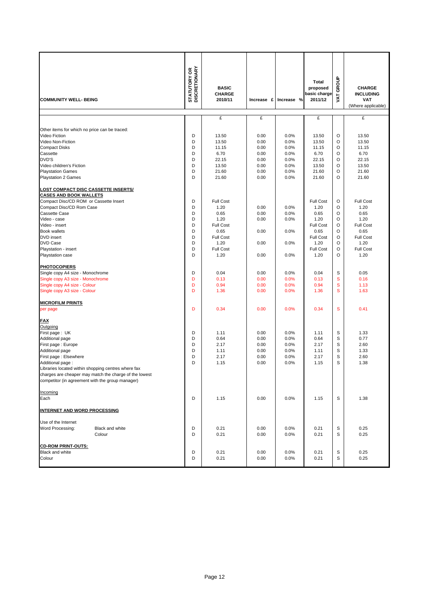|                                                                         | <b>STATUTORY OR<br/>DISCRETIONARY</b> | <b>BASIC</b><br><b>CHARGE</b> |              |              | Total<br>proposed<br>basic charge | GROUP<br><b>TAV</b> | <b>CHARGE</b><br><b>INCLUDING</b> |
|-------------------------------------------------------------------------|---------------------------------------|-------------------------------|--------------|--------------|-----------------------------------|---------------------|-----------------------------------|
| <b>COMMUNITY WELL- BEING</b>                                            |                                       | 2010/11                       | Increase £   | Increase %   | 2011/12                           |                     | VAT<br>(Where applicable)         |
|                                                                         |                                       | £                             | £            |              | £                                 |                     | £                                 |
| Other items for which no price can be traced:<br>Video Fiction          | D                                     | 13.50                         | 0.00         | 0.0%         | 13.50                             | O                   | 13.50                             |
| Video Non-Fiction                                                       | D                                     | 13.50                         | 0.00         | 0.0%         | 13.50                             | O                   | 13.50                             |
| <b>Compact Disks</b>                                                    | D                                     | 11.15                         | 0.00         | 0.0%         | 11.15                             | O                   | 11.15                             |
| Cassette<br>DVD'S                                                       | D<br>D                                | 6.70<br>22.15                 | 0.00<br>0.00 | 0.0%<br>0.0% | 6.70<br>22.15                     | O<br>O              | 6.70<br>22.15                     |
| Video children's Fiction                                                | D                                     | 13.50                         | 0.00         | 0.0%         | 13.50                             | O                   | 13.50                             |
| <b>Playstation Games</b>                                                | D                                     | 21.60                         | 0.00         | 0.0%         | 21.60                             | O                   | 21.60                             |
| <b>Playstation 2 Games</b>                                              | D                                     | 21.60                         | 0.00         | 0.0%         | 21.60                             | O                   | 21.60                             |
| <b>LOST COMPACT DISC CASSETTE INSERTS/</b>                              |                                       |                               |              |              |                                   |                     |                                   |
| <b>CASES AND BOOK WALLETS</b><br>Compact Disc/CD ROM or Cassette Insert | D                                     | Full Cost                     |              |              | <b>Full Cost</b>                  | O                   | <b>Full Cost</b>                  |
| Compact Disc/CD Rom Case                                                | D                                     | 1.20                          | 0.00         | 0.0%         | 1.20                              | O                   | 1.20                              |
| <b>Cassette Case</b>                                                    | D                                     | 0.65                          | 0.00         | 0.0%         | 0.65                              | O                   | 0.65                              |
| Video - case                                                            | D                                     | 1.20                          | 0.00         | 0.0%         | 1.20                              | O                   | 1.20                              |
| Video - insert                                                          | D                                     | <b>Full Cost</b>              |              |              | <b>Full Cost</b>                  | O                   | <b>Full Cost</b>                  |
| <b>Book wallets</b>                                                     | D                                     | 0.65                          | 0.00         | 0.0%         | 0.65                              | O                   | 0.65                              |
| <b>DVD</b> insert                                                       | D                                     | Full Cost                     |              |              | <b>Full Cost</b>                  | O                   | <b>Full Cost</b>                  |
| <b>DVD Case</b><br>Playstation - insert                                 | D<br>D                                | 1.20<br><b>Full Cost</b>      | 0.00         | 0.0%         | 1.20<br><b>Full Cost</b>          | O<br>O              | 1.20<br><b>Full Cost</b>          |
| Playstation case                                                        | D                                     | 1.20                          | 0.00         | 0.0%         | 1.20                              | O                   | 1.20                              |
|                                                                         |                                       |                               |              |              |                                   |                     |                                   |
| <b>PHOTOCOPIERS</b>                                                     |                                       |                               |              |              |                                   |                     |                                   |
| Single copy A4 size - Monochrome                                        | D                                     | 0.04                          | 0.00         | 0.0%         | 0.04                              | S                   | 0.05                              |
| Single copy A3 size - Monochrome                                        | D                                     | 0.13                          | 0.00         | 0.0%         | 0.13                              | S                   | 0.16                              |
| Single copy A4 size - Colour                                            | D                                     | 0.94                          | 0.00         | 0.0%         | 0.94                              | S                   | 1.13                              |
| Single copy A3 size - Colour                                            | D                                     | 1.36                          | 0.00         | 0.0%         | 1.36                              | S                   | 1.63                              |
| <b>MICROFILM PRINTS</b>                                                 |                                       |                               |              |              |                                   |                     |                                   |
| per page                                                                | D                                     | 0.34                          | 0.00         | 0.0%         | 0.34                              | S                   | 0.41                              |
| <b>FAX</b>                                                              |                                       |                               |              |              |                                   |                     |                                   |
| Outgoing                                                                |                                       |                               |              |              |                                   |                     |                                   |
| First page: UK                                                          | D                                     | 1.11                          | 0.00         | 0.0%         | 1.11                              | S                   | 1.33                              |
| Additional page                                                         | D<br>D                                | 0.64<br>2.17                  | 0.00         | 0.0%         | 0.64<br>2.17                      | S<br>S              | 0.77<br>2.60                      |
| First page: Europe<br>Additional page                                   | D                                     | 1.11                          | 0.00<br>0.00 | 0.0%<br>0.0% | 1.11                              | S                   | 1.33                              |
| First page : Elsewhere                                                  | D                                     | 2.17                          | 0.00         | 0.0%         | 2.17                              | S                   | 2.60                              |
| Additional page:                                                        | D                                     | 1.15                          | 0.00         | 0.0%         | 1.15                              | S                   | 1.38                              |
| Libraries located within shopping centres where fax                     |                                       |                               |              |              |                                   |                     |                                   |
| charges are cheaper may match the charge of the lowest                  |                                       |                               |              |              |                                   |                     |                                   |
| competitor (in agreement with the group manager)                        |                                       |                               |              |              |                                   |                     |                                   |
| Incoming                                                                |                                       |                               |              |              |                                   |                     |                                   |
| Each                                                                    | D                                     | 1.15                          | 0.00         | 0.0%         | 1.15                              | S                   | 1.38                              |
| <b>INTERNET AND WORD PROCESSING</b>                                     |                                       |                               |              |              |                                   |                     |                                   |
| Use of the Internet                                                     |                                       |                               |              |              |                                   |                     |                                   |
| Word Processing:<br>Black and white<br>Colour                           | D<br>D                                | 0.21<br>0.21                  | 0.00<br>0.00 | 0.0%<br>0.0% | 0.21<br>0.21                      | S<br>S              | 0.25<br>0.25                      |
| <b>CD-ROM PRINT-OUTS:</b>                                               |                                       |                               |              |              |                                   |                     |                                   |
| <b>Black and white</b>                                                  | D                                     | 0.21                          | 0.00         | 0.0%         | 0.21                              | S                   | 0.25                              |
| Colour                                                                  | D                                     | 0.21                          | 0.00         | 0.0%         | 0.21                              | S                   | 0.25                              |
|                                                                         |                                       |                               |              |              |                                   |                     |                                   |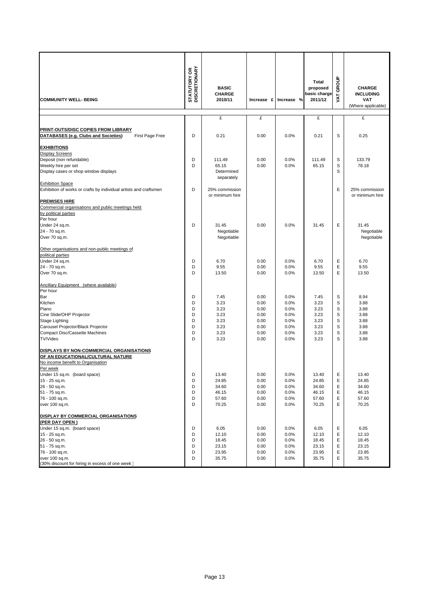| <b>COMMUNITY WELL- BEING</b>                                                                                                   | <b>STATUTORY OR<br/>DISCRETIONARY</b> | <b>BASIC</b><br><b>CHARGE</b><br>2010/11 | Increase £   | Increase %   | Total<br>proposed<br>basic charge<br>2011/12 | GROUP<br>Š | <b>CHARGE</b><br><b>INCLUDING</b><br><b>VAT</b> |
|--------------------------------------------------------------------------------------------------------------------------------|---------------------------------------|------------------------------------------|--------------|--------------|----------------------------------------------|------------|-------------------------------------------------|
|                                                                                                                                |                                       |                                          |              |              |                                              |            | (Where applicable)                              |
|                                                                                                                                |                                       | £                                        | £            |              | £                                            |            | £                                               |
| PRINT-OUTS/DISC COPIES FROM LIBRARY<br>DATABASES (e.g. Clubs and Societies)<br>First Page Free                                 | D                                     | 0.21                                     | 0.00         | 0.0%         | 0.21                                         | S          | 0.25                                            |
| <b>EXHIBITIONS</b>                                                                                                             |                                       |                                          |              |              |                                              |            |                                                 |
| <b>Display Screens</b><br>Deposit (non refundable)                                                                             | D                                     | 111.49                                   | 0.00         | 0.0%         | 111.49                                       | S          | 133.79                                          |
| Weekly hire per set                                                                                                            | D                                     | 65.15                                    | 0.00         | 0.0%         | 65.15                                        | S          | 78.18                                           |
| Display cases or shop window displays                                                                                          |                                       | Determined<br>separately                 |              |              |                                              | S          |                                                 |
| <b>Exhibition Space</b>                                                                                                        |                                       |                                          |              |              |                                              |            |                                                 |
| Exhibition of works or crafts by individual artists and craftsmen                                                              | D                                     | 25% commission<br>or minimum hire        |              |              |                                              | Ε          | 25% commission<br>or minimum hire               |
| <b>PREMISES HIRE</b>                                                                                                           |                                       |                                          |              |              |                                              |            |                                                 |
| Commercial organisations and public meetings held<br>by political parties                                                      |                                       |                                          |              |              |                                              |            |                                                 |
| Per hour                                                                                                                       |                                       |                                          |              |              |                                              |            |                                                 |
| Under 24 sq.m.                                                                                                                 | D                                     | 31.45                                    | 0.00         | 0.0%         | 31.45                                        | Е          | 31.45                                           |
| 24 - 70 sq.m.                                                                                                                  |                                       | Negotiable                               |              |              |                                              |            | Negotiable                                      |
| Over 70 sq.m.                                                                                                                  |                                       | Negotiable                               |              |              |                                              |            | Negotiable                                      |
| Other organisations and non-public meetings of                                                                                 |                                       |                                          |              |              |                                              |            |                                                 |
| political parties                                                                                                              |                                       |                                          |              |              |                                              |            |                                                 |
| Under 24 sq.m.<br>24 - 70 sq.m.                                                                                                | D<br>D                                | 6.70<br>9.55                             | 0.00<br>0.00 | 0.0%<br>0.0% | 6.70<br>9.55                                 | Ε<br>Ε     | 6.70<br>9.55                                    |
| Over 70 sq.m.                                                                                                                  | D                                     | 13.50                                    | 0.00         | 0.0%         | 13.50                                        | E          | 13.50                                           |
| Ancillary Equipment (where available)<br>Per hour                                                                              |                                       |                                          |              |              |                                              |            |                                                 |
| Bar                                                                                                                            | D                                     | 7.45                                     | 0.00         | 0.0%         | 7.45                                         | S          | 8.94                                            |
| Kitchen                                                                                                                        | D                                     | 3.23                                     | 0.00         | 0.0%         | 3.23                                         | S          | 3.88                                            |
| Piano                                                                                                                          | D                                     | 3.23                                     | 0.00         | 0.0%         | 3.23                                         | S          | 3.88                                            |
| Cine Slide/OHP Projector                                                                                                       | D                                     | 3.23                                     | 0.00         | 0.0%         | 3.23                                         | S          | 3.88                                            |
| Stage Lighting                                                                                                                 | D                                     | 3.23                                     | 0.00         | 0.0%         | 3.23                                         | S          | 3.88                                            |
| Carousel Projector/Black Projector<br><b>Compact Disc/Cassette Machines</b>                                                    | D<br>D                                | 3.23<br>3.23                             | 0.00<br>0.00 | 0.0%<br>0.0% | 3.23<br>3.23                                 | S<br>S     | 3.88<br>3.88                                    |
| <b>TV/Video</b>                                                                                                                | D                                     | 3.23                                     | 0.00         | 0.0%         | 3.23                                         | S          | 3.88                                            |
| DISPLAYS BY NON-COMMERCIAL ORGANISATIONS<br>OF AN EDUCATIONAL/CULTURAL NATURE<br>No income benefit to Organisation<br>Per week |                                       |                                          |              |              |                                              |            |                                                 |
| Under 15 sq.m. (board space)                                                                                                   | D                                     | 13.40                                    | 0.00         | 0.0%         | 13.40                                        | Е          | 13.40                                           |
| 15 - 25 sq.m.                                                                                                                  | D                                     | 24.85                                    | 0.00         | 0.0%         | 24.85                                        | Е          | 24.85                                           |
| 26 - 50 sq.m.                                                                                                                  | D                                     | 34.60                                    | 0.00         | 0.0%         | 34.60                                        | Ε          | 34.60                                           |
| 51 - 75 sq.m.                                                                                                                  | D                                     | 46.15                                    | 0.00         | 0.0%         | 46.15                                        | Ε          | 46.15                                           |
| 76 - 100 sq.m.<br>over 100 sq.m.                                                                                               | D<br>D                                | 57.60<br>70.25                           | 0.00<br>0.00 | 0.0%<br>0.0% | 57.60<br>70.25                               | Ε<br>Ε     | 57.60<br>70.25                                  |
| DISPLAY BY COMMERCIAL ORGANISATIONS<br>(PER DAY OPEN)                                                                          |                                       |                                          |              |              |                                              |            |                                                 |
| Under 15 sq.m. (board space)                                                                                                   | D                                     | 6.05                                     | 0.00         | 0.0%         | 6.05                                         | Ε          | 6.05                                            |
| 15 - 25 sq.m.                                                                                                                  | D                                     | 12.10                                    | 0.00         | 0.0%         | 12.10                                        | Ε          | 12.10                                           |
| 26 - 50 sq.m.                                                                                                                  | D                                     | 18.45                                    | 0.00         | 0.0%         | 18.45                                        | Ε          | 18.45                                           |
| 51 - 75 sq.m.                                                                                                                  | D                                     | 23.15                                    | 0.00         | 0.0%         | 23.15                                        | Ε          | 23.15                                           |
| 76 - 100 sq.m.<br>over 100 sq.m.                                                                                               | D<br>D                                | 23.95<br>35.75                           | 0.00<br>0.00 | 0.0%<br>0.0% | 23.95<br>35.75                               | Ε<br>Ε     | 23.95<br>35.75                                  |
| (30% discount for hiring in excess of one week)                                                                                |                                       |                                          |              |              |                                              |            |                                                 |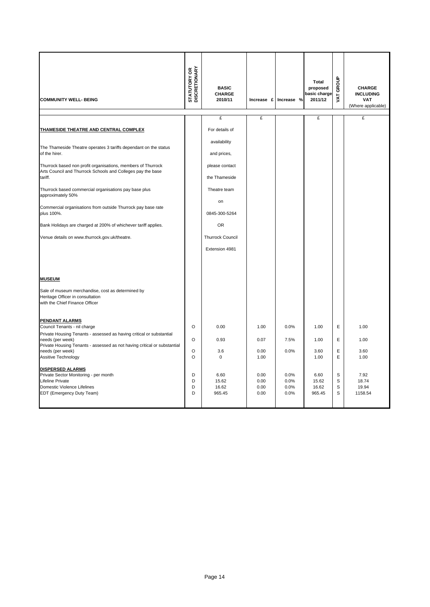| <b>COMMUNITY WELL- BEING</b>                                                                                                                            | <b>STATUTORY OR<br/>DISCRETIONARY</b> | <b>BASIC</b><br><b>CHARGE</b><br>2010/11  | Increase £                   | Increase %                   | Total<br>proposed<br>basic charge<br>2011/12 | GROUP<br><b>TAV</b> | <b>CHARGE</b><br><b>INCLUDING</b><br><b>VAT</b><br>(Where applicable) |
|---------------------------------------------------------------------------------------------------------------------------------------------------------|---------------------------------------|-------------------------------------------|------------------------------|------------------------------|----------------------------------------------|---------------------|-----------------------------------------------------------------------|
|                                                                                                                                                         |                                       | £                                         | £                            |                              | £                                            |                     | £                                                                     |
| THAMESIDE THEATRE AND CENTRAL COMPLEX                                                                                                                   |                                       | For details of                            |                              |                              |                                              |                     |                                                                       |
| The Thameside Theatre operates 3 tariffs dependant on the status<br>of the hirer.                                                                       |                                       | availability<br>and prices,               |                              |                              |                                              |                     |                                                                       |
| Thurrock based non profit organisations, members of Thurrock<br>Arts Council and Thurrock Schools and Colleges pay the base<br>tariff.                  |                                       | please contact<br>the Thameside           |                              |                              |                                              |                     |                                                                       |
| Thurrock based commercial organisations pay base plus<br>approximately 50%                                                                              |                                       | Theatre team<br>on                        |                              |                              |                                              |                     |                                                                       |
| Commercial organisations from outside Thurrock pay base rate<br>plus 100%.                                                                              |                                       | 0845-300-5264                             |                              |                              |                                              |                     |                                                                       |
| Bank Holidays are charged at 200% of whichever tariff applies.                                                                                          |                                       | <b>OR</b>                                 |                              |                              |                                              |                     |                                                                       |
| Venue details on www.thurrock.gov.uk/theatre.                                                                                                           |                                       | <b>Thurrock Council</b><br>Extension 4981 |                              |                              |                                              |                     |                                                                       |
| <b>MUSEUM</b>                                                                                                                                           |                                       |                                           |                              |                              |                                              |                     |                                                                       |
| Sale of museum merchandise, cost as determined by<br>Heritage Officer in consultation<br>with the Chief Finance Officer                                 |                                       |                                           |                              |                              |                                              |                     |                                                                       |
| <b>PENDANT ALARMS</b><br>Council Tenants - nil charge<br>Private Housing Tenants - assessed as having critical or substantial                           | O                                     | 0.00                                      | 1.00                         | 0.0%                         | 1.00                                         | E                   | 1.00                                                                  |
| needs (per week)<br>Private Housing Tenants - assessed as not having critical or substantial                                                            | O                                     | 0.93                                      | 0.07                         | 7.5%                         | 1.00                                         | E                   | 1.00                                                                  |
| needs (per week)<br>Assitive Technology                                                                                                                 | O<br>$\circ$                          | 3.6<br>0                                  | 0.00<br>1.00                 | 0.0%                         | 3.60<br>1.00                                 | Ε<br>E              | 3.60<br>1.00                                                          |
| <b>DISPERSED ALARMS</b><br>Private Sector Monitoring - per month<br><b>Lifeline Private</b><br>Domestic Violence Lifelines<br>EDT (Emergency Duty Team) | D<br>D<br>D<br>D                      | 6.60<br>15.62<br>16.62<br>965.45          | 0.00<br>0.00<br>0.00<br>0.00 | 0.0%<br>0.0%<br>0.0%<br>0.0% | 6.60<br>15.62<br>16.62<br>965.45             | S<br>S<br>S<br>S    | 7.92<br>18.74<br>19.94<br>1158.54                                     |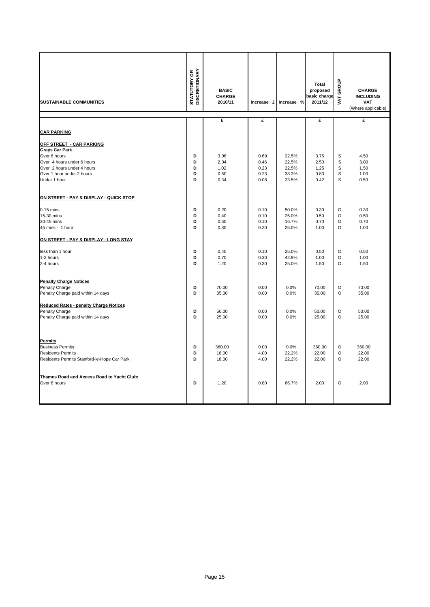| <b>SUSTAINABLE COMMUNITIES</b>                | <b>STATUTORY OR<br/>DISCRETIONARY</b> | <b>BASIC</b><br><b>CHARGE</b><br>2010/11 |      | Increase £ Increase % | <b>Total</b><br>proposed<br>basic charge<br>2011/12 | GROUP<br><b>LYAT</b> | <b>CHARGE</b><br><b>INCLUDING</b><br><b>VAT</b><br>(Where applicable) |
|-----------------------------------------------|---------------------------------------|------------------------------------------|------|-----------------------|-----------------------------------------------------|----------------------|-----------------------------------------------------------------------|
|                                               |                                       | £                                        | £    |                       | £                                                   |                      | £                                                                     |
| <b>CAR PARKING</b>                            |                                       |                                          |      |                       |                                                     |                      |                                                                       |
| <b>OFF STREET - CAR PARKING</b>               |                                       |                                          |      |                       |                                                     |                      |                                                                       |
| <b>Grays Car Park</b><br>Over 6 hours         | D                                     | 3.06                                     | 0.69 | 22.5%                 | 3.75                                                | S                    | 4.50                                                                  |
| Over 4 hours under 6 hours                    | D                                     | 2.04                                     | 0.46 | 22.5%                 | 2.50                                                | S                    | 3.00                                                                  |
| Over 2 hours under 4 hours                    | D                                     | 1.02                                     | 0.23 | 22.5%                 | 1.25                                                | S                    | 1.50                                                                  |
| Over 1 hour under 2 hours                     | D                                     | 0.60                                     | 0.23 | 38.3%                 | 0.83                                                | S                    | 1.00                                                                  |
| Under 1 hour                                  | D                                     | 0.34                                     | 0.08 | 23.5%                 | 0.42                                                | S                    | 0.50                                                                  |
| ON STREET - PAY & DISPLAY - QUICK STOP        |                                       |                                          |      |                       |                                                     |                      |                                                                       |
| $0-15$ mins                                   | D                                     | 0.20                                     | 0.10 | 50.0%                 | 0.30                                                | O                    | 0.30                                                                  |
| 15-30 mins                                    | D                                     | 0.40                                     | 0.10 | 25.0%                 | 0.50                                                | $\circ$              | 0.50                                                                  |
| 30-45 mins                                    | D                                     | 0.60                                     | 0.10 | 16.7%                 | 0.70                                                | $\circ$              | 0.70                                                                  |
| 45 mins - 1 hour                              | D                                     | 0.80                                     | 0.20 | 25.0%                 | 1.00                                                | $\circ$              | 1.00                                                                  |
| ON STREET - PAY & DISPLAY - LONG STAY         |                                       |                                          |      |                       |                                                     |                      |                                                                       |
| less than 1 hour                              | D                                     | 0.40                                     | 0.10 | 25.0%                 | 0.50                                                | O                    | 0.50                                                                  |
| 1-2 hours                                     | D                                     | 0.70                                     | 0.30 | 42.9%                 | 1.00                                                | O                    | 1.00                                                                  |
| 2-4 hours                                     | D                                     | 1.20                                     | 0.30 | 25.0%                 | 1.50                                                | $\circ$              | 1.50                                                                  |
| <b>Penalty Charge Notices</b>                 |                                       |                                          |      |                       |                                                     |                      |                                                                       |
| Penalty Charge                                | D                                     | 70.00                                    | 0.00 | 0.0%                  | 70.00                                               | $\circ$              | 70.00                                                                 |
| Penalty Charge paid within 14 days            | D                                     | 35.00                                    | 0.00 | 0.0%                  | 35.00                                               | $\circ$              | 35.00                                                                 |
| <b>Reduced Rates - penalty Charge Notices</b> |                                       |                                          |      |                       |                                                     |                      |                                                                       |
| Penalty Charge                                | D                                     | 50.00                                    | 0.00 | 0.0%                  | 50.00                                               | $\circ$              | 50.00                                                                 |
| Penalty Charge paid within 14 days            | D                                     | 25.00                                    | 0.00 | 0.0%                  | 25.00                                               | $\Omega$             | 25.00                                                                 |
| <b>Permits</b>                                |                                       |                                          |      |                       |                                                     |                      |                                                                       |
| <b>Business Permits</b>                       | D                                     | 360.00                                   | 0.00 | 0.0%                  | 360.00                                              | O                    | 360.00                                                                |
| <b>Residents Permits</b>                      | D                                     | 18.00                                    | 4.00 | 22.2%                 | 22.00                                               | O                    | 22.00                                                                 |
| Residents Permits Stanford-le-Hope Car Park   | D                                     | 18.00                                    | 4.00 | 22.2%                 | 22.00                                               | O                    | 22.00                                                                 |
| Thames Road and Access Road to Yacht Club:    |                                       |                                          |      |                       |                                                     |                      |                                                                       |
| Over 8 hours                                  | D                                     | 1.20                                     | 0.80 | 66.7%                 | 2.00                                                | $\circ$              | 2.00                                                                  |
|                                               |                                       |                                          |      |                       |                                                     |                      |                                                                       |
|                                               |                                       |                                          |      |                       |                                                     |                      |                                                                       |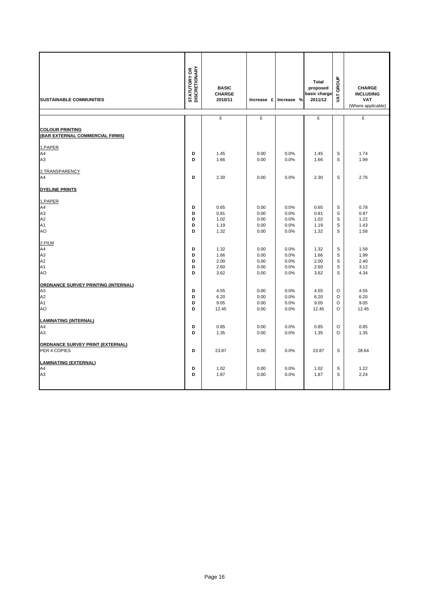| <b>SUSTAINABLE COMMUNITIES</b>                                                      | <b>STATUTORY OR<br/>DISCRETIONARY</b> | <b>BASIC</b><br><b>CHARGE</b><br>2010/11 |                                      | Increase £ Increase %                | Total<br>proposed<br>basic charge<br>2011/12 | GROUP<br>VAT.                      | <b>CHARGE</b><br><b>INCLUDING</b><br><b>VAT</b><br>(Where applicable) |
|-------------------------------------------------------------------------------------|---------------------------------------|------------------------------------------|--------------------------------------|--------------------------------------|----------------------------------------------|------------------------------------|-----------------------------------------------------------------------|
|                                                                                     |                                       | £                                        | £                                    |                                      | £                                            |                                    | £                                                                     |
| <b>COLOUR PRINTING</b><br>(BAR EXTERNAL COMMERCIAL FIRMS)                           |                                       |                                          |                                      |                                      |                                              |                                    |                                                                       |
| 1.PAPER<br>A4<br>A3                                                                 | D<br>D                                | 1.45<br>1.66                             | 0.00<br>0.00                         | 0.0%<br>0.0%                         | 1.45<br>1.66                                 | S<br>S                             | 1.74<br>1.99                                                          |
| 2.TRANSPARENCY<br>A4<br><b>DYELINE PRINTS</b>                                       | D                                     | 2.30                                     | 0.00                                 | 0.0%                                 | 2.30                                         | S                                  | 2.76                                                                  |
| 1.PAPER<br>A4<br>A <sub>3</sub><br>A2<br>A <sub>1</sub><br>AO                       | D<br>D<br>D<br>D<br>D                 | 0.65<br>0.81<br>1.02<br>1.19<br>1.32     | 0.00<br>0.00<br>0.00<br>0.00<br>0.00 | 0.0%<br>0.0%<br>0.0%<br>0.0%<br>0.0% | 0.65<br>0.81<br>1.02<br>1.19<br>1.32         | S<br>S<br>S<br>S<br>S              | 0.78<br>0.97<br>1.22<br>1.43<br>1.58                                  |
| 2.FILM<br>A4<br>A <sub>3</sub><br>A2<br>A <sub>1</sub><br>AO                        | D<br>D<br>D<br>D<br>D                 | 1.32<br>1.66<br>2.00<br>2.60<br>3.62     | 0.00<br>0.00<br>0.00<br>0.00<br>0.00 | 0.0%<br>0.0%<br>0.0%<br>0.0%<br>0.0% | 1.32<br>1.66<br>2.00<br>2.60<br>3.62         | S<br>S<br>S<br>S<br>S              | 1.58<br>1.99<br>2.40<br>3.12<br>4.34                                  |
| ORDNANCE SURVEY PRINTING (INTERNAL)<br>A <sub>3</sub><br>A2<br>A <sub>1</sub><br>AO | D<br>D<br>D<br>D                      | 4.55<br>6.20<br>9.05<br>12.45            | 0.00<br>0.00<br>0.00<br>0.00         | 0.0%<br>0.0%<br>0.0%<br>0.0%         | 4.55<br>6.20<br>9.05<br>12.45                | $\circ$<br>$\circ$<br>$\circ$<br>O | 4.55<br>6.20<br>9.05<br>12.45                                         |
| <b>LAMINATING (INTERNAL)</b><br>A4<br>A <sub>3</sub>                                | D<br>D                                | 0.85<br>1.35                             | 0.00<br>0.00                         | 0.0%<br>0.0%                         | 0.85<br>1.35                                 | $\circ$<br>$\circ$                 | 0.85<br>1.35                                                          |
| ORDNANCE SURVEY PRINT (EXTERNAL)<br>PER 4 COPIES                                    | D                                     | 23.87                                    | 0.00                                 | 0.0%                                 | 23.87                                        | S                                  | 28.64                                                                 |
| <b>LAMINATING (EXTERNAL)</b><br>A4<br>A <sub>3</sub>                                | D<br>D                                | 1.02<br>1.87                             | 0.00<br>0.00                         | 0.0%<br>0.0%                         | 1.02<br>1.87                                 | S<br>S                             | 1.22<br>2.24                                                          |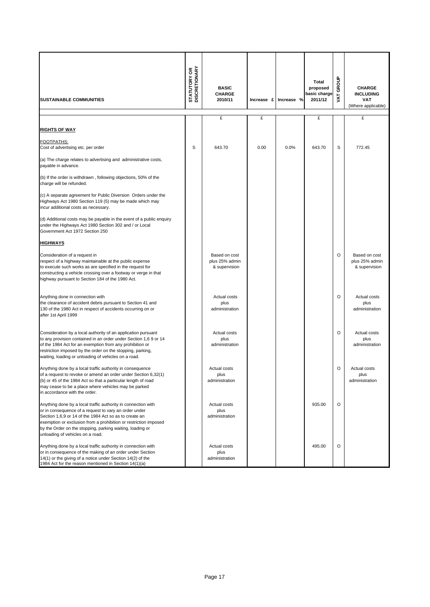| <b>SUSTAINABLE COMMUNITIES</b>                                                                                                                                                                                                                                                                                                                        | <b>STATUTORY OR<br/>DISCRETIONARY</b> | <b>BASIC</b><br><b>CHARGE</b><br>2010/11         | Increase £ | Increase % | <b>Total</b><br>proposed<br>basic charge<br>2011/12 | GROUP<br>VAT. | <b>CHARGE</b><br><b>INCLUDING</b><br>VAT<br>(Where applicable) |
|-------------------------------------------------------------------------------------------------------------------------------------------------------------------------------------------------------------------------------------------------------------------------------------------------------------------------------------------------------|---------------------------------------|--------------------------------------------------|------------|------------|-----------------------------------------------------|---------------|----------------------------------------------------------------|
|                                                                                                                                                                                                                                                                                                                                                       |                                       | £                                                | £          |            | £                                                   |               | £                                                              |
| <u>RIGHTS OF WAY</u>                                                                                                                                                                                                                                                                                                                                  |                                       |                                                  |            |            |                                                     |               |                                                                |
| FOOTPATHS:<br>Cost of advertising etc. per order                                                                                                                                                                                                                                                                                                      | S                                     | 643.70                                           | 0.00       | 0.0%       | 643.70                                              | S             | 772.45                                                         |
| (a) The charge relates to advertising and administrative costs,<br>payable in advance.                                                                                                                                                                                                                                                                |                                       |                                                  |            |            |                                                     |               |                                                                |
| (b) If the order is withdrawn, following objections, 50% of the<br>charge will be refunded.                                                                                                                                                                                                                                                           |                                       |                                                  |            |            |                                                     |               |                                                                |
| (c) A separate agreement for Public Diversion Orders under the<br>Highways Act 1980 Section 119 (5) may be made which may<br>incur additional costs as necessary.                                                                                                                                                                                     |                                       |                                                  |            |            |                                                     |               |                                                                |
| (d) Additional costs may be payable in the event of a public enquiry<br>under the Highways Act 1980 Section 302 and / or Local<br>Government Act 1972 Section 250                                                                                                                                                                                     |                                       |                                                  |            |            |                                                     |               |                                                                |
| <u>HIGHWAYS</u>                                                                                                                                                                                                                                                                                                                                       |                                       |                                                  |            |            |                                                     |               |                                                                |
| Consideration of a request in<br>respect of a highway maintainable at the public expense<br>to execute such works as are specified in the request for<br>constructing a vehicle crossing over a footway or verge in that<br>highway pursuant to Section 184 of the 1980 Act.                                                                          |                                       | Based on cost<br>plus 25% admin<br>& supervision |            |            |                                                     | O             | Based on cost<br>plus 25% admin<br>& supervision               |
| Anything done in connection with<br>the clearance of accident debris pursuant to Section 41 and<br>130 of the 1980 Act in respect of accidents occurring on or<br>after 1st April 1999                                                                                                                                                                |                                       | Actual costs<br>plus<br>administration           |            |            |                                                     | O             | Actual costs<br>plus<br>administration                         |
| Consideration by a local authority of an application pursuant<br>to any provision contained in an order under Section 1,6 9 or 14<br>of the 1984 Act for an exemption from any prohibition or<br>restriction imposed by the order on the stopping, parking,<br>waiting, loading or unloading of vehicles on a road.                                   |                                       | Actual costs<br>plus<br>administration           |            |            |                                                     | O             | Actual costs<br>plus<br>administration                         |
| Anything done by a local traffic authority in consequence<br>of a request to revoke or amend an order under Section 6,32(1)<br>(b) or 45 of the 1984 Act so that a particular length of road<br>may cease to be a place where vehicles may be parked<br>in accordance with the order.                                                                 |                                       | Actual costs<br>plus<br>administration           |            |            |                                                     | O             | Actual costs<br>plus<br>administration                         |
| Anything done by a local traffic authority in connection with<br>or in consequence of a request to vary an order under<br>Section 1,6,9 or 14 of the 1984 Act so as to create an<br>exemption or exclusion from a prohibition or restriction imposed<br>by the Order on the stopping, parking waiting, loading or<br>unloading of vehicles on a road. |                                       | Actual costs<br>plus<br>administration           |            |            | 935.00                                              | O             |                                                                |
| Anything done by a local traffic authority in connection with<br>or in consequence of the making of an order under Section<br>14(1) or the giving of a notice under Section 14(2) of the<br>1984 Act for the reason mentioned in Section 14(1)(a)                                                                                                     |                                       | Actual costs<br>plus<br>administration           |            |            | 495.00                                              | O             |                                                                |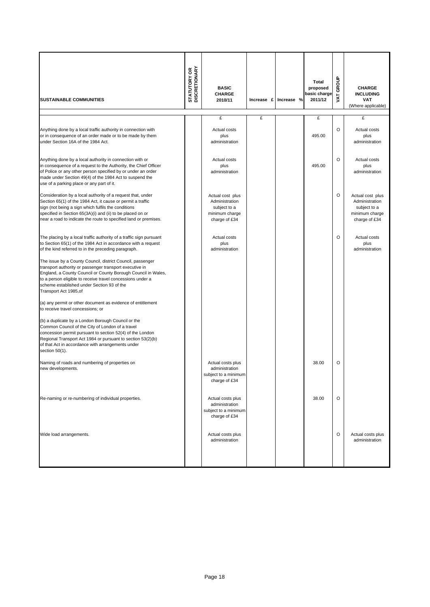| <b>SUSTAINABLE COMMUNITIES</b>                                                                                                                                                                                                                                                                                               | <b>STATUTORY OR<br/>DISCRETIONARY</b> | <b>BASIC</b><br><b>CHARGE</b><br>2010/11                                              | Increase £ | Increase % | Total<br>proposed<br>basic charge<br>2011/12 | GROUP<br>ΣÁ | <b>CHARGE</b><br><b>INCLUDING</b><br><b>VAT</b><br>(Where applicable)                 |
|------------------------------------------------------------------------------------------------------------------------------------------------------------------------------------------------------------------------------------------------------------------------------------------------------------------------------|---------------------------------------|---------------------------------------------------------------------------------------|------------|------------|----------------------------------------------|-------------|---------------------------------------------------------------------------------------|
|                                                                                                                                                                                                                                                                                                                              |                                       | £                                                                                     | £          |            | £                                            |             | £                                                                                     |
| Anything done by a local traffic authority in connection with<br>or in consequence of an order made or to be made by them<br>under Section 16A of the 1984 Act.                                                                                                                                                              |                                       | Actual costs<br>plus<br>administration                                                |            |            | 495.00                                       | $\circ$     | Actual costs<br>plus<br>administration                                                |
| Anything done by a local authority in connection with or<br>in consequence of a request to the Authority, the Chief Officer<br>of Police or any other person specified by or under an order<br>made under Section 49(4) of the 1984 Act to suspend the<br>use of a parking place or any part of it.                          |                                       | Actual costs<br>plus<br>administration                                                |            |            | 495.00                                       | $\circ$     | Actual costs<br>plus<br>administration                                                |
| Consideration by a local authority of a request that, under<br>Section 65(1) of the 1984 Act, it cause or permit a traffic<br>sign (not being a sign which fulfils the conditions<br>specified in Section 65(3A)(i) and (ii) to be placed on or<br>near a road to indicate the route to specified land or premises.          |                                       | Actual cost plus<br>Administration<br>subject to a<br>minimum charge<br>charge of £34 |            |            |                                              | $\circ$     | Actual cost plus<br>Administration<br>subject to a<br>minimum charge<br>charge of £34 |
| The placing by a local traffic authority of a traffic sign pursuant<br>to Section 65(1) of the 1984 Act in accordance with a request<br>of the kind referred to in the preceding paragraph.                                                                                                                                  |                                       | Actual costs<br>plus<br>administration                                                |            |            |                                              | O           | Actual costs<br>plus<br>administration                                                |
| The issue by a County Council, district Council, passenger<br>transport authority or passenger transport executive in<br>England, a County Council or County Borough Council in Wales,<br>to a person eligible to receive travel concessions under a<br>scheme established under Section 93 of the<br>Transport Act 1985, of |                                       |                                                                                       |            |            |                                              |             |                                                                                       |
| (a) any permit or other document as evidence of entitlement<br>to receive travel concessions; or                                                                                                                                                                                                                             |                                       |                                                                                       |            |            |                                              |             |                                                                                       |
| (b) a duplicate by a London Borough Council or the<br>Common Council of the City of London of a travel<br>concession permit pursuant to section 52(4) of the London<br>Regional Transport Act 1984 or pursuant to section 53(2)(b)<br>of that Act in accordance with arrangements under<br>section 50(1).                    |                                       |                                                                                       |            |            |                                              |             |                                                                                       |
| Naming of roads and numbering of properties on<br>new developments.                                                                                                                                                                                                                                                          |                                       | Actual costs plus<br>administration<br>subject to a minimum<br>charge of £34          |            |            | 38.00                                        | O           |                                                                                       |
| Re-naming or re-numbering of individual properties.                                                                                                                                                                                                                                                                          |                                       | Actual costs plus<br>administration<br>subject to a minimum<br>charge of £34          |            |            | 38.00                                        | O           |                                                                                       |
| Wide load arrangements.                                                                                                                                                                                                                                                                                                      |                                       | Actual costs plus<br>administration                                                   |            |            |                                              | O           | Actual costs plus<br>administration                                                   |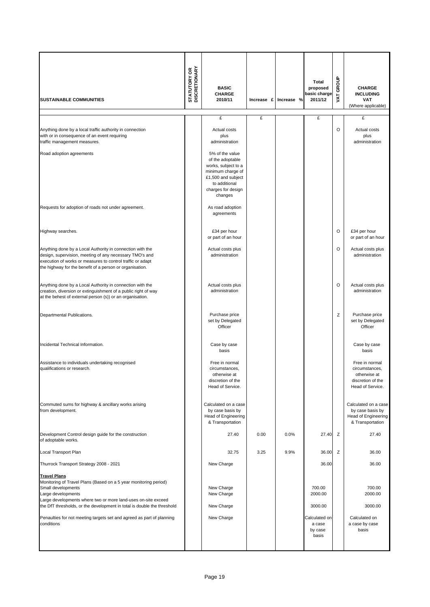| <b>SUSTAINABLE COMMUNITIES</b>                                                                                                                                                                                                                                                  | <b>STATUTORY OR<br/>DISCRETIONARY</b> | <b>BASIC</b><br><b>CHARGE</b><br>2010/11<br>£                                                                                                           | Increase £<br>£ | Increase % | <b>Total</b><br>proposed<br>basic charge<br>2011/12<br>£ | VAT GROUP | <b>CHARGE</b><br><b>INCLUDING</b><br><b>VAT</b><br>(Where applicable)<br>£                |
|---------------------------------------------------------------------------------------------------------------------------------------------------------------------------------------------------------------------------------------------------------------------------------|---------------------------------------|---------------------------------------------------------------------------------------------------------------------------------------------------------|-----------------|------------|----------------------------------------------------------|-----------|-------------------------------------------------------------------------------------------|
| Anything done by a local traffic authority in connection<br>with or in consequence of an event requiring<br>traffic management measures.                                                                                                                                        |                                       | Actual costs<br>plus<br>administration                                                                                                                  |                 |            |                                                          | O         | Actual costs<br>plus<br>administration                                                    |
| Road adoption agreements                                                                                                                                                                                                                                                        |                                       | 5% of the value<br>of the adoptable<br>works, subject to a<br>minimum charge of<br>£1,500 and subject<br>to additional<br>charges for design<br>changes |                 |            |                                                          |           |                                                                                           |
| Requests for adoption of roads not under agreement.                                                                                                                                                                                                                             |                                       | As road adoption<br>agreements                                                                                                                          |                 |            |                                                          |           |                                                                                           |
| Highway searches.                                                                                                                                                                                                                                                               |                                       | £34 per hour<br>or part of an hour                                                                                                                      |                 |            |                                                          | $\circ$   | £34 per hour<br>or part of an hour                                                        |
| Anything done by a Local Authority in connection with the<br>design, supervision, meeting of any necessary TMO's and<br>execution of works or measures to control traffic or adapt<br>the highway for the benefit of a person or organisation.                                  |                                       | Actual costs plus<br>administration                                                                                                                     |                 |            |                                                          | O         | Actual costs plus<br>administration                                                       |
| Anything done by a Local Authority in connection with the<br>creation, diversion or extinguishment of a public right of way<br>at the behest of external person (s)) or an organisation.                                                                                        |                                       | Actual costs plus<br>administration                                                                                                                     |                 |            |                                                          | O         | Actual costs plus<br>administration                                                       |
| Departmental Publications.                                                                                                                                                                                                                                                      |                                       | Purchase price<br>set by Delegated<br>Officer                                                                                                           |                 |            |                                                          | Z         | Purchase price<br>set by Delegated<br>Officer                                             |
| Incidental Technical Information.                                                                                                                                                                                                                                               |                                       | Case by case<br>basis                                                                                                                                   |                 |            |                                                          |           | Case by case<br>basis                                                                     |
| Assistance to individuals undertaking recognised<br>qualifications or research.                                                                                                                                                                                                 |                                       | Free in normal<br>circumstances,<br>otherwise at<br>discretion of the<br>Head of Service.                                                               |                 |            |                                                          |           | Free in normal<br>circumstances,<br>otherwise at<br>discretion of the<br>Head of Service. |
| Commuted sums for highway & ancillary works arising<br>from development.                                                                                                                                                                                                        |                                       | Calculated on a case<br>by case basis by<br>Head of Engineering<br>& Transportation                                                                     |                 |            |                                                          |           | Calculated on a case<br>by case basis by<br>Head of Engineering<br>& Transportation       |
| Development Control design guide for the construction<br>of adoptable works.                                                                                                                                                                                                    |                                       | 27.40                                                                                                                                                   | 0.00            | 0.0%       | 27.40                                                    | Ζ         | 27.40                                                                                     |
| Local Transport Plan                                                                                                                                                                                                                                                            |                                       | 32.75                                                                                                                                                   | 3.25            | 9.9%       | 36.00                                                    | Ζ         | 36.00                                                                                     |
| Thurrock Transport Strategy 2008 - 2021                                                                                                                                                                                                                                         |                                       | New Charge                                                                                                                                              |                 |            | 36.00                                                    |           | 36.00                                                                                     |
| <b>Travel Plans</b><br>Monitoring of Travel Plans (Based on a 5 year monitoring period)<br>Small developments<br>Large developments<br>Large developments where two or more land-uses on-site exceed<br>the DfT thresholds, or the development in total is double the threshold |                                       | New Charge<br>New Charge<br>New Charge                                                                                                                  |                 |            | 700.00<br>2000.00<br>3000.00                             |           | 700.00<br>2000.00<br>3000.00                                                              |
| Penaulties for not meeting targets set and agreed as part of planning<br>conditions                                                                                                                                                                                             |                                       | New Charge                                                                                                                                              |                 |            | Calculated on<br>a case<br>by case<br>basis              |           | Calculated on<br>a case by case<br>basis                                                  |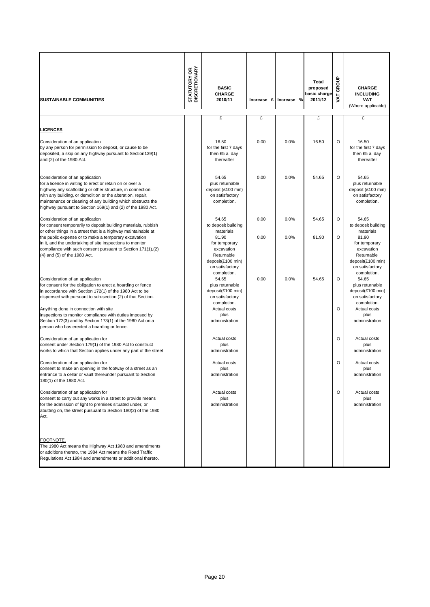| <b>SUSTAINABLE COMMUNITIES</b>                                                                                                                                                                                                                                                                                                                        | <b>STATUTORY OR<br/>DISCRETIONARY</b> | <b>BASIC</b><br><b>CHARGE</b><br>2010/11                                                                  | Increase £ | Increase % | Total<br>proposed<br>basic charge<br>2011/12 | GROUP<br><b>TAV</b> | <b>CHARGE</b><br><b>INCLUDING</b><br><b>VAT</b><br>(Where applicable)                                     |
|-------------------------------------------------------------------------------------------------------------------------------------------------------------------------------------------------------------------------------------------------------------------------------------------------------------------------------------------------------|---------------------------------------|-----------------------------------------------------------------------------------------------------------|------------|------------|----------------------------------------------|---------------------|-----------------------------------------------------------------------------------------------------------|
|                                                                                                                                                                                                                                                                                                                                                       |                                       | £                                                                                                         | £          |            | £                                            |                     | £                                                                                                         |
| <b>LICENCES</b>                                                                                                                                                                                                                                                                                                                                       |                                       |                                                                                                           |            |            |                                              |                     |                                                                                                           |
| Consideration of an application<br>by any person for permission to deposit, or cause to be<br>deposited, a skip on any highway pursuant to Section139(1)<br>and (2) of the 1980 Act.                                                                                                                                                                  |                                       | 16.50<br>for the first 7 days<br>then £5 a day<br>thereafter                                              | 0.00       | 0.0%       | 16.50                                        | $\circ$             | 16.50<br>for the first 7 days<br>then £5 a day<br>thereafter                                              |
| Consideration of an application<br>for a licence in writing to erect or retain on or over a<br>highway any scaffolding or other structure, in connection<br>with any building, or demolition or the alteration, repair,<br>maintenance or cleaning of any building which obstructs the<br>highway pursuant to Section 169(1) and (2) of the 1980 Act. |                                       | 54.65<br>plus returnable<br>deposit (£100 min)<br>on satisfactory<br>completion.                          | 0.00       | 0.0%       | 54.65                                        | O                   | 54.65<br>plus returnable<br>deposit (£100 min)<br>on satisfactory<br>completion.                          |
| Consideration of an application<br>for consent temporarily to deposit building materials, rubbish<br>or other things in a street that is a highway maintainable at                                                                                                                                                                                    |                                       | 54.65<br>to deposit building<br>materials                                                                 | 0.00       | 0.0%       | 54.65                                        | O                   | 54.65<br>to deposit building<br>materials                                                                 |
| the public expense or to make a temporary excavation<br>in it, and the undertaking of site inspections to monitor<br>compliance with such consent pursuant to Section 171(1),(2)<br>(4) and (5) of the 1980 Act.                                                                                                                                      |                                       | 81.90<br>for temporary<br>excavation<br>Returnable<br>deposit(£100 min)<br>on satisfactory<br>completion. | 0.00       | 0.0%       | 81.90                                        | O                   | 81.90<br>for temporary<br>excavation<br>Returnable<br>deposit(£100 min)<br>on satisfactory<br>completion. |
| Consideration of an application<br>for consent for the obligation to erect a hoarding or fence<br>in accordance with Section 172(1) of the 1980 Act to be<br>dispensed with pursuant to sub-section (2) of that Section.                                                                                                                              |                                       | 54.65<br>plus returnable<br>deposit(£100 min)<br>on satisfactory<br>completion.                           | 0.00       | 0.0%       | 54.65                                        | O                   | 54.65<br>plus returnable<br>deposit(£100 min)<br>on satisfactory<br>completion.                           |
| Anything done in connection with site<br>inspections to monitor compliance with duties imposed by<br>Section 172(3) and by Section 173(1) of the 1980 Act on a<br>person who has erected a hoarding or fence.                                                                                                                                         |                                       | Actual costs<br>plus<br>administration                                                                    |            |            |                                              | O                   | Actual costs<br>plus<br>administration                                                                    |
| Consideration of an application for<br>consent under Section 179(1) of the 1980 Act to construct<br>works to which that Section applies under any part of the street                                                                                                                                                                                  |                                       | Actual costs<br>plus<br>administration                                                                    |            |            |                                              | O                   | Actual costs<br>plus<br>administration                                                                    |
| Consideration of an application for<br>consent to make an opening in the footway of a street as an<br>entrance to a cellar or vault thereunder pursuant to Section<br>180(1) of the 1980 Act.                                                                                                                                                         |                                       | Actual costs<br>plus<br>administration                                                                    |            |            |                                              | O                   | Actual costs<br>plus<br>administration                                                                    |
| Consideration of an application for<br>consent to carry out any works in a street to provide means<br>for the admission of light to premises situated under, or<br>abutting on, the street pursuant to Section 180(2) of the 1980<br>Act.                                                                                                             |                                       | Actual costs<br>plus<br>administration                                                                    |            |            |                                              | O                   | Actual costs<br>plus<br>administration                                                                    |
| FOOTNOTE.<br>The 1980 Act means the Highway Act 1980 and amendments<br>or additions thereto, the 1984 Act means the Road Traffic<br>Regulations Act 1984 and amendments or additional thereto.                                                                                                                                                        |                                       |                                                                                                           |            |            |                                              |                     |                                                                                                           |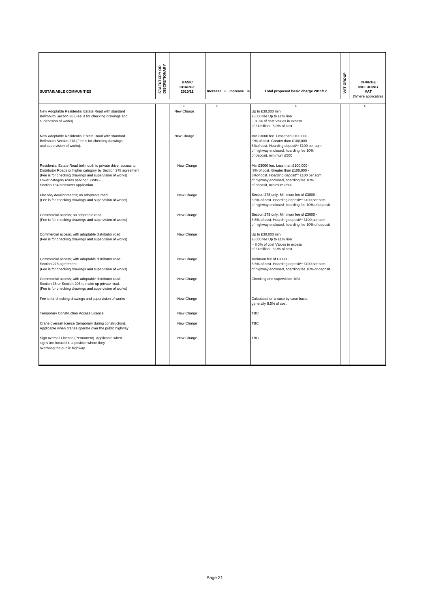| <b>SUSTAINABLE COMMUNITIES</b>                                                                                                                                                                                                                                            | <b>STATUTORY OR<br/>DISCRETIONARY</b> | <b>BASIC</b><br><b>CHARGE</b><br>2010/11 | Increase £ | Increase % | Total proposed basic charge 2011/12                                                                                                                                                            | GROUP<br>Š | <b>CHARGE</b><br><b>INCLUDING</b><br><b>VAT</b><br>(Where applicable) |
|---------------------------------------------------------------------------------------------------------------------------------------------------------------------------------------------------------------------------------------------------------------------------|---------------------------------------|------------------------------------------|------------|------------|------------------------------------------------------------------------------------------------------------------------------------------------------------------------------------------------|------------|-----------------------------------------------------------------------|
|                                                                                                                                                                                                                                                                           |                                       | £                                        | £          |            | £                                                                                                                                                                                              |            | £                                                                     |
| New Adoptable Residential Estate Road with standard<br>Bellmouth Section 38 (Fee is for checking drawings and<br>supervision of works)                                                                                                                                    |                                       | New Charge                               |            |            | Up to £30,000 min<br>£3000 fee Up to £1 million<br>- 8.0% of cost Values in excess<br>of £1million - 5.0% of cost                                                                              |            |                                                                       |
| New Adoptable Residential Estate Road with standard<br>Bellmouth Section 278 (Fee is for checking drawings<br>and supervision of works).                                                                                                                                  |                                       | New Charge                               |            |            | Min £3000 fee. Less than £100,000 -<br>9% of cost. Greater than £100,000 -<br>8% of cost. Hoarding deposit** £100 per sqm<br>of highway enclosed, hoarding fee 10%<br>of deposit, minimum £500 |            |                                                                       |
| Residential Estate Road bellmouth to private drive, access to<br>Distributor Roads or higher category by Section 278 agreement<br>(Fee is for checking drawings and supervision of works)<br>Lower category roads serving 5 units -<br>Section 184 crossover application. |                                       | New Charge                               |            |            | Min £3000 fee. Less than £100,000 -<br>9% of cost. Greater than £100,000 -<br>8% of cost. Hoarding deposit** £100 per sqm<br>of highway enclosed, hoarding fee 10%<br>of deposit, minimum £500 |            |                                                                       |
| Flat only development's; no adoptable road<br>(Fee is for checking drawings and supervision of works)                                                                                                                                                                     |                                       | New Charge                               |            |            | Section 278 only. Minimum fee of £3000 -<br>8.5% of cost. Hoarding deposit** £100 per sqm<br>of highway enclosed, hoarding fee 10% of deposit                                                  |            |                                                                       |
| Commercial access; no adoptable road<br>(Fee is for checking drawings and supervision of works)                                                                                                                                                                           |                                       | New Charge                               |            |            | Section 278 only. Minimum fee of £3000 -<br>8.5% of cost. Hoarding deposit** £100 per sqm<br>of highway enclosed, hoarding fee 10% of deposit                                                  |            |                                                                       |
| Commercial access; with adoptable distributor road<br>(Fee is for checking drawings and supervision of works)                                                                                                                                                             |                                       | New Charge                               |            |            | Up to £30,000 min<br>£3000 fee Up to £1 million<br>- 8.0% of cost Values in excess<br>of £1million - 5.0% of cost                                                                              |            |                                                                       |
| Commercial access; with adoptable distributor road<br>Section 278 agreement<br>(Fee is for checking drawings and supervision of works)                                                                                                                                    |                                       | New Charge                               |            |            | Minimum fee of £3000 -<br>8.5% of cost. Hoarding deposit** £100 per sqm<br>of highway enclosed, hoarding fee 10% of deposit                                                                    |            |                                                                       |
| Commercial access; with adoptable distributor road<br>Section 38 or Section 205 to make up private road.<br>(Fee is for checking drawings and supervision of works)                                                                                                       |                                       | New Charge                               |            |            | Checking and supervision 10%                                                                                                                                                                   |            |                                                                       |
| Fee is for checking drawings and supervision of works                                                                                                                                                                                                                     |                                       | New Charge                               |            |            | Calculated on a case by case basis,<br>generally 8.5% of cost                                                                                                                                  |            |                                                                       |
| Temporary Construction Access Licence.                                                                                                                                                                                                                                    |                                       | New Charge                               |            |            | <b>TBC</b>                                                                                                                                                                                     |            |                                                                       |
| Crane oversail licence (temporary during construction).<br>Applicable when cranes operate over the public highway.                                                                                                                                                        |                                       | New Charge                               |            |            | TBC                                                                                                                                                                                            |            |                                                                       |
| Sign oversail Licence (Permanent). Applicable when<br>signs are located in a position where they<br>overhang the public highway.                                                                                                                                          |                                       | New Charge                               |            |            | TBC                                                                                                                                                                                            |            |                                                                       |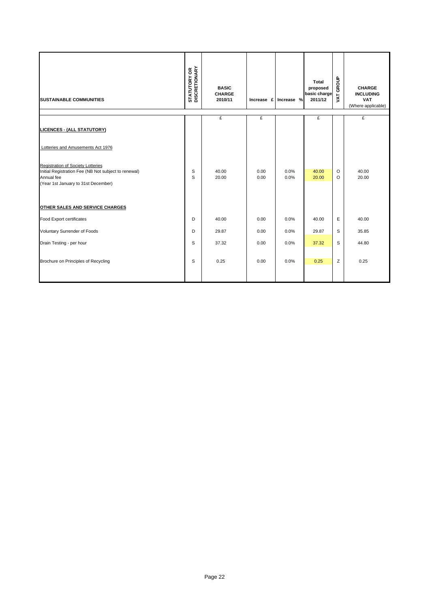| <b>SUSTAINABLE COMMUNITIES</b>                                                                                                                                                                                                | <b>STATUTORY OR<br/>DISCRETIONARY</b> | <b>BASIC</b><br><b>CHARGE</b><br>2010/11 |              | Increase £ Increase % | Total<br>proposed<br>basic charge<br>2011/12 | VAT GROUP    | <b>CHARGE</b><br><b>INCLUDING</b><br><b>VAT</b><br>(Where applicable) |
|-------------------------------------------------------------------------------------------------------------------------------------------------------------------------------------------------------------------------------|---------------------------------------|------------------------------------------|--------------|-----------------------|----------------------------------------------|--------------|-----------------------------------------------------------------------|
| <b>LICENCES - (ALL STATUTORY)</b>                                                                                                                                                                                             |                                       | £                                        | £            |                       | £                                            |              | £                                                                     |
| Lotteries and Amusements Act 1976<br><b>Registration of Society Lotteries</b><br>Initial Registration Fee (NB Not subject to renewal)<br>Annual fee<br>(Year 1st January to 31st December)<br>OTHER SALES AND SERVICE CHARGES | S<br>S                                | 40.00<br>20.00                           | 0.00<br>0.00 | 0.0%<br>0.0%          | 40.00<br>20.00                               | O<br>$\circ$ | 40.00<br>20.00                                                        |
| Food Export certificates                                                                                                                                                                                                      | D                                     | 40.00                                    | 0.00         | 0.0%                  | 40.00                                        | Ε            | 40.00                                                                 |
| Voluntary Surrender of Foods                                                                                                                                                                                                  | D                                     | 29.87                                    | 0.00         | 0.0%                  | 29.87                                        | S            | 35.85                                                                 |
| Drain Testing - per hour                                                                                                                                                                                                      | S                                     | 37.32                                    | 0.00         | 0.0%                  | 37.32                                        | S            | 44.80                                                                 |
| Brochure on Principles of Recycling                                                                                                                                                                                           | S                                     | 0.25                                     | 0.00         | 0.0%                  | 0.25                                         | Z            | 0.25                                                                  |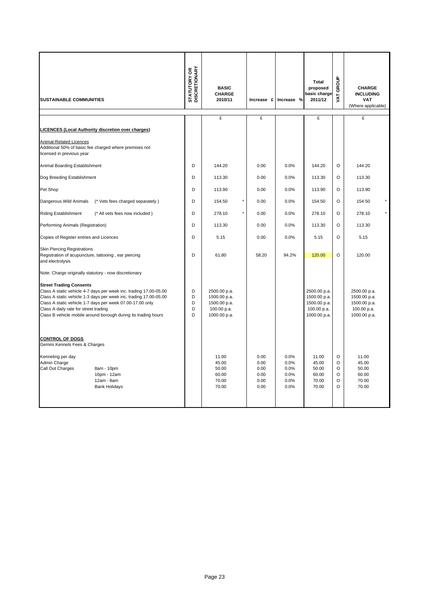| <b>SUSTAINABLE COMMUNITIES</b>                                                                                                                                                                                                                                                                                                                   | <b>STATUTORY OR<br/>DISCRETIONARY</b> | <b>BASIC</b><br><b>CHARGE</b><br>2010/11                                    |                                              | Increase £ Increase %                        | <b>Total</b><br>proposed<br>basic charge<br>2011/12                         | GROUP<br>VAT.                                 | <b>CHARGE</b><br><b>INCLUDING</b><br><b>VAT</b><br>(Where applicable)       |
|--------------------------------------------------------------------------------------------------------------------------------------------------------------------------------------------------------------------------------------------------------------------------------------------------------------------------------------------------|---------------------------------------|-----------------------------------------------------------------------------|----------------------------------------------|----------------------------------------------|-----------------------------------------------------------------------------|-----------------------------------------------|-----------------------------------------------------------------------------|
|                                                                                                                                                                                                                                                                                                                                                  |                                       | £                                                                           | £                                            |                                              | £                                                                           |                                               | £                                                                           |
| <b>LICENCES (Local Authority discretion over charges)</b>                                                                                                                                                                                                                                                                                        |                                       |                                                                             |                                              |                                              |                                                                             |                                               |                                                                             |
| Animal-Related Licences<br>Additional 50% of basic fee charged where premises not<br>licensed in previous year                                                                                                                                                                                                                                   |                                       |                                                                             |                                              |                                              |                                                                             |                                               |                                                                             |
| Animal Boarding Establishment                                                                                                                                                                                                                                                                                                                    | D                                     | 144.20                                                                      | 0.00                                         | 0.0%                                         | 144.20                                                                      | $\circ$                                       | 144.20                                                                      |
| Dog Breeding Establishment                                                                                                                                                                                                                                                                                                                       | D                                     | 113.30                                                                      | 0.00                                         | 0.0%                                         | 113.30                                                                      | $\circ$                                       | 113.30                                                                      |
| Pet Shop                                                                                                                                                                                                                                                                                                                                         | D                                     | 113.90                                                                      | 0.00                                         | 0.0%                                         | 113.90                                                                      | $\circ$                                       | 113.90                                                                      |
| (* Vets fees charged separately)<br>Dangerous Wild Animals                                                                                                                                                                                                                                                                                       | D                                     | $^\star$<br>154.50                                                          | 0.00                                         | 0.0%                                         | 154.50                                                                      | $\circ$                                       | 154.50                                                                      |
| <b>Riding Establishment</b><br>(* All vets fees now included)                                                                                                                                                                                                                                                                                    | D                                     | $^\star$<br>278.10                                                          | 0.00                                         | 0.0%                                         | 278.10                                                                      | O                                             | 278.10                                                                      |
| Performing Animals (Registration)                                                                                                                                                                                                                                                                                                                | D                                     | 113.30                                                                      | 0.00                                         | 0.0%                                         | 113.30                                                                      | $\circ$                                       | 113.30                                                                      |
| Copies of Register entries and Licences                                                                                                                                                                                                                                                                                                          | D                                     | 5.15                                                                        | 0.00                                         | 0.0%                                         | 5.15                                                                        | $\circ$                                       | 5.15                                                                        |
| <b>Skin Piercing Registrations</b><br>Registration of acupuncture, tattooing, ear piercing<br>and electrolysis                                                                                                                                                                                                                                   | D                                     | 61.80                                                                       | 58.20                                        | 94.2%                                        | 120.00                                                                      | O                                             | 120.00                                                                      |
| Note: Charge originally statutory - now discretionary                                                                                                                                                                                                                                                                                            |                                       |                                                                             |                                              |                                              |                                                                             |                                               |                                                                             |
| <b>Street Trading Consents</b><br>Class A static vehicle 4-7 days per week inc. trading 17.00-05.00<br>Class A static vehicle 1-3 days per week inc. trading 17.00-05.00<br>Class A static vehicle 1-7 days per week 07.00-17.00 only<br>Class A daily rate for street trading<br>Class B vehicle mobile around borough during its trading hours | D<br>D<br>D<br>D<br>D                 | 2500.00 p.a.<br>1500.00 p.a.<br>1500.00 p.a.<br>100.00 p.a.<br>1000.00 p.a. |                                              |                                              | 2500.00 p.a.<br>1500.00 p.a.<br>1500.00 p.a.<br>100.00 p.a.<br>1000.00 p.a. |                                               | 2500.00 p.a.<br>1500.00 p.a.<br>1500.00 p.a.<br>100.00 p.a.<br>1000.00 p.a. |
| <b>CONTROL OF DOGS</b><br>Gemini Kennels Fees & Charges                                                                                                                                                                                                                                                                                          |                                       |                                                                             |                                              |                                              |                                                                             |                                               |                                                                             |
| Kenneling per day<br>Admin Charge<br>Call Out Charges<br>8am - 10pm<br>10pm - 12am<br>12am - 8am<br><b>Bank Holidays</b>                                                                                                                                                                                                                         |                                       | 11.00<br>45.00<br>50.00<br>60.00<br>70.00<br>70.00                          | 0.00<br>0.00<br>0.00<br>0.00<br>0.00<br>0.00 | 0.0%<br>0.0%<br>0.0%<br>0.0%<br>0.0%<br>0.0% | 11.00<br>45.00<br>50.00<br>60.00<br>70.00<br>70.00                          | O<br>O<br>$\circ$<br>O<br>$\circ$<br>$\Omega$ | 11.00<br>45.00<br>50.00<br>60.00<br>70.00<br>70.00                          |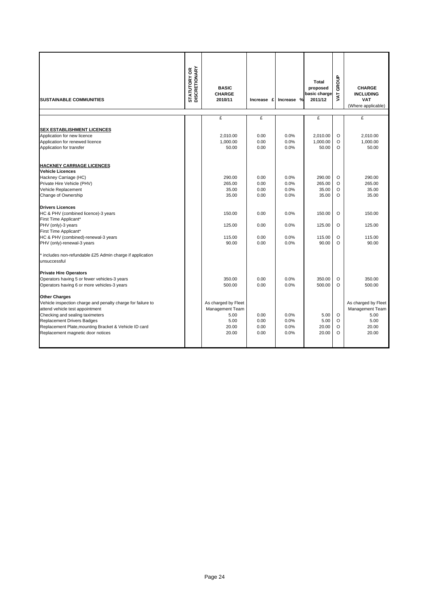|                                                                           | <b>STATUTORY OR<br/>DISCRETIONARY</b> | <b>BASIC</b>             |               |            | Total<br>proposed       | GROUP      | <b>CHARGE</b>                                        |
|---------------------------------------------------------------------------|---------------------------------------|--------------------------|---------------|------------|-------------------------|------------|------------------------------------------------------|
| <b>SUSTAINABLE COMMUNITIES</b>                                            |                                       | <b>CHARGE</b><br>2010/11 | Increase<br>£ | Increase % | basic charge<br>2011/12 | <b>TAV</b> | <b>INCLUDING</b><br><b>VAT</b><br>(Where applicable) |
|                                                                           |                                       |                          |               |            |                         |            |                                                      |
|                                                                           |                                       | £                        | £             |            | £                       |            | £                                                    |
| <b>SEX ESTABLISHMENT LICENCES</b>                                         |                                       |                          |               |            |                         |            |                                                      |
| Application for new licence                                               |                                       | 2.010.00                 | 0.00          | 0.0%       | 2.010.00                | O          | 2.010.00                                             |
| Application for renewed licence                                           |                                       | 1,000.00                 | 0.00          | 0.0%       | 1,000.00                | O          | 1,000.00                                             |
| Application for transfer                                                  |                                       | 50.00                    | 0.00          | 0.0%       | 50.00                   | O          | 50.00                                                |
| <b>HACKNEY CARRIAGE LICENCES</b><br><b>Vehicle Licences</b>               |                                       |                          |               |            |                         |            |                                                      |
| Hackney Carriage (HC)                                                     |                                       | 290.00                   | 0.00          | 0.0%       | 290.00                  | O          | 290.00                                               |
| Private Hire Vehicle (PHV)                                                |                                       | 265.00                   | 0.00          | 0.0%       | 265.00                  | $\circ$    | 265.00                                               |
| Vehicle Replacement                                                       |                                       | 35.00                    | 0.00          | 0.0%       | 35.00                   | O          | 35.00                                                |
| Change of Ownership                                                       |                                       | 35.00                    | 0.00          | 0.0%       | 35.00                   | O          | 35.00                                                |
| <b>Drivers Licences</b>                                                   |                                       |                          |               |            |                         |            |                                                      |
| HC & PHV (combined licence)-3 years                                       |                                       | 150.00                   | 0.00          | 0.0%       | 150.00                  | O          | 150.00                                               |
| First Time Applicant*                                                     |                                       |                          |               |            |                         |            |                                                      |
| PHV (only)-3 years                                                        |                                       | 125.00                   | 0.00          | 0.0%       | 125.00                  | O          | 125.00                                               |
| First Time Applicant*                                                     |                                       |                          |               |            |                         |            |                                                      |
| HC & PHV (combined)-renewal-3 years                                       |                                       | 115.00                   | 0.00          | 0.0%       | 115.00                  | O          | 115.00                                               |
| PHV (only)-renewal-3 years                                                |                                       | 90.00                    | 0.00          | 0.0%       | 90.00                   | $\circ$    | 90.00                                                |
| * includes non-refundable £25 Admin charge if application<br>unsuccessful |                                       |                          |               |            |                         |            |                                                      |
| <b>Private Hire Operators</b>                                             |                                       |                          |               |            |                         |            |                                                      |
| Operators having 5 or fewer vehicles-3 years                              |                                       | 350.00                   | 0.00          | 0.0%       | 350.00                  | O          | 350.00                                               |
| Operators having 6 or more vehicles-3 years                               |                                       | 500.00                   | 0.00          | 0.0%       | 500.00                  | $\Omega$   | 500.00                                               |
| <b>Other Charges</b>                                                      |                                       |                          |               |            |                         |            |                                                      |
| Vehicle inspection charge and penalty charge for failure to               |                                       | As charged by Fleet      |               |            |                         |            | As charged by Fleet                                  |
| attend vehicle test appointment                                           |                                       | Management Team          |               |            |                         |            | Management Team                                      |
| Checking and sealing taximeters                                           |                                       | 5.00                     | 0.00          | 0.0%       | 5.00                    | $\circ$    | 5.00                                                 |
| <b>Replacement Drivers Badges</b>                                         |                                       | 5.00                     | 0.00          | 0.0%       | 5.00                    | O          | 5.00                                                 |
| Replacement Plate, mounting Bracket & Vehicle ID card                     |                                       | 20.00                    | 0.00          | 0.0%       | 20.00<br>20.00          | O<br>O     | 20.00                                                |
| Replacement magnetic door notices                                         |                                       | 20.00                    | 0.00          | 0.0%       |                         |            | 20.00                                                |
|                                                                           |                                       |                          |               |            |                         |            |                                                      |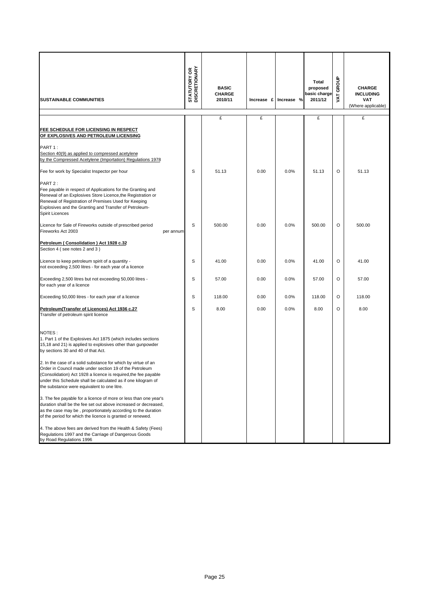| <b>SUSTAINABLE COMMUNITIES</b>                                                                                                                                                                                                                                                                                                                                                                                                                                                                                                                                                                                                                                                                                                                                    | <b>STATUTORY OR<br/>DISCRETIONARY</b> | <b>BASIC</b><br><b>CHARGE</b><br>2010/11 | Increase £ | Increase % | Total<br>proposed<br>basic charge<br>2011/12 | GROUP<br>JAT | <b>CHARGE</b><br><b>INCLUDING</b><br><b>VAT</b><br>(Where applicable) |
|-------------------------------------------------------------------------------------------------------------------------------------------------------------------------------------------------------------------------------------------------------------------------------------------------------------------------------------------------------------------------------------------------------------------------------------------------------------------------------------------------------------------------------------------------------------------------------------------------------------------------------------------------------------------------------------------------------------------------------------------------------------------|---------------------------------------|------------------------------------------|------------|------------|----------------------------------------------|--------------|-----------------------------------------------------------------------|
|                                                                                                                                                                                                                                                                                                                                                                                                                                                                                                                                                                                                                                                                                                                                                                   |                                       | £                                        | £          |            | £                                            |              | £                                                                     |
| FEE SCHEDULE FOR LICENSING IN RESPECT<br>OF EXPLOSIVES AND PETROLEUM LICENSING                                                                                                                                                                                                                                                                                                                                                                                                                                                                                                                                                                                                                                                                                    |                                       |                                          |            |            |                                              |              |                                                                       |
| PART 1:<br>Section 40(9) as applied to compressed acetylene<br>by the Compressed Acetylene (Importation) Requlations 1978                                                                                                                                                                                                                                                                                                                                                                                                                                                                                                                                                                                                                                         |                                       |                                          |            |            |                                              |              |                                                                       |
| Fee for work by Specialist Inspector per hour                                                                                                                                                                                                                                                                                                                                                                                                                                                                                                                                                                                                                                                                                                                     | S                                     | 51.13                                    | 0.00       | 0.0%       | 51.13                                        | O            | 51.13                                                                 |
| PART 2:<br>Fee payable in respect of Applications for the Granting and<br>Renewal of an Explosives Store Licence, the Registration or<br>Renewal of Registration of Premises Used for Keeping<br>Explosives and the Granting and Transfer of Petroleum-<br><b>Spirit Licences</b>                                                                                                                                                                                                                                                                                                                                                                                                                                                                                 |                                       |                                          |            |            |                                              |              |                                                                       |
| Licence for Sale of Fireworks outside of prescribed period<br>Fireworks Act 2003<br>per annum                                                                                                                                                                                                                                                                                                                                                                                                                                                                                                                                                                                                                                                                     | S                                     | 500.00                                   | 0.00       | 0.0%       | 500.00                                       | O            | 500.00                                                                |
| Petroleum (Consolidation) Act 1928 c.32<br>Section 4 (see notes 2 and 3)                                                                                                                                                                                                                                                                                                                                                                                                                                                                                                                                                                                                                                                                                          |                                       |                                          |            |            |                                              |              |                                                                       |
| Licence to keep petroleum spirit of a quantity -<br>not exceeding 2,500 litres - for each year of a licence                                                                                                                                                                                                                                                                                                                                                                                                                                                                                                                                                                                                                                                       | S                                     | 41.00                                    | 0.00       | 0.0%       | 41.00                                        | O            | 41.00                                                                 |
| Exceeding 2,500 litres but not exceeding 50,000 litres -<br>for each year of a licence                                                                                                                                                                                                                                                                                                                                                                                                                                                                                                                                                                                                                                                                            | S                                     | 57.00                                    | 0.00       | 0.0%       | 57.00                                        | O            | 57.00                                                                 |
| Exceeding 50,000 litres - for each year of a licence                                                                                                                                                                                                                                                                                                                                                                                                                                                                                                                                                                                                                                                                                                              | S                                     | 118.00                                   | 0.00       | 0.0%       | 118.00                                       | O            | 118.00                                                                |
| Petroleum (Transfer of Licences) Act 1936 c.27<br>Transfer of petroleum spirit licence                                                                                                                                                                                                                                                                                                                                                                                                                                                                                                                                                                                                                                                                            | S                                     | 8.00                                     | 0.00       | 0.0%       | 8.00                                         | O            | 8.00                                                                  |
| NOTES:<br>1. Part 1 of the Explosives Act 1875 (which includes sections<br>15,18 and 21) is applied to explosives other than gunpowder<br>by sections 30 and 40 of that Act.<br>2. In the case of a solid substance for which by virtue of an<br>Order in Council made under section 19 of the Petroleum<br>(Consolidation) Act 1928 a licence is required, the fee payable<br>under this Schedule shall be calculated as if one kilogram of<br>the substance were equivalent to one litre.<br>3. The fee payable for a licence of more or less than one year's<br>duration shall be the fee set out above increased or decreased,<br>as the case may be, proportionately according to the duration<br>of the period for which the licence is granted or renewed. |                                       |                                          |            |            |                                              |              |                                                                       |
| 4. The above fees are derived from the Health & Safety (Fees)<br>Regulations 1997 and the Carriage of Dangerous Goods<br>by Road Regulations 1996                                                                                                                                                                                                                                                                                                                                                                                                                                                                                                                                                                                                                 |                                       |                                          |            |            |                                              |              |                                                                       |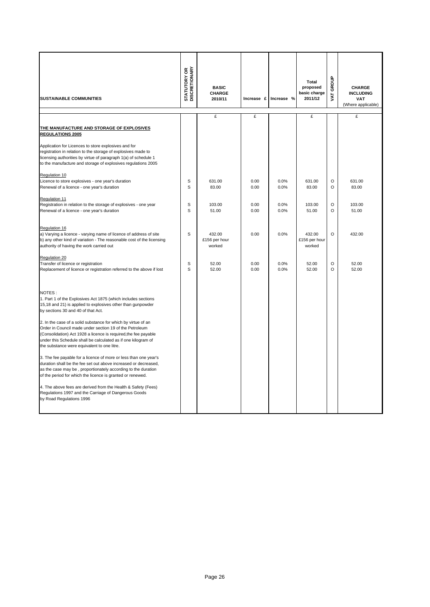| <b>SUSTAINABLE COMMUNITIES</b>                                                                                                                                                                                                                                     | <b>STATUTORY OR</b><br>DISCRETIONARY | <b>BASIC</b><br><b>CHARGE</b><br>2010/11 |              | Increase £ Increase % | <b>Total</b><br>proposed<br>basic charge<br>2011/12 | GROUP<br>ŠΕ        | <b>CHARGE</b><br><b>INCLUDING</b><br><b>VAT</b><br>(Where applicable) |
|--------------------------------------------------------------------------------------------------------------------------------------------------------------------------------------------------------------------------------------------------------------------|--------------------------------------|------------------------------------------|--------------|-----------------------|-----------------------------------------------------|--------------------|-----------------------------------------------------------------------|
|                                                                                                                                                                                                                                                                    |                                      | £                                        | £            |                       | £                                                   |                    | £                                                                     |
| THE MANUFACTURE AND STORAGE OF EXPLOSIVES<br><b>REGULATIONS 2005</b>                                                                                                                                                                                               |                                      |                                          |              |                       |                                                     |                    |                                                                       |
| Application for Licences to store explosives and for<br>registration in relation to the storage of explosives made to<br>licensing authorities by virtue of paragraph 1(a) of schedule 1<br>to the manufacture and storage of explosives regulations 2005          |                                      |                                          |              |                       |                                                     |                    |                                                                       |
| Regulation 10                                                                                                                                                                                                                                                      |                                      |                                          |              |                       |                                                     |                    |                                                                       |
| Licence to store explosives - one year's duration<br>Renewal of a licence - one year's duration                                                                                                                                                                    | S<br>S                               | 631.00<br>83.00                          | 0.00<br>0.00 | 0.0%<br>0.0%          | 631.00<br>83.00                                     | $\circ$<br>$\circ$ | 631.00<br>83.00                                                       |
| Regulation 11                                                                                                                                                                                                                                                      |                                      |                                          |              |                       |                                                     |                    |                                                                       |
| Registration in relation to the storage of explosives - one year<br>Renewal of a licence - one year's duration                                                                                                                                                     | S<br>S                               | 103.00<br>51.00                          | 0.00<br>0.00 | 0.0%<br>0.0%          | 103.00<br>51.00                                     | $\circ$<br>$\circ$ | 103.00<br>51.00                                                       |
| Regulation 16<br>a) Varying a licence - varying name of licence of address of site<br>b) any other kind of variation - The reasonable cost of the licensing<br>authority of having the work carried out                                                            | S                                    | 432.00<br>£156 per hour<br>worked        | 0.00         | 0.0%                  | 432.00<br>£156 per hour<br>worked                   | $\circ$            | 432.00                                                                |
| Regulation 20<br>Transfer of licence or registration<br>Replacement of licence or registration referred to the above if lost                                                                                                                                       | S<br>S                               | 52.00<br>52.00                           | 0.00<br>0.00 | 0.0%<br>0.0%          | 52.00<br>52.00                                      | $\circ$<br>$\circ$ | 52.00<br>52.00                                                        |
| NOTES:<br>1. Part 1 of the Explosives Act 1875 (which includes sections<br>15,18 and 21) is applied to explosives other than gunpowder<br>by sections 30 and 40 of that Act.<br>2. In the case of a solid substance for which by virtue of an                      |                                      |                                          |              |                       |                                                     |                    |                                                                       |
| Order in Council made under section 19 of the Petroleum<br>(Consolidation) Act 1928 a licence is required, the fee payable<br>under this Schedule shall be calculated as if one kilogram of<br>the substance were equivalent to one litre.                         |                                      |                                          |              |                       |                                                     |                    |                                                                       |
| 3. The fee payable for a licence of more or less than one year's<br>duration shall be the fee set out above increased or decreased,<br>as the case may be, proportionately according to the duration<br>of the period for which the licence is granted or renewed. |                                      |                                          |              |                       |                                                     |                    |                                                                       |
| 4. The above fees are derived from the Health & Safety (Fees)<br>Regulations 1997 and the Carriage of Dangerous Goods<br>by Road Regulations 1996                                                                                                                  |                                      |                                          |              |                       |                                                     |                    |                                                                       |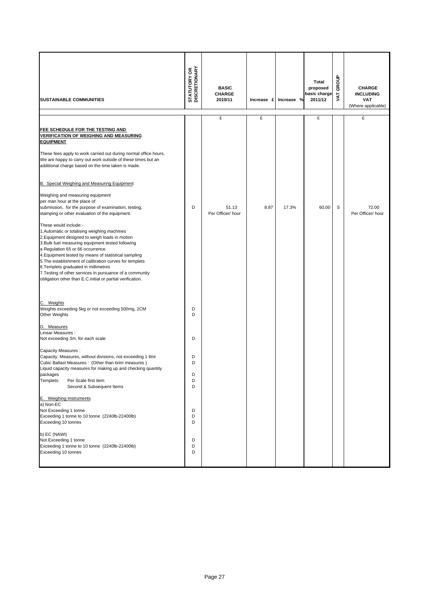| <b>SUSTAINABLE COMMUNITIES</b>                                                                                                                                                                                                                                                                                                                                                                                                                                                                         | <b>STATUTORY OR<br/>DISCRETIONARY</b> | <b>BASIC</b><br><b>CHARGE</b><br>2010/11 | Increase £ | Increase % | <b>Total</b><br>proposed<br>basic charge<br>2011/12 | GROUP<br><b>TAV</b> | <b>CHARGE</b><br><b>INCLUDING</b><br><b>VAT</b><br>(Where applicable) |
|--------------------------------------------------------------------------------------------------------------------------------------------------------------------------------------------------------------------------------------------------------------------------------------------------------------------------------------------------------------------------------------------------------------------------------------------------------------------------------------------------------|---------------------------------------|------------------------------------------|------------|------------|-----------------------------------------------------|---------------------|-----------------------------------------------------------------------|
|                                                                                                                                                                                                                                                                                                                                                                                                                                                                                                        |                                       | £                                        | £          |            | £                                                   |                     | £                                                                     |
| FEE SCHEDULE FOR THE TESTING AND<br><u>VERIFICATION OF WEIGHING AND MEASURING</u><br><u>EQUIPMENT</u><br>These fees apply to work carried out during normal office hours.<br>We are happy to carry out work outside of these times but an<br>additional charge based on the time taken is made.                                                                                                                                                                                                        |                                       |                                          |            |            |                                                     |                     |                                                                       |
| B. Special Weighing and Measuring Equipment                                                                                                                                                                                                                                                                                                                                                                                                                                                            |                                       |                                          |            |            |                                                     |                     |                                                                       |
| Weighing and measuring equipment<br>per man hour at the place of<br>submission, for the purpose of examination, testing,<br>stamping or other evaluation of the equipment.                                                                                                                                                                                                                                                                                                                             | D                                     | 51.13<br>Per Officer/ hour               | 8.87       | 17.3%      | 60.00                                               | S                   | 72.00<br>Per Officer/ hour                                            |
| These would include:-<br>1. Automatic or totalising weighing machines<br>2. Equipment designed to weigh loads in motion<br>3. Bulk fuel measuring equipment tested following<br>a Regulation 65 or 66 occurrence.<br>4. Equipment tested by means of statistical sampling<br>5. The establishment of calibration curves for templets<br>6. Templets graduated in millimetres<br>7. Testing of other services in pursuance of a community<br>obligation other than E.C.initial or partial verification. |                                       |                                          |            |            |                                                     |                     |                                                                       |
| C. Weights<br>Weights exceeding 5kg or not exceeding 500mg, 2CM<br><b>Other Weights</b><br>D. Measures                                                                                                                                                                                                                                                                                                                                                                                                 | D<br>D                                |                                          |            |            |                                                     |                     |                                                                       |
| Linear Measures:<br>Not exceeding 3m, for each scale                                                                                                                                                                                                                                                                                                                                                                                                                                                   | D                                     |                                          |            |            |                                                     |                     |                                                                       |
| Capacity Measures:<br>Capacity Measures, without divisions, not exceeding 1 litre<br>Cubic Ballast Measures: (Other than brim measures)<br>Liquid capacity measures for making up and checking quantity<br>packages<br>Templets:<br>Per Scale first item<br>Second & Subsequent Items                                                                                                                                                                                                                  | D<br>D<br>D<br>D<br>D                 |                                          |            |            |                                                     |                     |                                                                       |
| E. Weighing Instruments<br>a) Non-EC<br>Not Exceeding 1 tonne<br>Exceeding 1 tonne to 10 tonne (2240lb-22400lb)<br>Exceeding 10 tonnes                                                                                                                                                                                                                                                                                                                                                                 | D<br>D<br>D                           |                                          |            |            |                                                     |                     |                                                                       |
| b) EC (NAWI)<br>Not Exceeding 1 tonne<br>Exceeding 1 tonne to 10 tonne (2240lb-22400lb)<br>Exceeding 10 tonnes                                                                                                                                                                                                                                                                                                                                                                                         | D<br>D<br>D                           |                                          |            |            |                                                     |                     |                                                                       |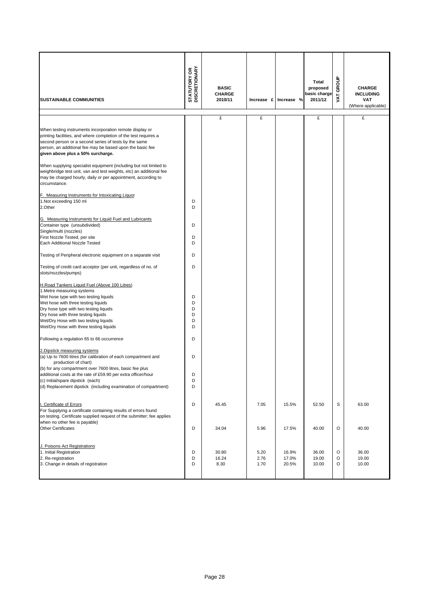| <b>SUSTAINABLE COMMUNITIES</b>                                                                                                                                                                                                                                                                                                    | <b>STATUTORY OR<br/>DISCRETIONARY</b> | <b>BASIC</b><br><b>CHARGE</b><br>2010/11 | Increase £   | Increase %     | Total<br>proposed<br>basic charge<br>2011/12 | GROUP<br><b>TY</b> | <b>CHARGE</b><br><b>INCLUDING</b><br>VAT<br>(Where applicable) |
|-----------------------------------------------------------------------------------------------------------------------------------------------------------------------------------------------------------------------------------------------------------------------------------------------------------------------------------|---------------------------------------|------------------------------------------|--------------|----------------|----------------------------------------------|--------------------|----------------------------------------------------------------|
|                                                                                                                                                                                                                                                                                                                                   |                                       | £                                        | £            |                | £                                            |                    | £                                                              |
| When testing instruments incorporation remote display or<br>printing facilities, and where completion of the test requires a<br>second person or a second series of tests by the same<br>person, an additional fee may be based upon the basic fee<br>given above plus a 50% surcharge.                                           |                                       |                                          |              |                |                                              |                    |                                                                |
| When supplying specialist equipment (including but not limited to<br>weighbridge test unit, van and test weights, etc) an additional fee<br>may be charged hourly, daily or per appointment, according to<br>circumstance.                                                                                                        |                                       |                                          |              |                |                                              |                    |                                                                |
| F. Measuring Instruments for Intoxicating Liquor<br>1.Not exceeding 150 ml<br>2.Other                                                                                                                                                                                                                                             | D<br>D                                |                                          |              |                |                                              |                    |                                                                |
| G. Measuring Instruments for Liquid Fuel and Lubricants<br>Container type (unsubdivided)<br>Single/multi (nozzles)<br>First Nozzle Tested, per site<br>Each Additional Nozzle Tested                                                                                                                                              | D<br>D<br>D                           |                                          |              |                |                                              |                    |                                                                |
| Testing of Peripheral electronic equipment on a separate visit                                                                                                                                                                                                                                                                    | D                                     |                                          |              |                |                                              |                    |                                                                |
| Testing of credit card acceptor (per unit, regardless of no. of<br>slots/nozzles/pumps)                                                                                                                                                                                                                                           | D                                     |                                          |              |                |                                              |                    |                                                                |
| H.Road Tankers Liquid Fuel (Above 100 Litres)<br>1. Metre measuring systems<br>Wet hose type with two testing liquids<br>Wet hose with three testing liquids<br>Dry hose type with two testing liquids<br>Dry hose with three testing liquids<br>Wet/Dry Hose with two testing liquids<br>Wet/Dry Hose with three testing liquids | D<br>D<br>D<br>D<br>D<br>D            |                                          |              |                |                                              |                    |                                                                |
| Following a regulation 65 to 66 occurrence                                                                                                                                                                                                                                                                                        | D                                     |                                          |              |                |                                              |                    |                                                                |
| 2. Dipstick measuring systems<br>(a) Up to 7600 litres (for calibration of each compartment and<br>production of chart)<br>(b) for any compartment over 7600 litres, basic fee plus                                                                                                                                               | D                                     |                                          |              |                |                                              |                    |                                                                |
| additional costs at the rate of £59.90 per extra officer/hour<br>(c) Initial/spare dipstick (each)<br>(d) Replacement dipstick (including examination of compartment)                                                                                                                                                             | D<br>D<br>D                           |                                          |              |                |                                              |                    |                                                                |
| I. Certificate of Errors<br>For Supplying a certificate containing results of errors found<br>on testing. Certificate supplied request of the submitter; fee applies<br>when no other fee is payable)                                                                                                                             | D                                     | 45.45                                    | 7.05         | 15.5%          | 52.50                                        | S                  | 63.00                                                          |
| <b>Other Certificates</b><br>J. Poisons Act Registrations<br>1. Initial Registration                                                                                                                                                                                                                                              | D<br>D                                | 34.04<br>30.80                           | 5.96<br>5.20 | 17.5%<br>16.9% | 40.00<br>36.00                               | O<br>O             | 40.00<br>36.00                                                 |
| 2. Re-registration<br>3. Change in details of registration                                                                                                                                                                                                                                                                        | D<br>D                                | 16.24<br>8.30                            | 2.76<br>1.70 | 17.0%<br>20.5% | 19.00<br>10.00                               | O<br>O             | 19.00<br>10.00                                                 |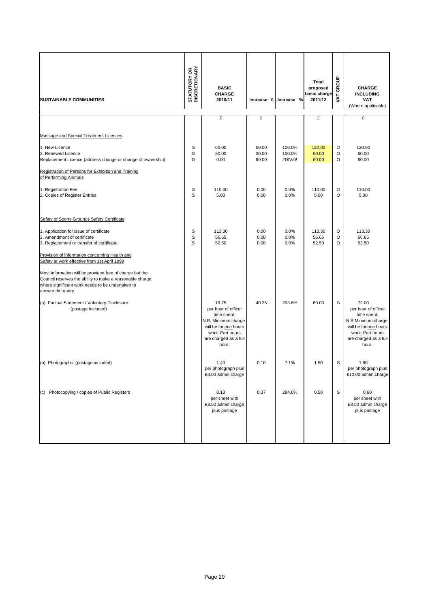| <b>SUSTAINABLE COMMUNITIES</b>                                                                                                                                                                | <b>STATUTORY OR<br/>DISCRETIONARY</b> | <b>BASIC</b><br><b>CHARGE</b><br>2010/11                                                                                                          | Increase £              | Increase %                  | Total<br>proposed<br>basic charge<br>2011/12 | GROUP<br>Š  | <b>CHARGE</b><br><b>INCLUDING</b><br><b>VAT</b><br>(Where applicable)                                                                            |
|-----------------------------------------------------------------------------------------------------------------------------------------------------------------------------------------------|---------------------------------------|---------------------------------------------------------------------------------------------------------------------------------------------------|-------------------------|-----------------------------|----------------------------------------------|-------------|--------------------------------------------------------------------------------------------------------------------------------------------------|
|                                                                                                                                                                                               |                                       | £                                                                                                                                                 | £                       |                             | £                                            |             | £                                                                                                                                                |
| Massage and Special Treatment Licences                                                                                                                                                        |                                       |                                                                                                                                                   |                         |                             |                                              |             |                                                                                                                                                  |
| 1. New Licence<br>2. Renewed Licence<br>Replacement Licence (address change or change of ownership)                                                                                           | S<br>S<br>D                           | 60.00<br>30.00<br>0.00                                                                                                                            | 60.00<br>30.00<br>60.00 | 100.0%<br>100.0%<br>#DIV/0! | 120.00<br>60.00<br>60.00                     | O<br>O<br>O | 120.00<br>60.00<br>60.00                                                                                                                         |
| Registration of Persons for Exhibition and Training<br>of Performing Animals                                                                                                                  |                                       |                                                                                                                                                   |                         |                             |                                              |             |                                                                                                                                                  |
| 1. Registration Fee<br>2. Copies of Register Entries                                                                                                                                          | s<br>S                                | 110.00<br>5.00                                                                                                                                    | 0.00<br>0.00            | 0.0%<br>0.0%                | 110.00<br>5.00                               | O<br>O      | 110.00<br>5.00                                                                                                                                   |
| Safety of Sports Grounds Safety Certificate                                                                                                                                                   |                                       |                                                                                                                                                   |                         |                             |                                              |             |                                                                                                                                                  |
| 1. Application for issue of certificate<br>2. Amendment of certificate<br>3. Replacement or transfer of certificate                                                                           | s<br>S<br>S                           | 113.30<br>56.65<br>52.50                                                                                                                          | 0.00<br>0.00<br>0.00    | 0.0%<br>0.0%<br>0.0%        | 113.30<br>56.65<br>52.50                     | O<br>O<br>O | 113.30<br>56.65<br>52.50                                                                                                                         |
| Provision of information concerning Health and<br>Safety at work effective from 1st April 1999                                                                                                |                                       |                                                                                                                                                   |                         |                             |                                              |             |                                                                                                                                                  |
| Most information will be provided free of charge but the<br>Council reserves the ability to make a reasonable charge<br>where significant work needs to be undertaken to<br>answer the query. |                                       |                                                                                                                                                   |                         |                             |                                              |             |                                                                                                                                                  |
| (a) Factual Statement / Voluntary Disclosure<br>(postage included)                                                                                                                            |                                       | 19.75<br>per hour of officer<br>time spent.<br>N.B. Minimum charge<br>will be for one hours<br>work. Part hours<br>are charged as a full<br>hour. | 40.25                   | 203.8%                      | 60.00                                        | S           | 72.00<br>per hour of officer<br>time spent.<br>N.B.Minimum charge<br>will be for one hours<br>work. Part hours<br>are charged as a full<br>hour. |
| (b) Photographs (postage included)                                                                                                                                                            |                                       | 1.40<br>per photograph plus<br>£8.00 admin charge                                                                                                 | 0.10                    | 7.1%                        | 1.50                                         | S           | 1.80<br>per photograph plus<br>£10.00 admin.charge                                                                                               |
| (c) Photocopying / copies of Public Registers                                                                                                                                                 |                                       | 0.13<br>per sheet with<br>£3.50 admin charge<br>plus postage                                                                                      | 0.37                    | 284.6%                      | 0.50                                         | S           | 0.60<br>per sheet with<br>£3.50 admin charge<br>plus postage                                                                                     |
|                                                                                                                                                                                               |                                       |                                                                                                                                                   |                         |                             |                                              |             |                                                                                                                                                  |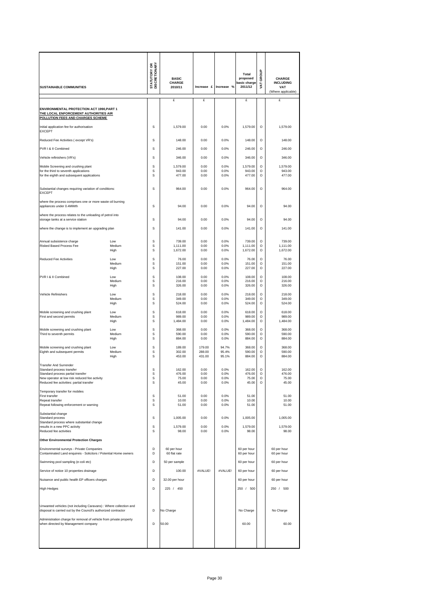| <b>SUSTAINABLE COMMUNITIES</b>                                                                                          |                       | <b>STATUTORY OR<br/>DISCRETIONARY</b> | <b>BASIC</b><br><b>CHARGE</b><br>2010/11 | Increase £           | Increase %           | Total<br>proposed<br>basic charge<br>2011/12 | GROUP<br>Š                    | <b>CHARGE</b><br><b>INCLUDING</b><br><b>VAT</b><br>(Where applicable) |
|-------------------------------------------------------------------------------------------------------------------------|-----------------------|---------------------------------------|------------------------------------------|----------------------|----------------------|----------------------------------------------|-------------------------------|-----------------------------------------------------------------------|
|                                                                                                                         |                       |                                       | £                                        | £                    |                      | £                                            |                               | £                                                                     |
| ENVIRONMENTAL PROTECTION ACT 1990, PART 1<br>THE LOCAL ENFORCEMENT AUTHORITIES AIR<br>POLLUTION FEES AND CHARGES SCHEME |                       |                                       |                                          |                      |                      |                                              |                               |                                                                       |
| Initial application fee for authorisation<br><b>EXCEPT</b>                                                              |                       | s                                     | 1,579.00                                 | 0.00                 | 0.0%                 | 1,579.00                                     | $\circ$                       | 1,579.00                                                              |
| Reduced Fee Activities (except VR's)                                                                                    |                       | S                                     | 148.00                                   | 0.00                 | 0.0%                 | 148.00                                       | O                             | 148.00                                                                |
| PVR I & II Combined                                                                                                     |                       | s                                     | 246.00                                   | 0.00                 | 0.0%                 | 246.00                                       | O                             | 246.00                                                                |
| Vehicle refinishers (VR's)                                                                                              |                       | s                                     | 346.00                                   | 0.00                 | 0.0%                 | 346.00                                       | O                             | 346.00                                                                |
| Mobile Screening and crushing plant                                                                                     |                       | S                                     | 1,579.00                                 | 0.00                 | 0.0%                 | 1,579.00                                     | O                             | 1,579.00                                                              |
| for the third to seventh applications<br>for the eighth and subsequent applications                                     |                       | S<br>s                                | 943.00<br>477.00                         | 0.00<br>0.00         | 0.0%<br>0.0%         | 943.00<br>477.00                             | O<br>O                        | 943.00<br>477.00                                                      |
| Substantial changes requiring variation of conditions:<br><b>EXCEPT</b>                                                 |                       | s                                     | 964.00                                   | 0.00                 | 0.0%                 | 964.00                                       | $\circ$                       | 964.00                                                                |
| where the process comprises one or more waste oil burning<br>appliances under 0.4MWth                                   |                       | S                                     | 94.00                                    | 0.00                 | 0.0%                 | 94.00                                        | O                             | 94.00                                                                 |
| where the process relates to the unloading of petrol into                                                               |                       |                                       |                                          |                      |                      |                                              |                               |                                                                       |
| storage tanks at a service station                                                                                      |                       | S                                     | 94.00                                    | 0.00                 | 0.0%                 | 94.00                                        | O                             | 94.00                                                                 |
| where the change is to implement an upgrading plan                                                                      |                       | s                                     | 141.00                                   | 0.00                 | 0.0%                 | 141.00                                       | $\circ$                       | 141.00                                                                |
| Annual subsistence charge<br><b>Risked Based Process Fee</b>                                                            | Low<br>Medium<br>High | s<br>s<br>S                           | 739.00<br>1.111.00<br>1,672.00           | 0.00<br>0.00<br>0.00 | 0.0%<br>0.0%<br>0.0% | 739.00<br>1,111.00<br>1,672.00               | $\circ$<br>$\circ$<br>$\circ$ | 739.00<br>1,111.00<br>1,672.00                                        |
| <b>Reduced Fee Activities</b>                                                                                           | Low                   | s                                     | 76.00                                    | 0.00                 | 0.0%                 | 76.00                                        | $\circ$                       | 76.00                                                                 |
|                                                                                                                         | Medium<br>High        | S<br>s                                | 151.00<br>227.00                         | 0.00<br>0.00         | 0.0%<br>0.0%         | 151.00<br>227.00                             | O<br>O                        | 151.00<br>227.00                                                      |
| PVR I & II Combined                                                                                                     | Low                   | s                                     | 108.00                                   | 0.00                 | 0.0%                 | 108.00                                       | $\circ$                       | 108.00                                                                |
|                                                                                                                         | Medium<br>High        | s<br>s                                | 216.00<br>326.00                         | 0.00<br>0.00         | 0.0%<br>0.0%         | 216.00<br>326.00                             | O<br>O                        | 216.00<br>326.00                                                      |
| Vehicle Refinishers                                                                                                     | Low                   | s                                     | 218.00                                   | 0.00                 | 0.0%                 | 218.00                                       | $\circ$                       | 218.00                                                                |
|                                                                                                                         | Medium<br>High        | s<br>s                                | 349.00<br>524.00                         | 0.00<br>0.00         | 0.0%<br>0.0%         | 349.00<br>524.00                             | $\circ$<br>$\circ$            | 349.00<br>524.00                                                      |
| Mobile screening and crushing plant                                                                                     | Low                   | s                                     | 618.00                                   | 0.00                 | 0.0%                 | 618.00                                       | $\circ$                       | 618.00                                                                |
| First and second permits                                                                                                | Medium<br>High        | S<br>s                                | 989.00<br>1,484.00                       | 0.00<br>0.00         | 0.0%<br>0.0%         | 989.00<br>1,484.00                           | O<br>O                        | 989.00<br>1,484.00                                                    |
| Mobile screening and crushing plant                                                                                     | Low                   | s                                     | 368.00                                   | 0.00                 | 0.0%                 | 368.00                                       | $\circ$                       | 368.00                                                                |
| Third to seventh permits                                                                                                | Medium<br>High        | S<br>s                                | 590.00<br>884.00                         | 0.00<br>0.00         | 0.0%<br>0.0%         | 590.00<br>884.00                             | $\circ$<br>$\circ$            | 590.00<br>884.00                                                      |
| Mobile screening and crushing plant                                                                                     | Low                   | s                                     | 189.00                                   | 179.00               | 94.7%                | 368.00                                       | $\circ$                       | 368.00                                                                |
| Eighth and subsequent permits                                                                                           | Medium<br>High        | s<br>S                                | 302.00<br>453.00                         | 288.00<br>431.00     | 95.4%<br>95.1%       | 590.00<br>884.00                             | $\circ$<br>O                  | 590.00<br>884.00                                                      |
| <b>Transfer And Surrender</b>                                                                                           |                       |                                       |                                          |                      |                      |                                              |                               |                                                                       |
| Standard process transfer<br>Standard process partial transfer                                                          |                       | s<br>s                                | 162.00<br>476.00                         | 0.00<br>0.00         | 0.0%<br>0.0%         | 162.00<br>476.00                             | $\circ$<br>$\Omega$           | 162.00<br>476.00                                                      |
| New operator at low risk reduced fee activity<br>Reduced fee activities: partial transfer                               |                       | s<br>s                                | 75.00<br>45.00                           | 0.00<br>0.00         | 0.0%<br>0.0%         | 75.00<br>45.00                               | O<br>O                        | 75.00<br>45.00                                                        |
| Temporary transfer for mobiles                                                                                          |                       |                                       |                                          |                      |                      |                                              |                               |                                                                       |
| First transfer                                                                                                          |                       | s                                     | 51.00                                    | 0.00                 | 0.0%                 | 51.00                                        |                               | 51.00                                                                 |
| Repeat transfer<br>Repeat following enforcement or warning                                                              |                       | s<br>s                                | 10.00<br>51.00                           | 0.00<br>0.00         | 0.0%<br>0.0%         | 10.00<br>51.00                               |                               | 10.00<br>51.00                                                        |
| Substantial change                                                                                                      |                       |                                       |                                          |                      |                      |                                              |                               |                                                                       |
| Standard process<br>Standard process where substantial change                                                           |                       | S                                     | 1,005.00                                 | 0.00                 | 0.0%                 | 1,005.00                                     |                               | 1,005.00                                                              |
| results in a new PPC activity<br>Reduced fee activities                                                                 |                       | S<br>s                                | 1,579.00<br>98.00                        | 0.00<br>0.00         | 0.0%<br>0.0%         | 1,579.00<br>98.00                            |                               | 1,579.00<br>98.00                                                     |
| <b>Other Environmental Protection Charges</b>                                                                           |                       |                                       |                                          |                      |                      |                                              |                               |                                                                       |
| Environmental surveys - Private Companies<br>Contaminated Land enquireis - Solicitors / Potential Home owners           |                       | D<br>D                                | 60 per hour<br>60 flat rate              |                      |                      | 60 per hour<br>60 per hour                   |                               | 60 per hour<br>60 per hour                                            |
| Swimming pool sampling (e-coli etc)                                                                                     |                       | D                                     | 50 per sample                            |                      |                      | 60 per hour                                  |                               | 60 per hour                                                           |
| Service of notice 10 properties drainage                                                                                |                       | D                                     | 100.00                                   | #VALUE!              | #VALUE!              | 60 per hour                                  |                               | 60 per hour                                                           |
| Nuisance and public health EP officers charges                                                                          |                       | D                                     | 32.00 per hour                           |                      |                      | 60 per hour                                  |                               | 60 per hour                                                           |
| High Hedges                                                                                                             |                       | D                                     | 225 / 450                                |                      |                      | 250 / 500                                    |                               | 250 / 500                                                             |
|                                                                                                                         |                       |                                       |                                          |                      |                      |                                              |                               |                                                                       |
| Unwanted vehicles (not including Caravans) : Where collection and                                                       |                       |                                       |                                          |                      |                      |                                              |                               |                                                                       |
| disposal is carried out by the Council's authorized contractor                                                          |                       | D                                     | No Charge                                |                      |                      | No Charge                                    |                               | No Charge                                                             |
| Administration charge for removal of vehicle from private property<br>when directed by Management company               |                       | D                                     | 50.00                                    |                      |                      | 60.00                                        |                               | 60.00                                                                 |
|                                                                                                                         |                       |                                       |                                          |                      |                      |                                              |                               |                                                                       |
|                                                                                                                         |                       |                                       |                                          |                      |                      |                                              |                               |                                                                       |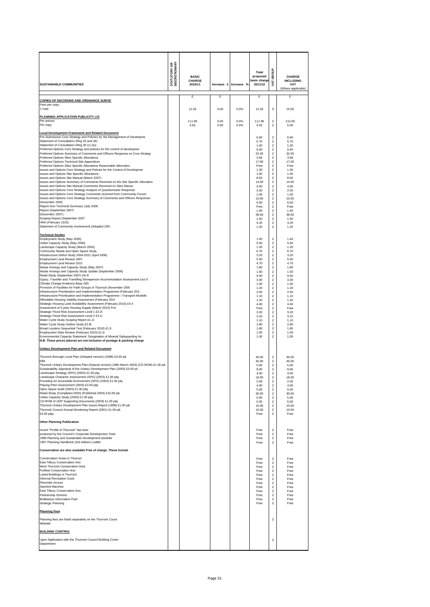| <b>SUSTAINABLE COMMUNITIES</b>                                                                                                                                                                                                                                                                                                                                                                                                                                                                                                                                                                                                                                                                                                                                                                                                                                                                                                                                                                                                                                                                                                                                                                                                                                                                                                                                                                                                                                                                              | <b>STATUTORY OR<br/>DISCRETIONARY</b> | <b>BASIC</b><br>CHARGE<br>2010/11 |              | Increase £ Increase % | Total<br>proposed<br>basic charge<br>2011/12                                                                                                                                                         | GROUP<br>VAT                                                                                                              | CHARGE<br><b>INCLUDING</b><br>VAT<br>(Where applicable)                                                                                                                                              |
|-------------------------------------------------------------------------------------------------------------------------------------------------------------------------------------------------------------------------------------------------------------------------------------------------------------------------------------------------------------------------------------------------------------------------------------------------------------------------------------------------------------------------------------------------------------------------------------------------------------------------------------------------------------------------------------------------------------------------------------------------------------------------------------------------------------------------------------------------------------------------------------------------------------------------------------------------------------------------------------------------------------------------------------------------------------------------------------------------------------------------------------------------------------------------------------------------------------------------------------------------------------------------------------------------------------------------------------------------------------------------------------------------------------------------------------------------------------------------------------------------------------|---------------------------------------|-----------------------------------|--------------|-----------------------|------------------------------------------------------------------------------------------------------------------------------------------------------------------------------------------------------|---------------------------------------------------------------------------------------------------------------------------|------------------------------------------------------------------------------------------------------------------------------------------------------------------------------------------------------|
|                                                                                                                                                                                                                                                                                                                                                                                                                                                                                                                                                                                                                                                                                                                                                                                                                                                                                                                                                                                                                                                                                                                                                                                                                                                                                                                                                                                                                                                                                                             |                                       | £                                 | £            |                       | £                                                                                                                                                                                                    |                                                                                                                           | £                                                                                                                                                                                                    |
| <b>COPIES OF DECISIONS AND ORDNANCE SURVEY</b><br>ees per copy :<br>copy                                                                                                                                                                                                                                                                                                                                                                                                                                                                                                                                                                                                                                                                                                                                                                                                                                                                                                                                                                                                                                                                                                                                                                                                                                                                                                                                                                                                                                    |                                       | 12.26                             | 0.00         | 0.0%                  | 12.26                                                                                                                                                                                                | S                                                                                                                         | 15.00                                                                                                                                                                                                |
| PLANNING APPLICATION PUBLICITY LIST                                                                                                                                                                                                                                                                                                                                                                                                                                                                                                                                                                                                                                                                                                                                                                                                                                                                                                                                                                                                                                                                                                                                                                                                                                                                                                                                                                                                                                                                         |                                       |                                   |              |                       |                                                                                                                                                                                                      |                                                                                                                           |                                                                                                                                                                                                      |
| Per annum<br>Per copy                                                                                                                                                                                                                                                                                                                                                                                                                                                                                                                                                                                                                                                                                                                                                                                                                                                                                                                                                                                                                                                                                                                                                                                                                                                                                                                                                                                                                                                                                       |                                       | 111.90<br>4.55                    | 0.00<br>0.00 | 0.0%<br>0.0%          | 111.90<br>4.55                                                                                                                                                                                       | z<br>z                                                                                                                    | 112.00<br>5.00                                                                                                                                                                                       |
| <b>Local Development Framework and Related Document:</b><br>Pre-Submission Core Strategy and Policies for the Management of Developme<br>Statement of Consultation (Reg 25 and 26)<br>Statement of Consultation (Reg 30 (1) (e))<br>Preferred Options Core Strategy and policies for the control of developmer<br>Preferred Options Summary of Comments and Officers Response on Core Strateg<br>Preferred Options Sites Specific Allocations<br>Preferred Options Technical Site Appendices<br>Preferred Options Sites Specific Allocations Reasonable Alternative<br>Issues and Options Core Strategy and Policies for the Control of Developmer<br>Issues and Options Site Specific Allocations<br>Issues and Options Site Manual (March 2007)<br>Issues and Options Summary of Comments Received on the Site Specific Allocation<br>Issues and Options Site Manual Comments Received on Sites Manua<br>Issues and Options Core Strategy Analysis of Questionnaire Response<br>Issues and Options Core Strategy Comments received from Community Forum:<br>Issues and Options Core Strategy Summary of Comments and Officers Response:<br>(November 2005)<br>Report Non-Technical Summary (July 2006<br>Report (September 2007)<br>(December 2007)<br>Scoping Report (September 2007                                                                                                                                                                                                                     |                                       |                                   |              |                       | 6.60<br>5.70<br>1.00<br>9.40<br>32.00<br>3.68<br>17.00<br>Free<br>1.30<br>1.00<br>8.50<br>14.00<br>4.00<br>2.50<br>1.00<br>10.00<br>6.50<br>Free<br>1.40<br>39.00<br>1.50                            | z<br>z<br>z<br>z<br>z<br>z<br>z<br>z<br>z<br>z<br>z<br>z<br>z<br>z<br>z<br>z<br>z<br>z<br>Z<br>z<br>z                     | 6.60<br>5.70<br>1.00<br>9.40<br>32.00<br>3.68<br>17.00<br>Free<br>1.30<br>1.00<br>8.50<br>14.00<br>4.00<br>2.50<br>1.00<br>10.00<br>6.50<br>Free<br>1.40<br>39.00<br>1.50                            |
| HRA (February 1010)<br>Statement of Community Involvement (Adopted 2007                                                                                                                                                                                                                                                                                                                                                                                                                                                                                                                                                                                                                                                                                                                                                                                                                                                                                                                                                                                                                                                                                                                                                                                                                                                                                                                                                                                                                                     |                                       |                                   |              |                       | 4.20<br>1.20                                                                                                                                                                                         | z<br>z                                                                                                                    | 4.20<br>1.20                                                                                                                                                                                         |
| <b>Technical Studies</b><br>Employment Study (May 2005)<br>Urban Capacity Study (May 2005)<br>Landscape Capacity Study (March 2005)<br>Community Needs and Open Space Study<br>Infrastructure Deficit Study 2004-2021 (April 2006)<br>Employment Land Review 2007<br>Employment Land Review 2010<br>Waste Arisings and Capacity Study (May 2007)<br>Waste Arisings and Capacity Study Update (September 2009)<br>Retail Study (September 2007) £9.4(<br>Gypsy, Traveller and Travelling Showperson Accommodation Assessment (oct 0)<br>Climate Change Evidence Base 200<br>Provision of Facilities for Faith Groups in Thurrock (November 2009<br>Infrastructure Prioritisation and Implementation Programme (February 201)<br>Infrastructure Prioritisation and Implementation Programme-Transport Modellir<br>Affordable Housing Viability Assessment (February 2010<br>Strategic Housing Land Availability Assessment (February 2010) £4.4<br>Assessment of 5-year Housing Supply (March 2010) Free<br>Strategic Flood Risk Assessment Level 1 £3.20<br>Strategic Flood Risk Assessment Level 2 £3.10<br>Water Cycle Study Scoping Report £1.10<br>Water Cycle Study Outline Study £2.80<br>Broad Location Sequential Test (February 2010) £1.8<br>Employment Sites Review (February 2010) £1.0<br>Environmental Capacity Statement: Designation of Mineral Safeguarding An<br>N.B. These prices (above) are not inclusive of postage & packing charge<br>Unitary Development Plan and Related Document: |                                       |                                   |              |                       | 1.40<br>5.50<br>1.20<br>6.70<br>3.20<br>5.50<br>4.70<br>1.80<br>1.50<br>9.40<br>3.30<br>1.00<br>1.20<br>2.50<br>1.10<br>1.20<br>4.40<br>Free<br>3.20<br>3.10<br>1.10<br>2.80<br>1.80<br>1.00<br>1.00 | z<br>z<br>z<br>z<br>z<br>z<br>z<br>z<br>z<br>Z<br>z<br>z<br>z<br>z<br>z<br>z<br>z<br>z<br>z<br>z<br>z<br>z<br>z<br>z<br>z | 1.40<br>5.50<br>1.20<br>6.70<br>3.20<br>5.50<br>4.70<br>1.80<br>1.50<br>9.40<br>3.30<br>1.00<br>1.20<br>2.50<br>1.10<br>1.20<br>4.40<br>Free<br>3.20<br>3.10<br>1.10<br>2.80<br>1.80<br>1.00<br>1.00 |
| Thurrock Borough Local Plan (Adopted version) (1998) £3.00 p&<br>p&p<br>Thurrock Unitary Development Plan (Deposit version) (28th March 2003) (CD-ROM) £1.00 p8<br>Sustainability Appraisal of the Unitary Development Plan (2003) £3.00 p8<br>Landscape Strategy (SPG) (2003) £1.00 p&p<br>Landscape Character Assessment (SPG) (2003) £1.00 p&p<br>Providing An Accessible Environment (SPG) (2003) £1.00 p&<br>Playing Pitch Assessment (2003) £3.00 p&p<br>Open Space Audit (2003) £1.00 p&p<br>Retail Study (Completed 2000) (Published 2003) £15.00 p&<br>Urban Capacity Study (2003) £1.00 p&p<br>CD-ROM of UDP Supporting Documents (2003) £1.00 p&p<br>Thurrock Unitary Development Plan Issues Report (1999) £1.00 p&<br>Thurrock Council Annual Monitoring Report (2001) £1.00 p&<br>£3.00 p&p<br><b>Other Planning Publication:</b><br>recent "Profile of Thurrock" has beer<br>produced by the Council's Corporate Development Tean                                                                                                                                                                                                                                                                                                                                                                                                                                                                                                                                                            |                                       |                                   |              |                       | 40.00<br>45.00<br>5.00<br>9.00<br>4.00<br>18.00<br>2.00<br>4.00<br>5.00<br>30.00<br>5.00<br>5.00<br>10.00<br>10.00<br>Free<br>Free<br>Free                                                           | z<br>z<br>z<br>z<br>z<br>z<br>z<br>z<br>z<br>z<br>z<br>z<br>z<br>z<br>z<br>z<br>z                                         | 40.00<br>45.00<br>5.00<br>9.00<br>4.00<br>18.00<br>2.00<br>4.00<br>5.00<br>30.00<br>5.00<br>5.00<br>10.00<br>10.00<br>Free<br>Free<br>Free                                                           |
| 1996 Planning and Sustainable Development (booklet<br>1997 Planning Handbook (3rd edition) Leaflet                                                                                                                                                                                                                                                                                                                                                                                                                                                                                                                                                                                                                                                                                                                                                                                                                                                                                                                                                                                                                                                                                                                                                                                                                                                                                                                                                                                                          |                                       |                                   |              |                       | Free<br>Free                                                                                                                                                                                         | z<br>z                                                                                                                    | Free<br>Free                                                                                                                                                                                         |
| Conservation are also available Free of charge. These Include                                                                                                                                                                                                                                                                                                                                                                                                                                                                                                                                                                                                                                                                                                                                                                                                                                                                                                                                                                                                                                                                                                                                                                                                                                                                                                                                                                                                                                               |                                       |                                   |              |                       |                                                                                                                                                                                                      |                                                                                                                           |                                                                                                                                                                                                      |
| Conservation Areas in Thurrocl<br>East Tilbury Conservation Area<br>West Thurrock Conservation Area<br><b>Purfleet Conservation Area</b><br><b>Listed Buildings in Thurrock</b><br>Informal Recreation Guide<br><b>Riverside Access</b><br><b>Stanford Marshes</b><br>East Tilbury Conservation Area<br>Partnership Scheme<br><b>Bridleways Information Pack</b><br>Strategic Planning<br><b>Planning Fees</b><br>Planning fees are listed separately on the Thurrock Cound<br>Website<br><b>BUILDING CONTROL</b>                                                                                                                                                                                                                                                                                                                                                                                                                                                                                                                                                                                                                                                                                                                                                                                                                                                                                                                                                                                           |                                       |                                   |              |                       | Free<br>Free<br>Free<br>Free<br>Free<br>Free<br>Free<br>Free<br>Free<br>Free<br>Free<br>Free                                                                                                         | z<br>z<br>z<br>z<br>z<br>z<br>z<br>z<br>z<br>z<br>z<br>z<br>z                                                             | Free<br>Free<br>Free<br>Free<br>Free<br>Free<br>Free<br>Free<br>Free<br>Free<br>Free<br>Free                                                                                                         |
| Upon Application with the Thurrock Council Building Contro<br>Department                                                                                                                                                                                                                                                                                                                                                                                                                                                                                                                                                                                                                                                                                                                                                                                                                                                                                                                                                                                                                                                                                                                                                                                                                                                                                                                                                                                                                                    |                                       |                                   |              |                       |                                                                                                                                                                                                      | z                                                                                                                         |                                                                                                                                                                                                      |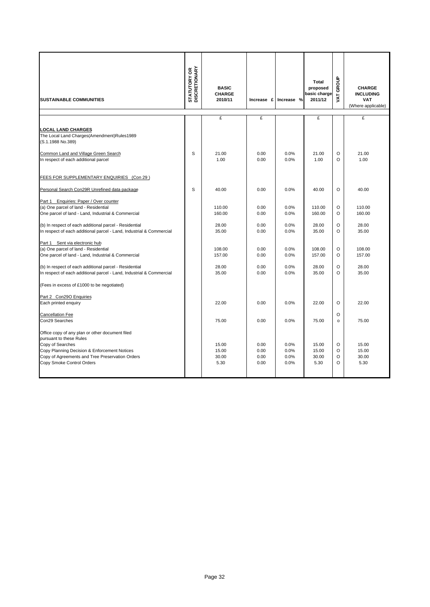| <b>SUSTAINABLE COMMUNITIES</b>                                                                                                                                                                                                 | <b>STATUTORY OR<br/>DISCRETIONARY</b> | <b>BASIC</b><br><b>CHARGE</b><br>2010/11 | Increase £                   | Increase %                   | Total<br>proposed<br>basic charge<br>2011/12 | GROUP<br><b>TAV</b>           | <b>CHARGE</b><br><b>INCLUDING</b><br><b>VAT</b><br>(Where applicable) |
|--------------------------------------------------------------------------------------------------------------------------------------------------------------------------------------------------------------------------------|---------------------------------------|------------------------------------------|------------------------------|------------------------------|----------------------------------------------|-------------------------------|-----------------------------------------------------------------------|
|                                                                                                                                                                                                                                |                                       | £                                        | £                            |                              | £                                            |                               | £                                                                     |
| <b>LOCAL LAND CHARGES</b><br>The Local Land Charges(Amendment)Rules1989<br>(S.1.1988 No.389)                                                                                                                                   |                                       |                                          |                              |                              |                                              |                               |                                                                       |
| Common Land and Village Green Search<br>In respect of each additional parcel                                                                                                                                                   | S                                     | 21.00<br>1.00                            | 0.00<br>0.00                 | 0.0%<br>0.0%                 | 21.00<br>1.00                                | $\circ$<br>O                  | 21.00<br>1.00                                                         |
| FEES FOR SUPPLEMENTARY ENQUIRIES (Con 29)                                                                                                                                                                                      |                                       |                                          |                              |                              |                                              |                               |                                                                       |
| Personal Search Con29R Unrefined data package                                                                                                                                                                                  | S                                     | 40.00                                    | 0.00                         | 0.0%                         | 40.00                                        | $\Omega$                      | 40.00                                                                 |
| Part 1 Enquiries: Paper / Over counter<br>(a) One parcel of land - Residential<br>One parcel of land - Land, Industrial & Commercial                                                                                           |                                       | 110.00<br>160.00                         | 0.00<br>0.00                 | 0.0%<br>0.0%                 | 110.00<br>160.00                             | $\circ$<br>$\circ$            | 110.00<br>160.00                                                      |
| (b) In respect of each additional parcel - Residential<br>In respect of each additional parcel - Land, Industrial & Commercial                                                                                                 |                                       | 28.00<br>35.00                           | 0.00<br>0.00                 | 0.0%<br>0.0%                 | 28.00<br>35.00                               | $\Omega$<br>$\Omega$          | 28.00<br>35.00                                                        |
| Part 1 Sent via electronic hub<br>(a) One parcel of land - Residential<br>One parcel of land - Land, Industrial & Commercial                                                                                                   |                                       | 108.00<br>157.00                         | 0.00<br>0.00                 | 0.0%<br>0.0%                 | 108.00<br>157.00                             | $\circ$<br>$\circ$            | 108.00<br>157.00                                                      |
| (b) In respect of each additional parcel - Residential<br>In respect of each additional parcel - Land, Industrial & Commercial                                                                                                 |                                       | 28.00<br>35.00                           | 0.00<br>0.00                 | 0.0%<br>0.0%                 | 28.00<br>35.00                               | $\Omega$<br>O                 | 28.00<br>35.00                                                        |
| (Fees in excess of £1000 to be negotiated)                                                                                                                                                                                     |                                       |                                          |                              |                              |                                              |                               |                                                                       |
| Part 2 Con290 Enquiries<br>Each printed enquiry                                                                                                                                                                                |                                       | 22.00                                    | 0.00                         | 0.0%                         | 22.00                                        | $\Omega$                      | 22.00                                                                 |
| <b>Cancellation Fee</b><br>Con29 Searches                                                                                                                                                                                      |                                       | 75.00                                    | 0.00                         | 0.0%                         | 75.00                                        | $\Omega$<br>$\circ$           | 75.00                                                                 |
| Office copy of any plan or other document filed<br>pursuant to these Rules<br>Copy of Searches<br>Copy Planning Decision & Enforcement Notices<br>Copy of Agreements and Tree Preservation Orders<br>Copy Smoke Control Orders |                                       | 15.00<br>15.00<br>30.00<br>5.30          | 0.00<br>0.00<br>0.00<br>0.00 | 0.0%<br>0.0%<br>0.0%<br>0.0% | 15.00<br>15.00<br>30.00<br>5.30              | $\circ$<br>O<br>O<br>$\Omega$ | 15.00<br>15.00<br>30.00<br>5.30                                       |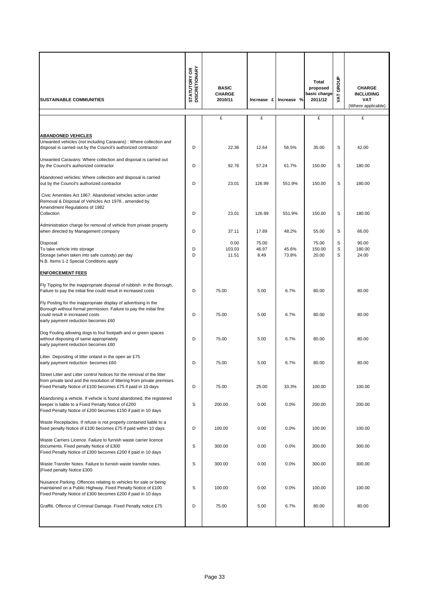| <b>SUSTAINABLE COMMUNITIES</b>                                                                                                                                                                                    | <b>STATUTORY OR<br/>DISCRETIONARY</b> | <b>BASIC</b><br><b>CHARGE</b><br>2010/11 |                        | Increase £ Increase % | Total<br>proposed<br>basic charge<br>2011/12 | VAT GROUP   | <b>CHARGE</b><br><b>INCLUDING</b><br>VAT<br>(Where applicable) |
|-------------------------------------------------------------------------------------------------------------------------------------------------------------------------------------------------------------------|---------------------------------------|------------------------------------------|------------------------|-----------------------|----------------------------------------------|-------------|----------------------------------------------------------------|
|                                                                                                                                                                                                                   |                                       | £                                        | £                      |                       | £                                            |             | £                                                              |
| <b>ABANDONED VEHICLES</b><br>Unwanted vehicles (not including Caravans) : Where collection and<br>disposal is carried out by the Council's authorized contractor                                                  | D                                     | 22.36                                    | 12.64                  | 56.5%                 | 35.00                                        | S           | 42.00                                                          |
| Unwanted Caravans: Where collection and disposal is carried out<br>by the Council's authorized contractor                                                                                                         | D                                     | 92.76                                    | 57.24                  | 61.7%                 | 150.00                                       | S           | 180.00                                                         |
| Abandoned vehicles: Where collection and disposal is carried<br>out by the Council's authorized contractor                                                                                                        | D                                     | 23.01                                    | 126.99                 | 551.9%                | 150.00                                       | S           | 180.00                                                         |
| Civic Amenities Act 1967: Abandoned vehicles action under<br>Removal & Disposal of Vehicles Act 1978, amended by<br>Amendment Regulations of 1982<br>Collection                                                   | D                                     | 23.01                                    | 126.99                 | 551.9%                | 150.00                                       | S           | 180.00                                                         |
| Administration charge for removal of vehicle from private property<br>when directed by Management company                                                                                                         | D                                     | 37.11                                    | 17.89                  | 48.2%                 | 55.00                                        | S           | 66.00                                                          |
| Disposal:<br>To take vehicle into storage<br>Storage (when taken into safe custody) per day<br>N.B. Items 1-2 Special Conditions apply                                                                            | D<br>D                                | 0.00<br>103.03<br>11.51                  | 75.00<br>46.97<br>8.49 | 45.6%<br>73.8%        | 75.00<br>150.00<br>20.00                     | S<br>S<br>S | 90.00<br>180.00<br>24.00                                       |
| <b>ENFORCEMENT FEES</b>                                                                                                                                                                                           |                                       |                                          |                        |                       |                                              |             |                                                                |
| Fly Tipping for the inappropriate disposal of rubbish in the Borough,<br>Failure to pay the initial fine could result in increased costs                                                                          | D                                     | 75.00                                    | 5.00                   | 6.7%                  | 80.00                                        |             | 80.00                                                          |
| Fly Posting for the inappropriate display of advertising in the<br>Borough without formal permission. Failure to pay the initial fine<br>could result in increased costs<br>early payment reduction becomes £60   | D                                     | 75.00                                    | 5.00                   | 6.7%                  | 80.00                                        |             | 80.00                                                          |
| Dog Fouling allowing dogs to foul footpath and or green spaces<br>without disposing of same appropriately<br>early payment reduction becomes £60                                                                  | D                                     | 75.00                                    | 5.00                   | 6.7%                  | 80.00                                        |             | 80.00                                                          |
| Litter. Depositing of litter onland in the open air £75<br>early payment reduction becomes £60                                                                                                                    | D                                     | 75.00                                    | 5.00                   | 6.7%                  | 80.00                                        |             | 80.00                                                          |
| Street Litter and Litter control Notices for the removal of the litter<br>from private land and the resolution of littering from private premises.<br>Fixed Penalty Notice of £100 becomes £75 if paid in 10 days | D                                     | 75.00                                    | 25.00                  | 33.3%                 | 100.00                                       |             | 100.00                                                         |
| Abandoning a vehicle. If vehicle is found abandoned, the registered<br>keeper is liable to a Fixed Penalty Notice of £200<br>Fixed Penalty Notice of £200 becomes £150 if paid in 10 days                         | S                                     | 200.00                                   | 0.00                   | 0.0%                  | 200.00                                       |             | 200.00                                                         |
| Waste Receptacles. If refuse is not properly contained liable to a<br>fixed penalty Notice of £100 becomes £75 if paid within 10 days                                                                             | D                                     | 100.00                                   | 0.00                   | 0.0%                  | 100.00                                       |             | 100.00                                                         |
| Waste Carriers Licence. Failure to furnish waste carrier licence<br>documents. Fixed penalty Notice of £300<br>Fixed Penalty Notice of £300 becomes £200 if paid in 10 days                                       | S                                     | 300.00                                   | 0.00                   | 0.0%                  | 300.00                                       |             | 300.00                                                         |
| Waste Transfer Notes. Failure to furnish waste transfer notes.<br><b>Fixed penalty Notice £300</b>                                                                                                                | S                                     | 300.00                                   | 0.00                   | 0.0%                  | 300.00                                       |             | 300.00                                                         |
| Nuisance Parking. Offences relating to vehicles for sale or being<br>maintained on a Public Highway. Fixed Penalty Notice of £100<br>Fixed Penalty Notice of £300 becomes £200 if paid in 10 days                 | S                                     | 100.00                                   | 0.00                   | 0.0%                  | 100.00                                       |             | 100.00                                                         |
| Graffiti. Offence of Criminal Damage. Fixed Penalty notice £75                                                                                                                                                    | D                                     | 75.00                                    | 5.00                   | 6.7%                  | 80.00                                        |             | 80.00                                                          |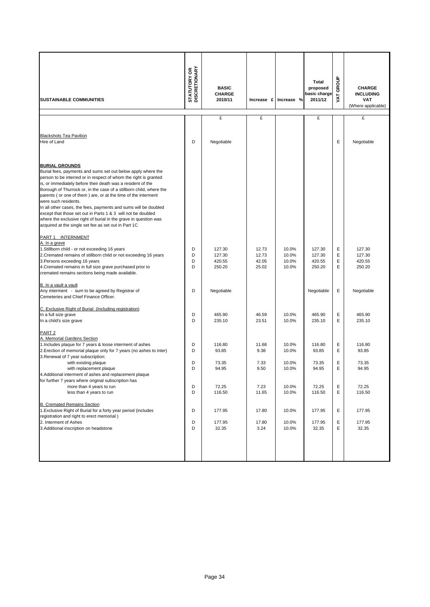| <b>SUSTAINABLE COMMUNITIES</b>                                                                                                                                                                                                                                                                                                                                                                                                                                                                                                                                                                                                                          | <b>STATUTORY OR<br/>DISCRETIONARY</b> | <b>BASIC</b><br><b>CHARGE</b><br>2010/11 | Increase £                       | Increase %                       | <b>Total</b><br>proposed<br>basic charge<br>2011/12 | GROUP<br><b>TAV</b> | <b>CHARGE</b><br><b>INCLUDING</b><br><b>VAT</b><br>(Where applicable) |
|---------------------------------------------------------------------------------------------------------------------------------------------------------------------------------------------------------------------------------------------------------------------------------------------------------------------------------------------------------------------------------------------------------------------------------------------------------------------------------------------------------------------------------------------------------------------------------------------------------------------------------------------------------|---------------------------------------|------------------------------------------|----------------------------------|----------------------------------|-----------------------------------------------------|---------------------|-----------------------------------------------------------------------|
|                                                                                                                                                                                                                                                                                                                                                                                                                                                                                                                                                                                                                                                         |                                       | £                                        | £                                |                                  | £                                                   |                     | £                                                                     |
|                                                                                                                                                                                                                                                                                                                                                                                                                                                                                                                                                                                                                                                         |                                       |                                          |                                  |                                  |                                                     |                     |                                                                       |
| <b>Blackshots Tea Pavilion</b><br>Hire of Land                                                                                                                                                                                                                                                                                                                                                                                                                                                                                                                                                                                                          | D                                     | Negotiable                               |                                  |                                  |                                                     | E                   | Negotiable                                                            |
| <b>BURIAL GROUNDS</b><br>Burial fees, payments and sums set out below apply where the<br>person to be interred or in respect of whom the right is granted<br>is, or immediately before their death was a resident of the<br>Borough of Thurrock or, in the case of a stillborn child, where the<br>parents (or one of them) are, or at the time of the interment<br>were such residents.<br>In all other cases, the fees, payments and sums will be doubled<br>except that those set out in Parts 1 & 3 will not be doubled<br>where the exclusive right of burial in the grave in question was<br>acquired at the single set fee as set out in Part 1C |                                       |                                          |                                  |                                  |                                                     |                     |                                                                       |
| PART 1 INTERNMENT                                                                                                                                                                                                                                                                                                                                                                                                                                                                                                                                                                                                                                       |                                       |                                          |                                  |                                  |                                                     |                     |                                                                       |
| A. In a grave<br>1. Stillborn child - or not exceeding 16 years<br>2. Cremated remains of stillborn child or not exceeding 16 years<br>3. Persons exceeding 16 years<br>4. Cremated remains in full size grave purchased prior to<br>cremated remains sections being made available.                                                                                                                                                                                                                                                                                                                                                                    | D<br>D<br>D<br>D                      | 127.30<br>127.30<br>420.55<br>250.20     | 12.73<br>12.73<br>42.05<br>25.02 | 10.0%<br>10.0%<br>10.0%<br>10.0% | 127.30<br>127.30<br>420.55<br>250.20                | Ε<br>Ε<br>Ε<br>E    | 127.30<br>127.30<br>420.55<br>250.20                                  |
| B. In a vault a vault<br>Any interment - sum to be agreed by Registrar of<br>Cemeteries and Chief Finance Officer.                                                                                                                                                                                                                                                                                                                                                                                                                                                                                                                                      | D                                     | Negotiable                               |                                  |                                  | Negotiable                                          | Ε                   | Negotiable                                                            |
| C. Exclusive Right of Burial (Including registration)                                                                                                                                                                                                                                                                                                                                                                                                                                                                                                                                                                                                   |                                       |                                          |                                  |                                  |                                                     |                     |                                                                       |
| In a full size grave<br>In a child's size grave                                                                                                                                                                                                                                                                                                                                                                                                                                                                                                                                                                                                         | D<br>D                                | 465.90<br>235.10                         | 46.59<br>23.51                   | 10.0%<br>10.0%                   | 465.90<br>235.10                                    | Ε<br>E              | 465.90<br>235.10                                                      |
| PART <sub>2</sub>                                                                                                                                                                                                                                                                                                                                                                                                                                                                                                                                                                                                                                       |                                       |                                          |                                  |                                  |                                                     |                     |                                                                       |
| A. Memorial Gardens Section<br>1. Includes plaque for 7 years & loose interment of ashes<br>2. Erection of memorial plaque only for 7 years (no ashes to inter)<br>3. Renewal of 7 year subscription:                                                                                                                                                                                                                                                                                                                                                                                                                                                   | D<br>D                                | 116.80<br>93.85                          | 11.68<br>9.38                    | 10.0%<br>10.0%                   | 116.80<br>93.85                                     | Ε<br>Ε              | 116.80<br>93.85                                                       |
| with existing plaque<br>with replacement plaque<br>4.Additional interment of ashes and replacement plaque<br>for further 7 years where original subscription has                                                                                                                                                                                                                                                                                                                                                                                                                                                                                        | D<br>D                                | 73.35<br>94.95                           | 7.33<br>9.50                     | 10.0%<br>10.0%                   | 73.35<br>94.95                                      | Е<br>Е              | 73.35<br>94.95                                                        |
| more than 4 years to run<br>less than 4 years to run                                                                                                                                                                                                                                                                                                                                                                                                                                                                                                                                                                                                    | D<br>D                                | 72.25<br>116.50                          | 7.23<br>11.65                    | 10.0%<br>10.0%                   | 72.25<br>116.50                                     | Е<br>Ε              | 72.25<br>116.50                                                       |
| <b>B. Cremated Remains Section</b><br>1. Exclusive Right of Burial for a forty year period (includes<br>registration and right to erect memorial)                                                                                                                                                                                                                                                                                                                                                                                                                                                                                                       | D                                     | 177.95                                   | 17.80                            | 10.0%                            | 177.95                                              | Ε                   | 177.95                                                                |
| 2. Interment of Ashes<br>3. Additional inscription on headstone                                                                                                                                                                                                                                                                                                                                                                                                                                                                                                                                                                                         | D<br>D                                | 177.95<br>32.35                          | 17.80<br>3.24                    | 10.0%<br>10.0%                   | 177.95<br>32.35                                     | Ε<br>Е              | 177.95<br>32.35                                                       |
|                                                                                                                                                                                                                                                                                                                                                                                                                                                                                                                                                                                                                                                         |                                       |                                          |                                  |                                  |                                                     |                     |                                                                       |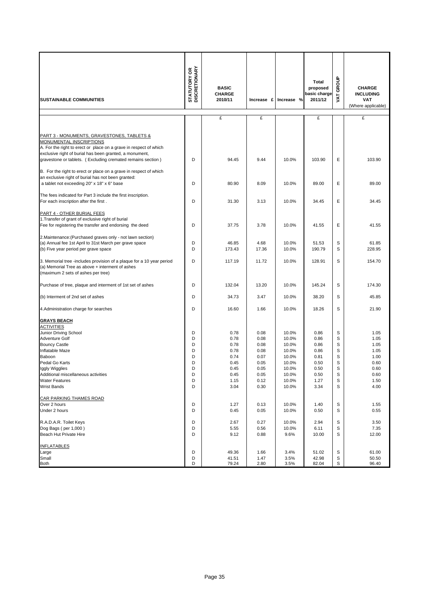| <b>SUSTAINABLE COMMUNITIES</b>                                                                                                                                                                        | <b>STATUTORY OR<br/>DISCRETIONARY</b> | <b>BASIC</b><br><b>CHARGE</b><br>2010/11 | Increase £   | Increase %     | Total<br>proposed<br>basic charge<br>2011/12 | GROUP<br><b>TAV</b> | <b>CHARGE</b><br><b>INCLUDING</b><br><b>VAT</b><br>(Where applicable) |
|-------------------------------------------------------------------------------------------------------------------------------------------------------------------------------------------------------|---------------------------------------|------------------------------------------|--------------|----------------|----------------------------------------------|---------------------|-----------------------------------------------------------------------|
|                                                                                                                                                                                                       |                                       | £                                        | £            |                | £                                            |                     | £                                                                     |
|                                                                                                                                                                                                       |                                       |                                          |              |                |                                              |                     |                                                                       |
| PART 3 - MONUMENTS, GRAVESTONES, TABLETS &<br>MONUMENTAL INSCRIPTIONS<br>A. For the right to erect or place on a grave in respect of which<br>exclusive right of burial has been granted, a monument, | D                                     |                                          | 9.44         | 10.0%          | 103.90                                       | Ε                   |                                                                       |
| gravestone or tablets. (Excluding cremated remains section)                                                                                                                                           |                                       | 94.45                                    |              |                |                                              |                     | 103.90                                                                |
| B. For the right to erect or place on a grave in respect of which<br>an exclusive right of burial has not been granted:<br>a tablet not exceeding 20" x 18" x 6" base                                 | D                                     | 80.90                                    | 8.09         | 10.0%          | 89.00                                        | Ε                   | 89.00                                                                 |
| The fees indicated for Part 3 include the first inscription.                                                                                                                                          |                                       |                                          |              |                |                                              |                     |                                                                       |
| For each inscription after the first.                                                                                                                                                                 | D                                     | 31.30                                    | 3.13         | 10.0%          | 34.45                                        | Ε                   | 34.45                                                                 |
| PART 4 - OTHER BURIAL FEES<br>1. Transfer of grant of exclusive right of burial<br>Fee for registering the transfer and endorsing the deed                                                            | D                                     | 37.75                                    | 3.78         | 10.0%          | 41.55                                        | Ε                   | 41.55                                                                 |
| 2. Maintenance: (Purchased graves only - not lawn section)                                                                                                                                            |                                       |                                          |              |                |                                              |                     |                                                                       |
| (a) Annual fee 1st April to 31st March per grave space                                                                                                                                                | D                                     | 46.85                                    | 4.68         | 10.0%          | 51.53                                        | S                   | 61.85                                                                 |
| (b) Five year period per grave space                                                                                                                                                                  | D                                     | 173.43                                   | 17.36        | 10.0%          | 190.79                                       | S                   | 228.95                                                                |
| 3. Memorial tree -includes provision of a plaque for a 10 year period<br>(a) Memorial Tree as above + interment of ashes<br>(maximum 2 sets of ashes per tree)                                        | D                                     | 117.19                                   | 11.72        | 10.0%          | 128.91                                       | S                   | 154.70                                                                |
| Purchase of tree, plaque and interment of 1st set of ashes                                                                                                                                            | D                                     | 132.04                                   | 13.20        | 10.0%          | 145.24                                       | S                   | 174.30                                                                |
| (b) Interment of 2nd set of ashes                                                                                                                                                                     | D                                     | 34.73                                    | 3.47         | 10.0%          | 38.20                                        | S                   | 45.85                                                                 |
| 4. Administration charge for searches                                                                                                                                                                 | D                                     | 16.60                                    | 1.66         | 10.0%          | 18.26                                        | S                   | 21.90                                                                 |
| <b>GRAYS BEACH</b><br><b>ACTIVITIES</b>                                                                                                                                                               |                                       |                                          |              |                |                                              |                     |                                                                       |
| Junior Driving School                                                                                                                                                                                 | D                                     | 0.78                                     | 0.08         | 10.0%          | 0.86                                         | S                   | 1.05                                                                  |
| Adventure Golf                                                                                                                                                                                        | D                                     | 0.78                                     | 0.08         | 10.0%          | 0.86                                         | S                   | 1.05                                                                  |
| <b>Bouncy Castle</b><br>Inflatable Maze                                                                                                                                                               | D<br>D                                | 0.78<br>0.78                             | 0.08<br>0.08 | 10.0%<br>10.0% | 0.86<br>0.86                                 | S<br>S              | 1.05<br>1.05                                                          |
| Baboon                                                                                                                                                                                                | D                                     | 0.74                                     | 0.07         | 10.0%          | 0.81                                         | S                   | 1.00                                                                  |
| Pedal Go Karts                                                                                                                                                                                        | D                                     | 0.45                                     | 0.05         | 10.0%          | 0.50                                         | S                   | 0.60                                                                  |
| Iggly Wigglies                                                                                                                                                                                        | D                                     | 0.45                                     | 0.05         | 10.0%          | 0.50                                         | S                   | 0.60                                                                  |
| Additional miscellaneous activities                                                                                                                                                                   | D                                     | 0.45                                     | 0.05         | 10.0%          | 0.50                                         | S                   | 0.60                                                                  |
| <b>Water Features</b>                                                                                                                                                                                 | D                                     | 1.15                                     | 0.12         | 10.0%          | 1.27                                         | S                   | 1.50                                                                  |
| <b>Wrist Bands</b>                                                                                                                                                                                    | D                                     | 3.04                                     | 0.30         | 10.0%          | 3.34                                         | S                   | 4.00                                                                  |
| <b>CAR PARKING THAMES ROAD</b>                                                                                                                                                                        |                                       |                                          |              |                |                                              |                     |                                                                       |
| Over 2 hours<br>Under 2 hours                                                                                                                                                                         | D<br>D                                | 1.27<br>0.45                             | 0.13<br>0.05 | 10.0%<br>10.0% | 1.40<br>0.50                                 | S<br>S              | 1.55<br>0.55                                                          |
|                                                                                                                                                                                                       |                                       |                                          |              |                |                                              |                     |                                                                       |
| R.A.D.A.R. Toilet Keys                                                                                                                                                                                | D                                     | 2.67                                     | 0.27         | 10.0%          | 2.94                                         | S                   | 3.50                                                                  |
| Dog Bags (per 1,000)                                                                                                                                                                                  | D                                     | 5.55                                     | 0.56         | 10.0%          | 6.11                                         | S                   | 7.35                                                                  |
| Beach Hut Private Hire                                                                                                                                                                                | D                                     | 9.12                                     | 0.88         | 9.6%           | 10.00                                        | S                   | 12.00                                                                 |
| <b>INFLATABLES</b>                                                                                                                                                                                    |                                       |                                          |              |                |                                              |                     |                                                                       |
| Large                                                                                                                                                                                                 | D                                     | 49.36                                    | 1.66         | 3.4%           | 51.02                                        | S                   | 61.00                                                                 |
| Small                                                                                                                                                                                                 | D                                     | 41.51                                    | 1.47         | 3.5%           | 42.98                                        | S                   | 50.50                                                                 |
| Both                                                                                                                                                                                                  | D                                     | 79.24                                    | 2.80         | 3.5%           | 82.04                                        | s                   | 96.40                                                                 |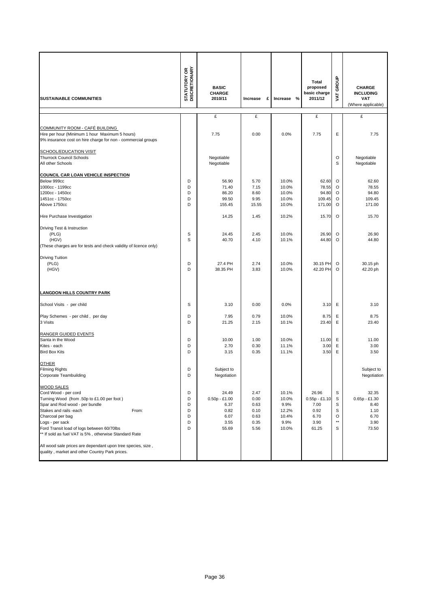| <b>SUSTAINABLE COMMUNITIES</b>                                                                                                                                                                                                                                                                                                                                                                                              | <b>STATUTORY OR</b><br>DISCRETIONARY | <b>BASIC</b><br><b>CHARGE</b><br>2010/11                          | Increase<br>£                                        | $\%$<br>Increase                                          | Total<br>proposed<br>basic charge<br>2011/12                      | GROUP<br><b>TAV</b>                        | <b>CHARGE</b><br><b>INCLUDING</b><br><b>VAT</b><br>(Where applicable) |
|-----------------------------------------------------------------------------------------------------------------------------------------------------------------------------------------------------------------------------------------------------------------------------------------------------------------------------------------------------------------------------------------------------------------------------|--------------------------------------|-------------------------------------------------------------------|------------------------------------------------------|-----------------------------------------------------------|-------------------------------------------------------------------|--------------------------------------------|-----------------------------------------------------------------------|
|                                                                                                                                                                                                                                                                                                                                                                                                                             |                                      | £                                                                 | £                                                    |                                                           | £                                                                 |                                            | £                                                                     |
| <b>COMMUNITY ROOM - CAFÉ BUILDING</b><br>Hire per hour (Minimum 1 hour Maximum 5 hours)<br>9% insurance cost on hire charge for non - commercial groups                                                                                                                                                                                                                                                                     |                                      | 7.75                                                              | 0.00                                                 | 0.0%                                                      | 7.75                                                              | Е                                          | 7.75                                                                  |
| <b>SCHOOL/EDUCATION VISIT</b><br><b>Thurrock Council Schools</b><br>All other Schools                                                                                                                                                                                                                                                                                                                                       |                                      | Negotiable<br>Negotiable                                          |                                                      |                                                           |                                                                   | O<br>S                                     | Negotiable<br>Negotiable                                              |
| <b>COUNCIL CAR LOAN VEHICLE INSPECTION</b><br>Below 999cc<br>1000cc - 1199cc<br>1200cc - 1450cc<br>1451cc - 1750cc<br>Above 1750cc<br>Hire Purchase Investigation                                                                                                                                                                                                                                                           | D<br>D<br>D<br>D<br>D                | 56.90<br>71.40<br>86.20<br>99.50<br>155.45<br>14.25               | 5.70<br>7.15<br>8.60<br>9.95<br>15.55<br>1.45        | 10.0%<br>10.0%<br>10.0%<br>10.0%<br>10.0%<br>10.2%        | 62.60<br>78.55<br>94.80<br>109.45<br>171.00<br>15.70              | O<br>O<br>O<br>O<br>O<br>O                 | 62.60<br>78.55<br>94.80<br>109.45<br>171.00<br>15.70                  |
| Driving Test & Instruction<br>(PLG)<br>(HGV)<br>(These charges are for tests and check validity of licence only)                                                                                                                                                                                                                                                                                                            | S<br>S                               | 24.45<br>40.70                                                    | 2.45<br>4.10                                         | 10.0%<br>10.1%                                            | 26.90<br>44.80                                                    | $\circ$<br>O                               | 26.90<br>44.80                                                        |
| <b>Driving Tuition</b><br>(PLG)<br>(HGV)                                                                                                                                                                                                                                                                                                                                                                                    | D<br>D                               | 27.4 PH<br>38.35 PH                                               | 2.74<br>3.83                                         | 10.0%<br>10.0%                                            | 30.15 PH<br>42.20 PH                                              | $\circ$<br>$\circ$                         | 30.15 ph<br>42.20 ph                                                  |
| <b>LANGDON HILLS COUNTRY PARK</b>                                                                                                                                                                                                                                                                                                                                                                                           |                                      |                                                                   |                                                      |                                                           |                                                                   |                                            |                                                                       |
| School Visits - per child                                                                                                                                                                                                                                                                                                                                                                                                   | S                                    | 3.10                                                              | 0.00                                                 | 0.0%                                                      | 3.10                                                              | Ε                                          | 3.10                                                                  |
| Play Schemes - per child, per day<br>3 Visits                                                                                                                                                                                                                                                                                                                                                                               | D<br>D                               | 7.95<br>21.25                                                     | 0.79<br>2.15                                         | 10.0%<br>10.1%                                            | 8.75<br>23.40                                                     | Ε<br>E                                     | 8.75<br>23.40                                                         |
| RANGER GUIDED EVENTS<br>Santa in the Wood<br>Kites - each<br><b>Bird Box Kits</b>                                                                                                                                                                                                                                                                                                                                           | D<br>D<br>D                          | 10.00<br>2.70<br>3.15                                             | 1.00<br>0.30<br>0.35                                 | 10.0%<br>11.1%<br>11.1%                                   | 11.00<br>3.00<br>3.50                                             | Ε<br>Ε<br>Ε                                | 11.00<br>3.00<br>3.50                                                 |
| <b>OTHER</b><br><b>Filming Rights</b><br>Corporate Teambuilding                                                                                                                                                                                                                                                                                                                                                             | D<br>D                               | Subject to<br>Negotiation                                         |                                                      |                                                           |                                                                   |                                            | Subject to<br>Negotiation                                             |
| <b>WOOD SALES</b><br>Cord Wood - per cord<br>Turning Wood (from .50p to £1.00 per foot)<br>Spar and Rod wood - per bundle<br>Stakes and rails -each<br>From:<br>Charcoal per bag<br>Logs - per sack<br>Ford Transit load of logs between 60/70lbs<br>** If sold as fuel VAT is 5%, otherwise Standard Rate<br>All wood sale prices are dependant upon tree species, size,<br>quality, market and other Country Park prices. | D<br>D<br>D<br>D<br>D<br>D<br>D      | 24.49<br>$0.50p - £1.00$<br>6.37<br>0.82<br>6.07<br>3.55<br>55.69 | 2.47<br>0.00<br>0.63<br>0.10<br>0.63<br>0.35<br>5.56 | 10.1%<br>10.0%<br>9.9%<br>12.2%<br>10.4%<br>9.9%<br>10.0% | 26.96<br>$0.55p - £1.10$<br>7.00<br>0.92<br>6.70<br>3.90<br>61.25 | S<br>S<br>S<br>S<br>O<br>$\star\star$<br>S | 32.35<br>$0.65p - £1.30$<br>8.40<br>1.10<br>6.70<br>3.90<br>73.50     |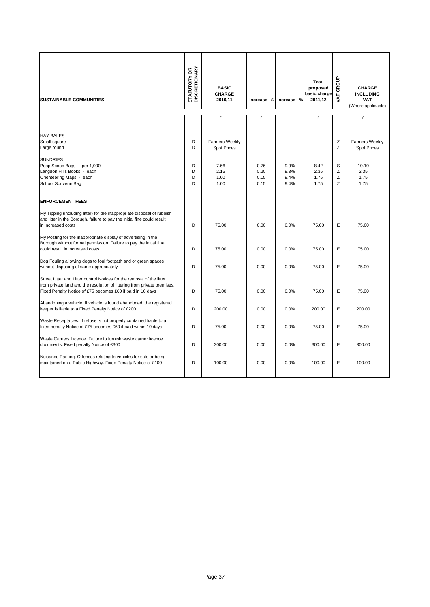| <b>SUSTAINABLE COMMUNITIES</b>                                                                                                                                                                                   | <b>STATUTORY OR<br/>DISCRETIONARY</b> | <b>BASIC</b><br><b>CHARGE</b><br>2010/11    | Increase £                   | Increase %                   | Total<br>proposed<br>basic charge<br>2011/12 | GROUP<br><b>TAV</b> | <b>CHARGE</b><br><b>INCLUDING</b><br><b>VAT</b><br>(Where applicable) |
|------------------------------------------------------------------------------------------------------------------------------------------------------------------------------------------------------------------|---------------------------------------|---------------------------------------------|------------------------------|------------------------------|----------------------------------------------|---------------------|-----------------------------------------------------------------------|
|                                                                                                                                                                                                                  |                                       | £                                           | £                            |                              | £                                            |                     | £                                                                     |
| HAY BALES<br>Small square<br>Large round                                                                                                                                                                         | D<br>D                                | <b>Farmers Weekly</b><br><b>Spot Prices</b> |                              |                              |                                              | Ζ<br>Z              | <b>Farmers Weekly</b><br><b>Spot Prices</b>                           |
| <b>SUNDRIES</b><br>Poop Scoop Bags - per 1,000<br>Langdon Hills Books - each<br>Orienteering Maps - each<br>School Souvenir Bag                                                                                  | D<br>D<br>D<br>D                      | 7.66<br>2.15<br>1.60<br>1.60                | 0.76<br>0.20<br>0.15<br>0.15 | 9.9%<br>9.3%<br>9.4%<br>9.4% | 8.42<br>2.35<br>1.75<br>1.75                 | S<br>Z<br>Z<br>Z    | 10.10<br>2.35<br>1.75<br>1.75                                         |
| <b>ENFORCEMENT FEES</b><br>Fly Tipping (including litter) for the inappropriate disposal of rubbish<br>and litter in the Borough, failure to pay the initial fine could result<br>in increased costs             | D                                     | 75.00                                       | 0.00                         | 0.0%                         | 75.00                                        | E                   | 75.00                                                                 |
| Fly Posting for the inappropriate display of advertising in the<br>Borough without formal permission. Failure to pay the initial fine<br>could result in increased costs                                         | D                                     | 75.00                                       | 0.00                         | 0.0%                         | 75.00                                        | E                   | 75.00                                                                 |
| Dog Fouling allowing dogs to foul footpath and or green spaces<br>without disposing of same appropriately                                                                                                        | D                                     | 75.00                                       | 0.00                         | 0.0%                         | 75.00                                        | E                   | 75.00                                                                 |
| Street Litter and Litter control Notices for the removal of the litter<br>from private land and the resolution of littering from private premises.<br>Fixed Penalty Notice of £75 becomes £60 if paid in 10 days | D                                     | 75.00                                       | 0.00                         | 0.0%                         | 75.00                                        | E                   | 75.00                                                                 |
| Abandoning a vehicle. If vehicle is found abandoned, the registered<br>keeper is liable to a Fixed Penalty Notice of £200                                                                                        | D                                     | 200.00                                      | 0.00                         | 0.0%                         | 200.00                                       | E                   | 200.00                                                                |
| Waste Receptacles. If refuse is not properly contained liable to a<br>fixed penalty Notice of £75 becomes £60 if paid within 10 days                                                                             | D                                     | 75.00                                       | 0.00                         | 0.0%                         | 75.00                                        | E                   | 75.00                                                                 |
| Waste Carriers Licence. Failure to furnish waste carrier licence<br>documents. Fixed penalty Notice of £300                                                                                                      | D                                     | 300.00                                      | 0.00                         | 0.0%                         | 300.00                                       | E                   | 300.00                                                                |
| Nuisance Parking. Offences relating to vehicles for sale or being<br>maintained on a Public Highway. Fixed Penalty Notice of £100                                                                                | D                                     | 100.00                                      | 0.00                         | 0.0%                         | 100.00                                       | E                   | 100.00                                                                |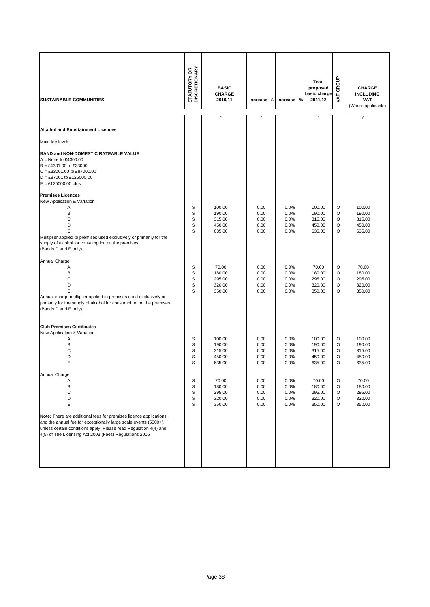| <b>SUSTAINABLE COMMUNITIES</b>                                                                                                                                                                                                                                      | <b>STATUTORY OR<br/>DISCRETIONARY</b> | <b>BASIC</b><br><b>CHARGE</b><br>2010/11 | Increase £   | Increase %   | <b>Total</b><br>proposed<br>basic charge<br>2011/12 | GROUP<br>Š | <b>CHARGE</b><br><b>INCLUDING</b><br><b>VAT</b><br>(Where applicable) |
|---------------------------------------------------------------------------------------------------------------------------------------------------------------------------------------------------------------------------------------------------------------------|---------------------------------------|------------------------------------------|--------------|--------------|-----------------------------------------------------|------------|-----------------------------------------------------------------------|
|                                                                                                                                                                                                                                                                     |                                       | £                                        | £            |              | £                                                   |            | £                                                                     |
| <b>Alcohol and Entertainment Licences</b>                                                                                                                                                                                                                           |                                       |                                          |              |              |                                                     |            |                                                                       |
| Main fee levels                                                                                                                                                                                                                                                     |                                       |                                          |              |              |                                                     |            |                                                                       |
| BAND and NON-DOMESTIC RATEABLE VALUE<br>$A =$ None to £4300.00<br>$B = £4301.00$ to £33000<br>$C = £33001.00$ to £87000.00<br>$D = \pounds87001$ to £125000.00<br>$E = £125000.00$ plus                                                                             |                                       |                                          |              |              |                                                     |            |                                                                       |
| <b>Premises Licences</b>                                                                                                                                                                                                                                            |                                       |                                          |              |              |                                                     |            |                                                                       |
| New Application & Variation                                                                                                                                                                                                                                         |                                       |                                          |              |              |                                                     |            |                                                                       |
| A<br>B                                                                                                                                                                                                                                                              | S<br>S                                | 100.00<br>190.00                         | 0.00<br>0.00 | 0.0%<br>0.0% | 100.00<br>190.00                                    | O<br>O     | 100.00<br>190.00                                                      |
| C                                                                                                                                                                                                                                                                   | S                                     | 315.00                                   | 0.00         | 0.0%         | 315.00                                              | O          | 315.00                                                                |
| D                                                                                                                                                                                                                                                                   | S                                     | 450.00                                   | 0.00         | 0.0%         | 450.00                                              | O          | 450.00                                                                |
| E<br>Multiplier applied to premises used exclusively or primarily for the<br>supply of alcohol for consumption on the premises<br>(Bands D and E only)                                                                                                              | S                                     | 635.00                                   | 0.00         | 0.0%         | 635.00                                              | O          | 635.00                                                                |
| Annual Charge                                                                                                                                                                                                                                                       |                                       |                                          |              |              |                                                     |            |                                                                       |
| Α                                                                                                                                                                                                                                                                   | S                                     | 70.00                                    | 0.00         | 0.0%         | 70.00                                               | O          | 70.00                                                                 |
| B<br>C                                                                                                                                                                                                                                                              | S<br>S                                | 180.00<br>295.00                         | 0.00<br>0.00 | 0.0%<br>0.0% | 180.00<br>295.00                                    | O<br>O     | 180.00<br>295.00                                                      |
| D                                                                                                                                                                                                                                                                   | S                                     | 320.00                                   | 0.00         | 0.0%         | 320.00                                              | O          | 320.00                                                                |
| E                                                                                                                                                                                                                                                                   | S                                     | 350.00                                   | 0.00         | 0.0%         | 350.00                                              | O          | 350.00                                                                |
| Annual charge multiplier applied to premises used exclusively or<br>primarily for the supply of alcohol for consumption on the premises<br>(Bands D and E only)                                                                                                     |                                       |                                          |              |              |                                                     |            |                                                                       |
| <b>Club Premises Certificates</b><br>New Application & Variation                                                                                                                                                                                                    |                                       |                                          |              |              |                                                     |            |                                                                       |
| Α                                                                                                                                                                                                                                                                   | S                                     | 100.00                                   | 0.00         | 0.0%         | 100.00                                              | O          | 100.00                                                                |
| B<br>C                                                                                                                                                                                                                                                              | S<br>S                                | 190.00<br>315.00                         | 0.00<br>0.00 | 0.0%<br>0.0% | 190.00<br>315.00                                    | O<br>O     | 190.00<br>315.00                                                      |
| D                                                                                                                                                                                                                                                                   | S                                     | 450.00                                   | 0.00         | 0.0%         | 450.00                                              | O          | 450.00                                                                |
| E                                                                                                                                                                                                                                                                   | S                                     | 635.00                                   | 0.00         | 0.0%         | 635.00                                              | O          | 635.00                                                                |
| Annual Charge                                                                                                                                                                                                                                                       |                                       |                                          |              |              |                                                     |            |                                                                       |
| Α                                                                                                                                                                                                                                                                   | S                                     | 70.00                                    | 0.00         | 0.0%         | 70.00                                               | O          | 70.00                                                                 |
| В<br>С                                                                                                                                                                                                                                                              | S<br>S                                | 180.00<br>295.00                         | 0.00         | 0.0%         | 180.00                                              | O          | 180.00<br>295.00                                                      |
| D                                                                                                                                                                                                                                                                   | S                                     | 320.00                                   | 0.00<br>0.00 | 0.0%<br>0.0% | 295.00<br>320.00                                    | O<br>O     | 320.00                                                                |
| E                                                                                                                                                                                                                                                                   | S                                     | 350.00                                   | 0.00         | 0.0%         | 350.00                                              | O          | 350.00                                                                |
| Note: There are additional fees for premises licence applications<br>and the annual fee for exceptionally large scale events (5000+),<br>unless certain conditions apply. Please read Regulation 4(4) and<br>4(5) of The Licensing Act 2003 (Fees) Regulations 2005 |                                       |                                          |              |              |                                                     |            |                                                                       |